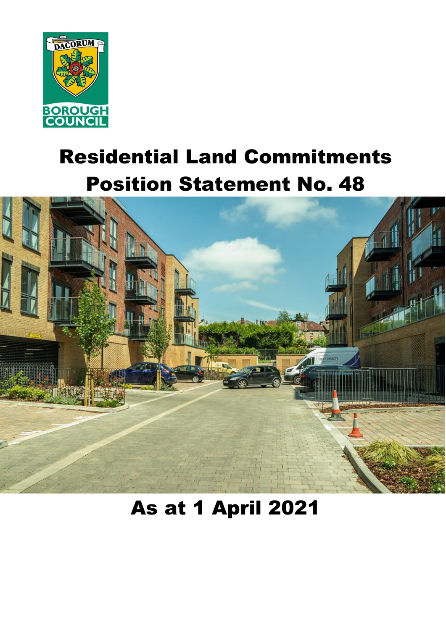

# Residential Land Commitments Position Statement No. 48



## As at 1 April 2021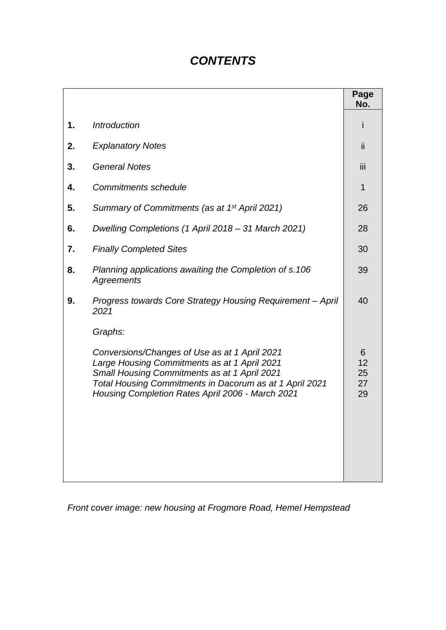### *CONTENTS*

|    |                                                                                                                                                                                                                                                                         | Page<br>No.               |
|----|-------------------------------------------------------------------------------------------------------------------------------------------------------------------------------------------------------------------------------------------------------------------------|---------------------------|
| 1. | <b>Introduction</b>                                                                                                                                                                                                                                                     |                           |
| 2. | <b>Explanatory Notes</b>                                                                                                                                                                                                                                                | Ϊİ                        |
| 3. | <b>General Notes</b>                                                                                                                                                                                                                                                    | iii                       |
| 4. | <b>Commitments schedule</b>                                                                                                                                                                                                                                             | 1                         |
| 5. | Summary of Commitments (as at 1 <sup>st</sup> April 2021)                                                                                                                                                                                                               | 26                        |
| 6. | Dwelling Completions (1 April 2018 – 31 March 2021)                                                                                                                                                                                                                     | 28                        |
| 7. | <b>Finally Completed Sites</b>                                                                                                                                                                                                                                          | 30                        |
| 8. | Planning applications awaiting the Completion of s.106<br><b>Agreements</b>                                                                                                                                                                                             | 39                        |
| 9. | Progress towards Core Strategy Housing Requirement - April<br>2021                                                                                                                                                                                                      | 40                        |
|    | Graphs:<br>Conversions/Changes of Use as at 1 April 2021<br>Large Housing Commitments as at 1 April 2021<br>Small Housing Commitments as at 1 April 2021<br>Total Housing Commitments in Dacorum as at 1 April 2021<br>Housing Completion Rates April 2006 - March 2021 | 6<br>12<br>25<br>27<br>29 |

*Front cover image: new housing at Frogmore Road, Hemel Hempstead*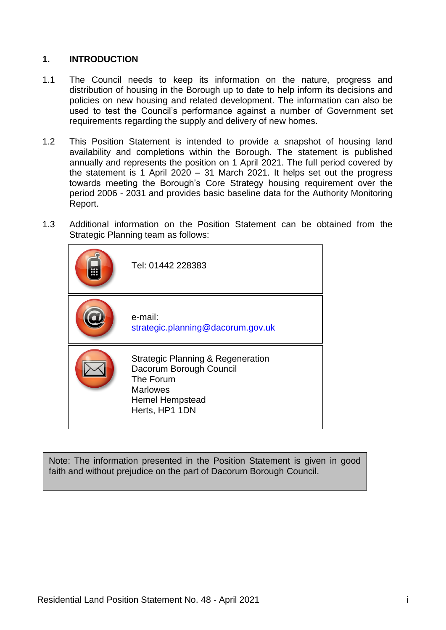#### **1. INTRODUCTION**

- 1.1 The Council needs to keep its information on the nature, progress and distribution of housing in the Borough up to date to help inform its decisions and policies on new housing and related development. The information can also be used to test the Council's performance against a number of Government set requirements regarding the supply and delivery of new homes.
- 1.2 This Position Statement is intended to provide a snapshot of housing land availability and completions within the Borough. The statement is published annually and represents the position on 1 April 2021. The full period covered by the statement is 1 April 2020 – 31 March 2021. It helps set out the progress towards meeting the Borough's Core Strategy housing requirement over the period 2006 - 2031 and provides basic baseline data for the Authority Monitoring Report.
- 1.3 Additional information on the Position Statement can be obtained from the Strategic Planning team as follows:



Note: The information presented in the Position Statement is given in good faith and without prejudice on the part of Dacorum Borough Council.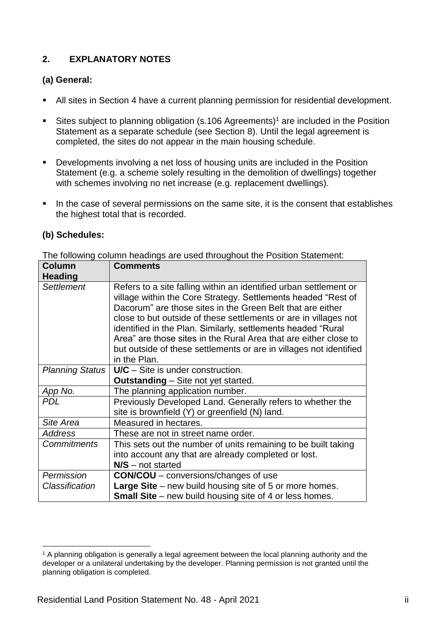#### **2. EXPLANATORY NOTES**

#### **(a) General:**

- All sites in Section 4 have a current planning permission for residential development.
- Sites subject to planning obligation (s.106 Agreements)<sup>1</sup> are included in the Position Statement as a separate schedule (see Section 8). Until the legal agreement is completed, the sites do not appear in the main housing schedule.
- **Developments involving a net loss of housing units are included in the Position** Statement (e.g. a scheme solely resulting in the demolition of dwellings) together with schemes involving no net increase (e.g. replacement dwellings).
- In the case of several permissions on the same site, it is the consent that establishes the highest total that is recorded.

#### **(b) Schedules:**

The following column headings are used throughout the Position Statement:

| <b>Column</b><br><b>Heading</b> | <b>Comments</b>                                                                                                                                                                                                                                                                                                                                                                                                                                                                                |
|---------------------------------|------------------------------------------------------------------------------------------------------------------------------------------------------------------------------------------------------------------------------------------------------------------------------------------------------------------------------------------------------------------------------------------------------------------------------------------------------------------------------------------------|
| <b>Settlement</b>               | Refers to a site falling within an identified urban settlement or<br>village within the Core Strategy. Settlements headed "Rest of<br>Dacorum" are those sites in the Green Belt that are either<br>close to but outside of these settlements or are in villages not<br>identified in the Plan. Similarly, settlements headed "Rural<br>Area" are those sites in the Rural Area that are either close to<br>but outside of these settlements or are in villages not identified<br>in the Plan. |
| Planning Status                 | $U/C - Site$ is under construction.                                                                                                                                                                                                                                                                                                                                                                                                                                                            |
|                                 | <b>Outstanding</b> – Site not yet started.                                                                                                                                                                                                                                                                                                                                                                                                                                                     |
| App No.                         | The planning application number.                                                                                                                                                                                                                                                                                                                                                                                                                                                               |
| <b>PDL</b>                      | Previously Developed Land. Generally refers to whether the<br>site is brownfield (Y) or greenfield (N) land.                                                                                                                                                                                                                                                                                                                                                                                   |
| Site Area                       | Measured in hectares.                                                                                                                                                                                                                                                                                                                                                                                                                                                                          |
| <b>Address</b>                  | These are not in street name order.                                                                                                                                                                                                                                                                                                                                                                                                                                                            |
| <b>Commitments</b>              | This sets out the number of units remaining to be built taking                                                                                                                                                                                                                                                                                                                                                                                                                                 |
|                                 | into account any that are already completed or lost.                                                                                                                                                                                                                                                                                                                                                                                                                                           |
|                                 | $N/S$ – not started                                                                                                                                                                                                                                                                                                                                                                                                                                                                            |
| Permission                      | <b>CON/COU</b> – conversions/changes of use                                                                                                                                                                                                                                                                                                                                                                                                                                                    |
| Classification                  | <b>Large Site</b> – new build housing site of 5 or more homes.                                                                                                                                                                                                                                                                                                                                                                                                                                 |
|                                 | <b>Small Site</b> – new build housing site of 4 or less homes.                                                                                                                                                                                                                                                                                                                                                                                                                                 |

 $\overline{a}$ <sup>1</sup> A planning obligation is generally a legal agreement between the local planning authority and the developer or a unilateral undertaking by the developer. Planning permission is not granted until the planning obligation is completed.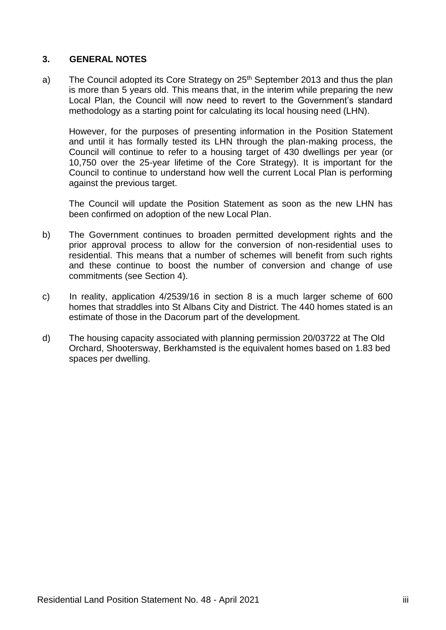#### **3. GENERAL NOTES**

a) The Council adopted its Core Strategy on 25<sup>th</sup> September 2013 and thus the plan is more than 5 years old. This means that, in the interim while preparing the new Local Plan, the Council will now need to revert to the Government's standard methodology as a starting point for calculating its local housing need (LHN).

However, for the purposes of presenting information in the Position Statement and until it has formally tested its LHN through the plan-making process, the Council will continue to refer to a housing target of 430 dwellings per year (or 10,750 over the 25-year lifetime of the Core Strategy). It is important for the Council to continue to understand how well the current Local Plan is performing against the previous target.

The Council will update the Position Statement as soon as the new LHN has been confirmed on adoption of the new Local Plan.

- b) The Government continues to broaden permitted development rights and the prior approval process to allow for the conversion of non-residential uses to residential. This means that a number of schemes will benefit from such rights and these continue to boost the number of conversion and change of use commitments (see Section 4).
- c) In reality, application 4/2539/16 in section 8 is a much larger scheme of 600 homes that straddles into St Albans City and District. The 440 homes stated is an estimate of those in the Dacorum part of the development.
- d) The housing capacity associated with planning permission 20/03722 at The Old Orchard, Shootersway, Berkhamsted is the equivalent homes based on 1.83 bed spaces per dwelling.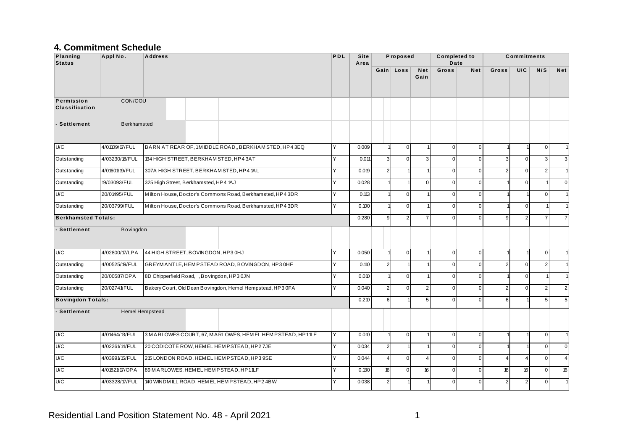#### **4. Commitment Schedule**

| Planning<br><b>Status</b>           | Appl No.           | <b>Address</b>                                 |                                                            | PDL          | <b>Site</b><br>Area |                | Proposed                         |                    | <b>Completed to</b><br>Date |                |                | <b>Commitments</b> |                 |                |
|-------------------------------------|--------------------|------------------------------------------------|------------------------------------------------------------|--------------|---------------------|----------------|----------------------------------|--------------------|-----------------------------|----------------|----------------|--------------------|-----------------|----------------|
|                                     |                    |                                                |                                                            |              |                     |                | Gain Loss                        | <b>Net</b><br>Gain | Gross                       | Net            | Gross          | U/C                | N/S             | <b>Net</b>     |
| Permission<br><b>Classification</b> | CON/COU            |                                                |                                                            |              |                     |                |                                  |                    |                             |                |                |                    |                 |                |
| - Settlement                        | <b>Berkhamsted</b> |                                                |                                                            |              |                     |                |                                  |                    |                             |                |                |                    |                 |                |
| U/C                                 | 4/01109/17/FUL     |                                                | BARN AT REAR OF, 1MIDDLE ROAD,, BERKHAM STED, HP43EQ       | l Y          | 0.009               |                | $\overline{0}$<br>$\overline{1}$ |                    | $\overline{0}$              | $\overline{0}$ |                |                    | $\mathbf 0$     |                |
| Outstanding                         | 4/03230/18/FUL     | 134 HIGH STREET, BERKHAM STED, HP43AT          |                                                            | Y            | 0.011               | $\overline{3}$ | $\mathbf 0$                      | $\overline{3}$     | $\overline{0}$              | $\mathbf 0$    | 3              | $\mathbf 0$        | $\overline{3}$  | $\overline{3}$ |
| Outstanding                         | 4/01601/19/FUL     | 307A HIGH STREET, BERKHAM STED, HP4 1AL        |                                                            | $\checkmark$ | 0.019               | 2 <sup>1</sup> |                                  |                    | $\mathbf{0}$                | $\Omega$       | $\overline{2}$ | $\Omega$           | $\overline{2}$  |                |
| Outstanding                         | 19/03093/FUL       | 325 High Street, Berkhamsted, HP4 1AJ          |                                                            | Y            | 0.028               |                |                                  | $\Omega$           | $\overline{0}$              | $\Omega$       |                | $\mathbf 0$        |                 | $\Omega$       |
| U/C                                 | 20/01495/FUL       |                                                | Milton House, Doctor's Commons Road, Berkhamsted, HP4 3DR  | Υ            | 0.113               |                | $\Omega$                         |                    | $\mathbf 0$                 | $\Omega$       |                |                    | $\mathbf 0$     |                |
| Outstanding                         | 20/03799/FUL       |                                                | Milton House, Doctor's Commons Road, Berkhamsted, HP4 3DR  | Y            | 0.100               |                | $\mathbf 0$                      |                    | $\mathbf 0$                 | $\mathbf 0$    |                | $\mathbf 0$        |                 |                |
| <b>Berkhamsted Totals:</b>          |                    |                                                |                                                            |              | 0.280               | $\overline{9}$ | $\overline{2}$                   |                    | $\overline{0}$              | $\Omega$       | q              | $\overline{2}$     | $\overline{7}$  | 7 <sup>1</sup> |
| - Settlement                        | Bovingdon          |                                                |                                                            |              |                     |                |                                  |                    |                             |                |                |                    |                 |                |
| U/C                                 | 4/02800/17/LPA     | 44 HIGH STREET, BOVINGDON, HP3 0HJ             |                                                            | Y            | 0.050               |                | $\overline{0}$                   |                    | $\overline{0}$              | $\mathbf{0}$   |                |                    | $\mathbf{0}$    |                |
| Outstanding                         | 4/00525/19/FUL     |                                                | GREYMANTLE, HEMPSTEAD ROAD, BOVINGDON, HP30HF              | Υ            | 0.110               | 2 <sup>1</sup> |                                  |                    | $\overline{0}$              | $\Omega$       | $\mathcal{P}$  | $\mathbf 0$        | $\overline{2}$  |                |
| Outstanding                         | 20/00587/OPA       | 8D Chipperfield Road, , Bovingdon, HP3 0JN     |                                                            | Υ            | 0.010               |                | $\overline{0}$                   |                    | $\overline{0}$              | $\Omega$       |                | $\mathbf 0$        |                 |                |
| Outstanding                         | 20/02741/FUL       |                                                | Bakery Court, Old Dean Bovingdon, Hemel Hempstead, HP3 0FA | Y            | 0.040               | $\overline{2}$ | $\Omega$                         | 2                  | $\overline{0}$              | $\Omega$       | $\overline{2}$ | $\Omega$           | 2               | $\overline{2}$ |
| <b>Bovingdon Totals:</b>            |                    |                                                |                                                            |              | 0.210               | $\sqrt{6}$     |                                  | 5                  | $\mathbf{0}$                | $\Omega$       | 6              |                    | $5\overline{)}$ | 5 <sup>1</sup> |
| - Settlement                        |                    | Hemel Hempstead                                |                                                            |              |                     |                |                                  |                    |                             |                |                |                    |                 |                |
| U/C                                 | 4/01464/13/FUL     |                                                | 3 MARLOWES COURT, 67, MARLOWES, HEMEL HEMPSTEAD, HP11LE    | Y            | 0.010               |                | $\overline{0}$                   |                    | $\overline{0}$              | $\mathbf 0$    |                |                    | $\mathbf{0}$    |                |
| U/C                                 | 4/02261/14/FUL     | 20 CODICOTE ROW, HEM EL HEM PSTEAD, HP2 7JE    |                                                            | Y            | 0.034               | $\overline{2}$ |                                  |                    | $\mathsf{O}\xspace$         | $\mathbf 0$    |                |                    | $\mathbf 0$     | $\overline{0}$ |
| U/C                                 | 4/03991/15/FUL     | 215 LONDON ROAD, HEMEL HEMPSTEAD, HP3 9SE      |                                                            | Y            | 0.044               | $\overline{4}$ | $\Omega$                         | $\overline{4}$     | $\overline{0}$              | $\Omega$       | 4              | $\overline{4}$     | $\overline{0}$  | $\overline{4}$ |
| U/C                                 | 4/01821/17/OPA     | 89 MARLOWES, HEM EL HEM PSTEAD, HP11LF         |                                                            | Y            | 0.130               | 16             | $\mathbf 0$                      | 16                 | $\mathbf{0}$                | $\Omega$       | 16             | 16                 | $\mathbf 0$     | 16             |
| U/C                                 | 4/03328/17/FUL     | 140 WINDM ILL ROAD, HEM EL HEM PSTEAD, HP2 4BW |                                                            | Y            | 0.038               | 2 <sup>1</sup> |                                  |                    | $\Omega$                    | $\Omega$       | $\mathcal{P}$  | $\overline{2}$     | $\Omega$        |                |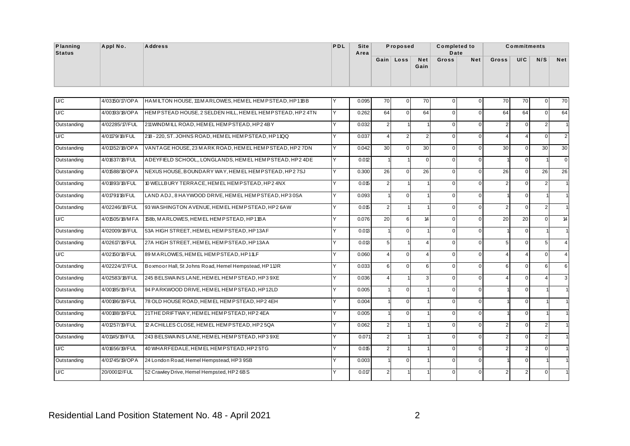| Planning<br>Status | Appl No.       | <b>Address</b>                                          | PDL       | <b>Site</b><br>Area |             | Proposed |             | <b>Completed to</b><br>Date |     |               | <b>Commitments</b> |        |                      |
|--------------------|----------------|---------------------------------------------------------|-----------|---------------------|-------------|----------|-------------|-----------------------------|-----|---------------|--------------------|--------|----------------------|
|                    |                |                                                         |           |                     | $Gain \mid$ | Loss     | Net<br>Gain | Gross                       | Net | Gross         | U/C                | N/S    | <b>Net</b>           |
|                    |                |                                                         |           |                     |             |          |             |                             |     |               |                    |        |                      |
| U/C                | 4/03150/17/OPA | HAMILTON HOUSE, 111 MARLOWES, HEMEL HEMPSTEAD, HP11BB   |           | 0.095               | 70          | 01       | 70          | $\Omega$                    |     | 70            | 70                 |        | 70                   |
| $\mathbf{u}$       | 100000100000   | LUEMBOTEAD HOUGE A OFLDEN UILL LIEMEL HEMBOTEAD HDA 4TM | $\lambda$ | 0.000               | $\sim$ 1    | $\sim$ 1 | $\sim$ 4    | $\sim$ 1                    |     | $\sim$ $\sim$ | $\sim$ $\sim$      | $\sim$ | $\sim$ $\sim$ $\sim$ |

| U/C         | 4/03150/17/OPA | HAMILTON HOUSE, 111 M ARLOWES, HEMEL HEMPSTEAD, HP11BB    |              | 0.095 | 70              | $\overline{0}$ | 70             | $\mathbf{0}$   | $\Omega$ | 70             | 70             | $\overline{0}$         | 70              |
|-------------|----------------|-----------------------------------------------------------|--------------|-------|-----------------|----------------|----------------|----------------|----------|----------------|----------------|------------------------|-----------------|
|             |                |                                                           |              |       |                 |                |                |                |          |                |                |                        |                 |
| U/C         | 4/00193/18/OPA | HEMPSTEAD HOUSE, 2 SELDEN HILL, HEM EL HEMPSTEAD, HP2 4TN | Y            | 0.262 | 64              | $\Omega$       | 64             | $\overline{0}$ | $\Omega$ | 64             | 64             | $\Omega$               | 64              |
| Outstanding | 4/02285/17/FUL | 211 WINDM ILL ROAD, HEM EL HEMPSTEAD, HP24BY              | v            | 0.032 | $\overline{2}$  |                |                | $\overline{0}$ | $\Omega$ | 2              | $\Omega$       | $\overline{2}$         |                 |
| U/C         | 4/01179/18/FUL | 218 - 220, ST. JOHNS ROAD, HEMEL HEMPSTEAD, HP11QQ        | Υ            | 0.037 | $\overline{4}$  | $\overline{2}$ | $\mathfrak{p}$ | $\overline{0}$ | $\Omega$ | $\Delta$       | $\overline{4}$ | $\Omega$               | $\overline{2}$  |
| Outstanding | 4/01352/18/OPA | VANTAGE HOUSE, 23 MARK ROAD, HEM EL HEMP STEAD, HP2 7DN   | Y            | 0.042 | 30 <sup>°</sup> | $\Omega$       | 30             | $\overline{0}$ | $\Omega$ | 30             | $\Omega$       | 30 <sup>1</sup>        | 30 <sub>1</sub> |
| Outstanding | 4/01637/18/FUL | ADEYFIELD SCHOOL,, LONGLANDS, HEM EL HEMPSTEAD, HP24DE    | Y            | 0.012 |                 |                | $\Omega$       | $\overline{0}$ | $\Omega$ |                | $\mathbf 0$    |                        | $\Omega$        |
| Outstanding | 4/01588/18/OPA | NEXUS HOUSE, BOUNDARY WAY, HEMEL HEMPSTEAD, HP27SJ        | $\checkmark$ | 0.300 | 26              | $\Omega$       | 26             | $\overline{0}$ | $\Omega$ | 26             | $\Omega$       | 26                     | 26              |
| Outstanding | 4/01893/18/FUL | 10 WELLBURY TERRACE, HEM EL HEMPSTEAD, HP2 4NX            | $\checkmark$ | 0.015 | $\overline{2}$  |                |                | $\overline{0}$ | $\Omega$ | 2              | $\Omega$       | $\overline{2}$         |                 |
| Outstanding | 4/01791/18/FUL | LAND ADJ., 8 HAYWOOD DRIVE, HEM EL HEM PSTEAD, HP3 0SA    |              | 0.093 |                 | $\Omega$       |                | $\overline{0}$ | $\Omega$ |                | $\Omega$       |                        |                 |
| Outstanding | 4/02246/18/FUL | 93 WASHINGTON AVENUE, HEMEL HEM PSTEAD, HP2 6AW           | v            | 0.015 | $\overline{2}$  |                |                | $\overline{0}$ | $\Omega$ | 2              | $\Omega$       | $\overline{2}$         |                 |
| U/C         | 4/01505/18/MFA | 158b, MARLOWES, HEM EL HEM PSTEAD, HP11BA                 | Y            | 0.076 | 20              | $6 \mid$       | 14             | $\overline{0}$ | $\Omega$ | 20             | 20             | $\Omega$               | 14              |
| Outstanding | 4/02009/18/FUL | 53A HIGH STREET, HEMEL HEMPSTEAD, HP13AF                  | Υ            | 0.013 |                 | $\Omega$       |                | $\overline{0}$ | $\Omega$ |                | $\mathbf 0$    |                        |                 |
| Outstanding | 4/02617/18/FUL | 27A HIGH STREET, HEMEL HEMPSTEAD, HP13AA                  | Υ            | 0.013 | 5 <sup>5</sup>  |                | $\Delta$       | $\overline{0}$ | $\Omega$ | 5 <sub>5</sub> | $\Omega$       | 5 <sub>5</sub>         | $\Delta$        |
| U/C         | 4/02150/18/FUL | 89 MARLOWES, HEM EL HEM PSTEAD, HP11LF                    | v            | 0.060 | $\overline{4}$  | $\Omega$       | $\Delta$       | $\overline{0}$ | $\Omega$ | $\Delta$       | $\overline{4}$ | $\overline{0}$         | $\overline{4}$  |
| Outstanding | 4/02224/17/FUL | Boxmoor Hall, St Johns Road, Hemel Hempstead, HP11JR      | v            | 0.033 | $6 \mid$        | $\Omega$       | 6              | $\overline{0}$ | $\Omega$ | 6              | $\Omega$       | 6                      | $6 \mid$        |
| Outstanding | 4/02583/18/FUL | 245 BELSWAINS LANE, HEM EL HEM PSTEAD, HP3 9XE            |              | 0.036 | $\overline{4}$  |                | 3              | $\Omega$       | $\Omega$ | $\Delta$       | $\Omega$       | $\boldsymbol{\Lambda}$ | $\overline{3}$  |
| Outstanding | 4/00185/19/FUL | 94 PARKWOOD DRIVE, HEM EL HEMPSTEAD, HP12LD               |              | 0.005 |                 | $\Omega$       |                | $\overline{0}$ | $\Omega$ |                | $\Omega$       |                        |                 |
| Outstanding | 4/00186/19/FUL | 78 OLD HOUSE ROAD, HEM EL HEMP STEAD, HP2 4EH             |              | 0.004 |                 | $\Omega$       |                | $\overline{0}$ | $\Omega$ |                | $\Omega$       |                        |                 |
| Outstanding | 4/00188/19/FUL | 21THE DRIFTWAY, HEMEL HEMPSTEAD, HP24EA                   | Υ            | 0.005 |                 | $\Omega$       |                | $\overline{0}$ | $\Omega$ |                | $\Omega$       |                        |                 |
| Outstanding | 4/01257/19/FUL | 12 ACHILLES CLOSE. HEM EL HEMP STEAD. HP 2 5QA            | Y            | 0.062 | $\overline{2}$  |                |                | $\overline{0}$ | $\Omega$ | 2              | $\Omega$       | $\overline{2}$         |                 |
| Outstanding | 4/01145/19/FUL | 243 BELSWAINS LANE, HEM EL HEM PSTEAD, HP3 9XE            | $\checkmark$ | 0.071 | $\overline{2}$  |                |                | $\overline{0}$ | $\Omega$ | 2              | $\Omega$       | $\overline{2}$         |                 |
| U/C         | 4/01656/19/FUL | 40 WHARFEDALE, HEMEL HEMPSTEAD, HP2 5TG                   | v            | 0.015 | $\overline{2}$  |                |                | $\overline{0}$ | $\Omega$ | $\overline{2}$ | $\overline{2}$ | $\Omega$               |                 |
| Outstanding | 4/01745/19/OPA | 24 London Road, Hemel Hempstead, HP3 9SB                  |              | 0.003 |                 | $\Omega$       |                | $\overline{0}$ | $\Omega$ |                | $\Omega$       |                        |                 |
| U/C         | 20/00012/FUL   | 52 Crawley Drive, Hemel Hempsted, HP2 6BS                 | v            | 0.017 | $\overline{2}$  |                |                | $\Omega$       | $\Omega$ | 2              | $\overline{2}$ | $\Omega$               |                 |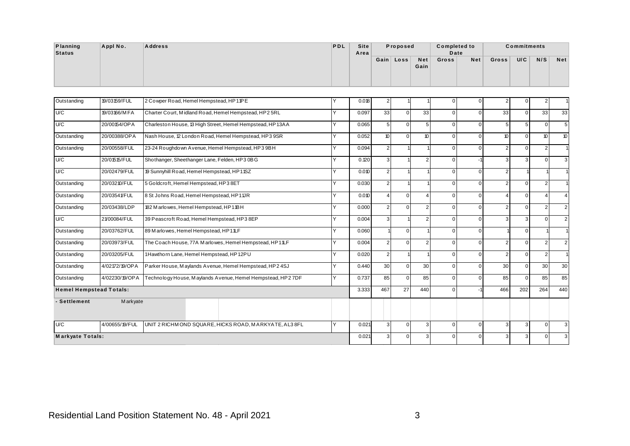| Planning      | Appl No. | <b>Address</b> | PDL | Site | Proposed  |      | <b>Completed to</b> |     |       | <b>Commitments</b> |     |     |
|---------------|----------|----------------|-----|------|-----------|------|---------------------|-----|-------|--------------------|-----|-----|
| <b>Status</b> |          |                |     | Area |           |      | Date                |     |       |                    |     |     |
|               |          |                |     |      | Gain Loss | Net  | Gross               | Net | Gross | U/C                | N/S | Net |
|               |          |                |     |      |           | Gain |                     |     |       |                    |     |     |
|               |          |                |     |      |           |      |                     |     |       |                    |     |     |
|               |          |                |     |      |           |      |                     |     |       |                    |     |     |

| Outstanding                    | 19/03159/FUL   | 2 Cowper Road, Hemel Hempstead, HP11PE                     |   | 0.018 | $\mathbf{2}$     |          |                  | $\overline{0}$ | $\Omega$ | $\overline{2}$ | $\overline{0}$ | 2 <sub>1</sub>   |                 |
|--------------------------------|----------------|------------------------------------------------------------|---|-------|------------------|----------|------------------|----------------|----------|----------------|----------------|------------------|-----------------|
| U/C                            | 19/03166/MFA   | Charter Court, Midland Road, Hemel Hempstead, HP2 5RL      | v | 0.097 | 33               | $\Omega$ | 33               | $\overline{0}$ | $\Omega$ | 33             | $\Omega$       | 33               | 33              |
| U/C                            | 20/00154/OPA   | Charleston House, 13 High Street, Hemel Hempstead, HP13AA  | v | 0.065 | 5 <sup>5</sup>   | $\Omega$ | 5                | $\overline{0}$ | $\Omega$ | 5              | 5              | $\Omega$         | 5               |
| Outstanding                    | 20/00388/OPA   | Nash House, 12 London Road, Hemel Hempstead, HP3 9SR       | Y | 0.052 | 10 <sup>10</sup> | $\Omega$ | 10 <sup>10</sup> | $\overline{0}$ | $\Omega$ | 10             | $\overline{0}$ | 10 <sup>10</sup> | 10 <sup>°</sup> |
| Outstanding                    | 20/00558/FUL   | 23-24 Roughdown Avenue, Hemel Hempstead, HP3 9BH           | v | 0.094 | $\overline{2}$   |          |                  | $\overline{0}$ | $\Omega$ | 2              | $\Omega$       | 2                |                 |
| U/C                            | 20/01515/FUL   | Shothanger, Sheethanger Lane, Felden, HP3 0BG              | v | 0.120 | $\mathbf{3}$     |          | $\mathcal{P}$    | $\overline{0}$ |          | 3              | 3              | $\Omega$         | 3               |
| U/C                            | 20/02479/FUL   | 19 Sunnyhill Road, Hemel Hempstead, HP11SZ                 | v | 0.010 | 2                |          |                  | $\overline{0}$ | $\Omega$ | $\overline{2}$ |                |                  |                 |
| Outstanding                    | 20/03210/FUL   | 5 Goldcroft, Hemel Hempstead, HP3 8ET                      | Y | 0.030 | 2                |          |                  | $\overline{0}$ | $\Omega$ | $\mathcal{P}$  | $\overline{0}$ | 2 <sup>1</sup>   |                 |
| Outstanding                    | 20/03541/FUL   | 8 St Johns Road, Hemel Hempstead, HP11R                    | v | 0.010 | $\Delta$         | $\Omega$ |                  | $\overline{0}$ | $\Omega$ |                | $\overline{0}$ |                  |                 |
| Outstanding                    | 20/03438/LDP   | 182 M arlowes, Hemel Hempstead, HP11BH                     | v | 0.000 | $\overline{2}$   | $\Omega$ | 2                | $\overline{0}$ | $\Omega$ | 2              | $\overline{0}$ | 2 <sub>1</sub>   | 2               |
| U/C                            | 21/00084/FUL   | 39 Peascroft Road, Hemel Hempstead, HP3 8EP                | v | 0.004 | 3 <sup>1</sup>   |          | $\mathfrak{p}$   | $\overline{0}$ | $\Omega$ | 3              | 3              | $\Omega$         | 2               |
| Outstanding                    | 20/03762/FUL   | 89 Marlowes, Hemel Hempstead, HP11LF                       | v | 0.060 |                  | $\Omega$ |                  | $\overline{0}$ | $\Omega$ |                | $\overline{0}$ |                  |                 |
| Outstanding                    | 20/03973/FUL   | The Coach House, 77A Marlowes, Hemel Hempstead, HP11LF     | v | 0.004 | 2                | $\Omega$ | $\mathcal{P}$    | $\Omega$       | $\Omega$ | $\overline{2}$ | $\Omega$       | 2                | $\overline{2}$  |
| Outstanding                    | 20/03205/FUL   | 1Hawthorn Lane, Hemel Hempstead, HP12PU                    | v | 0.020 | $\overline{2}$   |          |                  | $\Omega$       | $\Omega$ | $\mathcal{P}$  | $\Omega$       | 2 <sup>1</sup>   |                 |
| Outstanding                    | 4/02172/19/OPA | Parker House, Maylands Avenue, Hemel Hempstead, HP2 4SJ    | v | 0.440 | 30 <sup>°</sup>  | $\Omega$ | 30               | $\Omega$       | $\Omega$ | 30             | $\Omega$       | 30 <sup>°</sup>  | 30              |
| Outstanding                    | 4/02230/19/OPA | Technology House, Maylands Avenue, Hemel Hempstead, HP27DF | Υ | 0.737 | 85               | $\Omega$ | 85               | $\overline{0}$ | $\Omega$ | 85             | $\overline{0}$ | 85               | 85              |
| <b>Hemel Hempstead Totals:</b> |                |                                                            |   | 3.333 | 467              | 27       | 440              | $\Omega$       |          | 466            | 202            | 264              | 440             |
| - Settlement                   | Markyate       |                                                            |   |       |                  |          |                  |                |          |                |                |                  |                 |
| U/C                            | 4/00655/19/FUL | UNIT 2 RICHMOND SQUARE, HICKS ROAD, MARKYATE, AL3 8FL      |   | 0.021 | 3 <sup>1</sup>   | $\Omega$ | 3                | $\overline{0}$ | $\Omega$ | 3              | 3              | $\Omega$         | 3               |
| <b>Markyate Totals:</b>        |                |                                                            |   | 0.021 | 3 <sup>1</sup>   | $\Omega$ | 3                | $\Omega$       | $\Omega$ | 3              | 3              | $\Omega$         | 3               |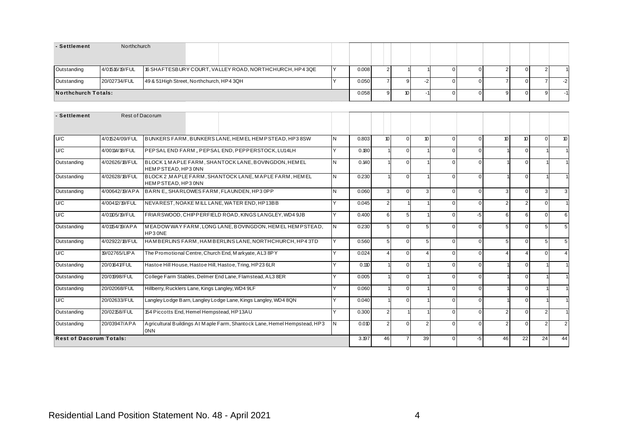| - Settlement        | Northchurch    |                                                         |       |      |  |  |  |      |
|---------------------|----------------|---------------------------------------------------------|-------|------|--|--|--|------|
| Outstanding         | 4/01516/19/FUL | 16 SHAFTESBURY COURT, VALLEY ROAD, NORTHCHURCH, HP4 3QE | 0.008 |      |  |  |  |      |
| Outstanding         | 20/02734/FUL   | 49 & 51 High Street, Northchurch, HP4 3QH               | 0.050 | oι   |  |  |  | $-2$ |
| Northchurch Totals: |                |                                                         | 0.058 | 10 I |  |  |  |      |

| - Settlement                   | Rest of Dacorum |                                                  |    |                                                                           |              |              |                |                  |               |                        |          |               |                |                |                |                  |
|--------------------------------|-----------------|--------------------------------------------------|----|---------------------------------------------------------------------------|--------------|--------------|----------------|------------------|---------------|------------------------|----------|---------------|----------------|----------------|----------------|------------------|
|                                |                 |                                                  |    |                                                                           |              |              |                |                  |               |                        |          |               |                |                |                |                  |
| U/C                            | 4/01524/09/FUL  |                                                  |    | BUNKERS FARM, BUNKERS LANE, HEM EL HEMPSTEAD, HP38SW                      |              | IN.          | 0.803          | 10 <sup>10</sup> | $\Omega$      | 10 <sup>10</sup>       | $\Omega$ | $\Omega$      | 10             | 10             | $\Omega$       | 10 <sup>10</sup> |
| U/C                            | 4/00114/18/FUL  |                                                  |    | PEPSAL END FARM "PEPSAL END, PEPPERSTOCK, LU14LH                          |              | $\checkmark$ | 0.180          |                  | $\Omega$      |                        | $\Omega$ | $\Omega$      |                | $\Omega$       |                |                  |
| Outstanding                    | 4/02626/18/FUL  | HEMPSTEAD.HP30NN                                 |    | BLOCK 1, MAPLE FARM, SHANTOCK LANE, BOVINGDON, HEMEL                      |              | N            | 0.140          |                  |               |                        | 0        | U             |                | $\Omega$       |                |                  |
| Outstanding                    | 4/02628/18/FUL  | HEMPSTEAD.HP30NN                                 |    | BLOCK 2, MAPLE FARM, SHANTOCK LANE, MAPLE FARM, HEMEL                     |              | l N          | 0.230          |                  | $\Omega$      |                        | 0        | $\Omega$      |                | $\Omega$       |                |                  |
| Outstanding                    |                 |                                                  |    | 4/00642/19/APA BARNE, SHARLOWES FARM, FLAUNDEN, HP30PP                    |              | l N          | 0.060          | 3                | $\Omega$      | $\mathcal{R}$          | U        | $\Omega$      | 3              | $\Omega$       | $\mathcal{R}$  |                  |
| U/C                            | 4/00412/19/FUL  | NEVAREST, NOAKE MILL LANE, WATER END, HP13BB     |    |                                                                           | $\checkmark$ | 0.045        | 2              |                  |               | $\Omega$               | $\Omega$ | $\mathcal{P}$ | $\overline{2}$ | $\Omega$       |                |                  |
| U/C                            | 4/01105/19/FUL  |                                                  |    | FRIARSWOOD, CHIPPERFIELD ROAD, KINGS LANGLEY, WD4 9JB                     |              | ΙY           | 0.400          | 6                | 5             |                        | 0        | $-5$          | 6              | 6              | $\Omega$       | 6                |
| Outstanding                    | 4/01154/19/APA  | HP30NE                                           |    | MEADOW WAY FARM, LONG LANE, BOVINGDON, HEMEL HEMPSTEAD,                   |              | IN.          | 0.230          | 5 <sub>1</sub>   | $\Omega$      | 5                      | 0        | $\Omega$      | 5              | $\Omega$       | 5 <sub>l</sub> |                  |
| Outstanding                    | 4/02922/18/FUL  |                                                  |    | HAMBERLINS FARM, HAMBERLINS LANE, NORTHCHURCH, HP43TD                     |              | v            | 0.560          | 5                | $\Omega$      | 5                      | 0        | $\Omega$      | 5              | $\Omega$       | $5^{\circ}$    | .5               |
| U/C                            | 19/02765/LIPA   |                                                  |    | The Promotional Centre, Church End, Markyate, AL3 8PY                     |              | $\checkmark$ | 0.024          | 4                | $\Omega$      | $\boldsymbol{\Lambda}$ | 0        | $\Omega$      |                | 4              | $\Omega$       |                  |
| Outstanding                    | 20/01641/FUL    |                                                  |    | Hastoe Hill House, Hastoe Hill, Hastoe, Tring, HP23 6LR                   |              | $\checkmark$ | 0.110          |                  | $\Omega$      |                        | 0        | $\Omega$      |                | $\Omega$       |                |                  |
| Outstanding                    | 20/01998/FUL    |                                                  |    | College Farm Stables, Delmer End Lane, Flamstead, AL3 8ER                 |              | $\checkmark$ | 0.005          |                  | $\Omega$      |                        | 0        | $\Omega$      |                | $\Omega$       |                |                  |
| Outstanding                    | 20/02068/FUL    | Hillberry, Rucklers Lane, Kings Langley, WD4 9LF |    |                                                                           |              | $\checkmark$ | 0.060          |                  | $\Omega$      |                        | 0        | $\Omega$      |                | $\Omega$       |                |                  |
| U/C                            | 20/02633/FUL    |                                                  |    | Langley Lodge Barn, Langley Lodge Lane, Kings Langley, WD4 8QN            |              | $\vee$       | 0.040          |                  | $\Omega$      |                        | 0        | $\Omega$      |                | $\Omega$       |                |                  |
| Outstanding                    | 20/02158/FUL    | 154 Piccotts End, Hemel Hempstead, HP13AU        |    |                                                                           |              | $\vee$       | 0.300          | 2 <sup>1</sup>   |               |                        | $\Omega$ | $\Omega$      | 2              | $\Omega$       | 2 <sup>1</sup> |                  |
| Outstanding                    | 20/03947/APA    | 0NN                                              |    | Agricultural Buildings At Maple Farm, Shantock Lane, Hemel Hempstead, HP3 | IN.          | 0.010        | $\overline{2}$ | $\Omega$         | $\mathcal{P}$ | 0                      | $\Omega$ | 2             | $\Omega$       | $\overline{2}$ |                |                  |
| <b>Rest of Dacorum Totals:</b> |                 | 3.197                                            | 46 |                                                                           | 39           | $\Omega$     | $-5$           | 46               | 22            | 24                     | 44       |               |                |                |                |                  |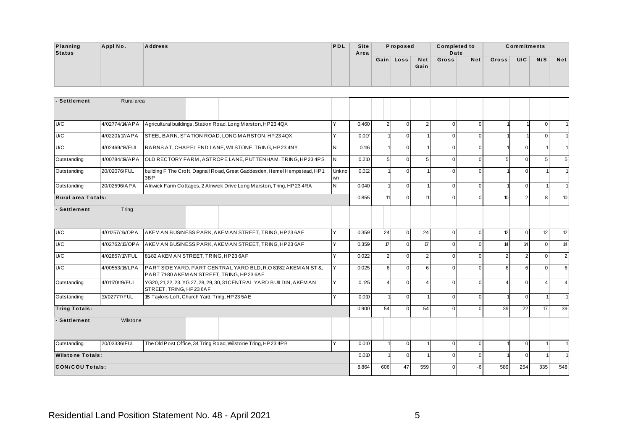| Planning      | Appl No. | <b>Address</b> | PDL | Site | Proposed  |      | <b>Completed to</b> |     |       | <b>Commitments</b> |     |     |
|---------------|----------|----------------|-----|------|-----------|------|---------------------|-----|-------|--------------------|-----|-----|
| <b>Status</b> |          |                |     | Area |           |      | Date                |     |       |                    |     |     |
|               |          |                |     |      | Gain Loss | Net  | Gross               | Net | Gross | U/C                | N/S | Net |
|               |          |                |     |      |           | Gain |                     |     |       |                    |     |     |
|               |          |                |     |      |           |      |                     |     |       |                    |     |     |
|               |          |                |     |      |           |      |                     |     |       |                    |     |     |

| - Settlement            | Rural area     |                                              |       |                                                                                                              |              |       |                |                |                |                |             |                |                |          |                |
|-------------------------|----------------|----------------------------------------------|-------|--------------------------------------------------------------------------------------------------------------|--------------|-------|----------------|----------------|----------------|----------------|-------------|----------------|----------------|----------|----------------|
|                         |                |                                              |       |                                                                                                              |              |       |                |                |                |                |             |                |                |          |                |
| U/C                     | 4/02774/14/APA |                                              |       | Agricultural buildings, Station Road, Long Marston, HP23 4QX                                                 |              | 0.460 | 2 <sup>1</sup> | $\overline{0}$ | $\overline{2}$ | $\Omega$       | $\Omega$    |                |                | $\Omega$ |                |
| U/C                     | 4/02201/17/APA |                                              |       | STEEL BARN, STATION ROAD, LONG MARSTON, HP23 4QX                                                             | Y            | 0.017 |                | $\Omega$       |                | $\Omega$       | $\Omega$    |                |                | $\Omega$ |                |
| U/C                     | 4/02469/18/FUL |                                              |       | BARNS AT, CHAPEL END LANE, WILSTONE, TRING, HP234NY                                                          | N            | 0.116 |                | $\overline{0}$ |                | $\Omega$       | $\Omega$    |                | $\overline{0}$ |          |                |
| Outstanding             | 4/00784/19/APA |                                              |       | OLD RECTORY FARM, ASTROPE LANE, PUTTENHAM, TRING, HP234PS                                                    | N            | 0.210 | 5 <sup>1</sup> | $\Omega$       | 5              | $\Omega$       | $\Omega$    | 5              | $\Omega$       | 5        | 5              |
| Outstanding             | 20/02076/FUL   | 3BP                                          |       | building F The Croft, Dagnall Road, Great Gaddesden, Hemel Hempstead, HP1                                    | Unkno<br>wn  | 0.012 |                | $\Omega$       |                | $\Omega$       | $\Omega$    |                | $\overline{0}$ |          |                |
| Outstanding             | 20/02596/APA   |                                              |       | Alnwick Farm Cottages, 2 Alnwick Drive Long Marston, Tring, HP23 4RA                                         | N            | 0.040 |                | $\Omega$       |                | $\Omega$       | $\Omega$    |                | $\overline{0}$ |          |                |
| Rural area Totals:      |                |                                              |       |                                                                                                              |              | 0.855 | 11             | $\Omega$       | 11             | $\Omega$       | $\Omega$    | 10             | $\overline{2}$ | 8        | 10             |
| - Settlement            | Tring          |                                              |       |                                                                                                              |              |       |                |                |                |                |             |                |                |          |                |
| U/C                     | 4/01257/16/OPA |                                              |       | AKEMAN BUSINESS PARK, AKEMAN STREET, TRING, HP236AF                                                          | $\checkmark$ | 0.359 | 24             | $\overline{0}$ | 24             | $\Omega$       | $\Omega$    | 12             | $\overline{0}$ | 12       | 12             |
| U/C                     | 4/02762/16/OPA |                                              |       | AKEM AN BUSINESS PARK, AKEM AN STREET, TRING, HP23 6AF                                                       | $\checkmark$ | 0.359 | $\mathcal{L}$  | $\Omega$       | $\mathcal{T}$  | $\Omega$       | $\Omega$    | 14             | 14             | $\Omega$ | 14             |
| U/C                     | 4/02857/17/FUL | 81-82 AKEMAN STREET, TRING, HP23 6AF         |       |                                                                                                              | $\checkmark$ | 0.022 | 2 <sup>1</sup> | $\Omega$       | $\overline{2}$ | $\Omega$       | $\Omega$    | $\overline{2}$ | $\overline{2}$ | $\Omega$ | $\overline{2}$ |
| U/C                     | 4/00553/18/LPA |                                              |       | PART SIDE YARD, PART CENTRAL YARD BLD, R.O 81/82 AKEMAN ST &,<br>PART 71-80 AKEM AN STREET, TRING, HP 23 6AF |              | 0.025 | 6 <sup>1</sup> | $\overline{0}$ | 6              | $\Omega$       | $\Omega$    | 6              | 6              | $\Omega$ | 6              |
| Outstanding             | 4/01170/19/FUL | STREET, TRING, HP236AF                       |       | YG20, 21, 22, 23. YG 27, 28, 29, 30, 31 CENTRAL YARD BUILDIN, AKEMAN                                         |              | 0.125 | $\overline{4}$ | $\Omega$       | $\Delta$       | $\Omega$       | $\Omega$    | $\overline{4}$ | $\overline{0}$ | Δ        | $\overline{4}$ |
| Outstanding             | 19/02777/FUL   | 1B Taylors Loft, Church Yard, Tring, HP235AE |       |                                                                                                              | <b>Y</b>     | 0.010 |                | $\overline{0}$ |                | $\Omega$       | $\mathbf 0$ |                | $\overline{0}$ |          |                |
| <b>Tring Totals:</b>    |                |                                              |       |                                                                                                              |              | 0.900 | 54             | $\Omega$       | 54             | $\Omega$       | $\Omega$    | 39             | 22             | 17       | 39             |
| - Settlement            | Wilstone       |                                              |       |                                                                                                              |              |       |                |                |                |                |             |                |                |          |                |
| Outstanding             | 20/03336/FUL   |                                              |       | The Old Post Office, 34 Tring Road, Wilstone Tring, HP23 4PB                                                 | v            | 0.010 |                | $\overline{0}$ |                | $\overline{0}$ | $\mathbf 0$ |                | $\overline{0}$ |          |                |
| <b>Wilstone Totals:</b> |                |                                              | 0.010 |                                                                                                              | $\Omega$     |       | $\Omega$       | $\Omega$       |                | $\Omega$       |             |                |                |          |                |
| <b>CON/COU Totals:</b>  |                |                                              |       |                                                                                                              | 8.864        | 606   | 47             | 559            | $\Omega$       | -6             | 589         | 254            | 335            | 548      |                |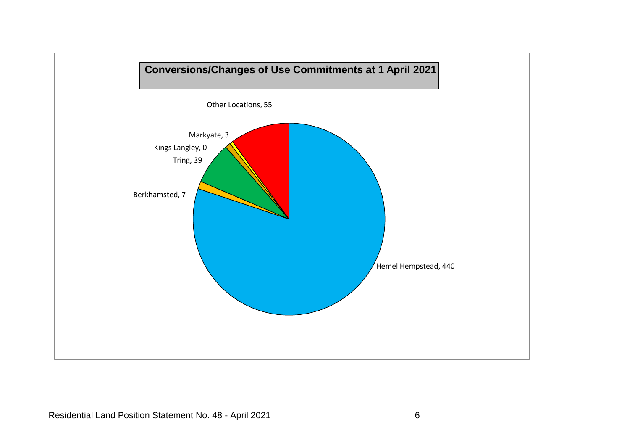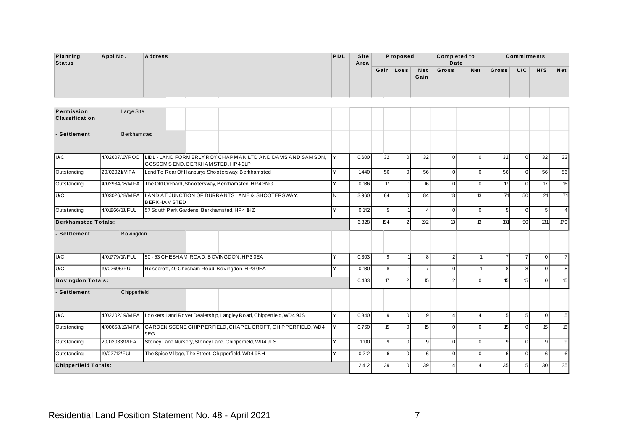| Planning<br><b>Status</b>           | Appl No.   | <b>Address</b> |  |  | PDL | Site<br>Area | Proposed  |             | <b>Completed to</b><br>Date |     |       | <b>Commitments</b> |     |            |
|-------------------------------------|------------|----------------|--|--|-----|--------------|-----------|-------------|-----------------------------|-----|-------|--------------------|-----|------------|
|                                     |            |                |  |  |     |              | Gain Loss | Net<br>Gain | Gross                       | Net | Gross | U/C                | N/S | <b>Net</b> |
| Permission<br><b>Classification</b> | Large Site |                |  |  |     |              |           |             |                             |     |       |                    |     |            |

| Permission<br><b>Classification</b> | Large Site         |                                             |                                                                                   |              |       |                |                |                |                |             |                |                 |                 |                |
|-------------------------------------|--------------------|---------------------------------------------|-----------------------------------------------------------------------------------|--------------|-------|----------------|----------------|----------------|----------------|-------------|----------------|-----------------|-----------------|----------------|
| - Settlement                        | <b>Berkhamsted</b> |                                             |                                                                                   |              |       |                |                |                |                |             |                |                 |                 |                |
| U/C                                 | 4/02607/17/ROC     | GOSSOM S END, BERKHAM STED, HP4 3LP         | LIDL - LAND FORMERLY ROY CHAPMAN LTD AND DAVIS AND SAMSON,                        | ΙY           | 0.600 | 32             | $\Omega$       | 32             | $\Omega$       | $\Omega$    | 32             | $\overline{0}$  | 32              | 32             |
| Outstanding                         | 20/02021/MFA       |                                             | Land To Rear Of Hanburys Shootersway, Berkhamsted                                 |              | 1.440 | 56             | $\Omega$       | 56             | $\Omega$       | $\mathbf 0$ | 56             | $\overline{0}$  | 56              | 56             |
| Outstanding                         | 4/02934/18/MFA     |                                             | The Old Orchard, Shootersway, Berkhamsted, HP4 3NG                                |              | 0.186 | $\mathcal{L}$  |                | 16             | $\Omega$       | $\mathbf 0$ | 17             | $\overline{0}$  | 17              | 16             |
| U/C                                 | 4/03026/18/MFA     | <b>BERKHAMSTED</b>                          | LAND AT JUNCTION OF DURRANTS LANE &, SHOOTERSWAY,                                 | N.           | 3.960 | 84             | $\Omega$       | 84             | 13             | 13          | 71             | 50              | 21              | 71             |
| Outstanding                         | 4/01866/18/FUL     | 57 South Park Gardens, Berkhamsted, HP4 1HZ |                                                                                   | <b>Y</b>     | 0.142 | 5 <sub>5</sub> |                | $\Delta$       | $\Omega$       | $\mathbf 0$ | 5              | $\mathbf 0$     | 5 <sup>1</sup>  | $\overline{4}$ |
| <b>Berkhamsted Totals:</b>          |                    |                                             |                                                                                   |              | 6.328 | 194            | $\mathfrak{p}$ | 192            | 13             | 13          | 181            | 50              | 131             | 179            |
| - Settlement                        | Bovingdon          |                                             |                                                                                   |              |       |                |                |                |                |             |                |                 |                 |                |
| <b>U</b> C                          | 4/01779/17/FUL     | 50 - 53 CHESHAM ROAD, BOVINGDON, HP3 0EA    |                                                                                   | Y            | 0.303 | 9 <sup>1</sup> |                | 8              | 2 <sub>1</sub> |             | $\overline{7}$ | $\overline{7}$  | $\Omega$        | $\overline{7}$ |
| U/C                                 | 19/02696/FUL       |                                             | Rosecroft, 49 Chesham Road, Bovingdon, HP3 0EA                                    | Υ            | 0.180 | 8 <sup>1</sup> |                | $\overline{7}$ | $\Omega$       | $-1$        | 8              | 8               | $\overline{0}$  | 8              |
| <b>Bovingdon Totals:</b>            |                    |                                             |                                                                                   |              | 0.483 | $\overline{7}$ | $\mathcal{P}$  | 15             | 2 <sup>1</sup> | $\Omega$    | 15             | 15              | $\Omega$        | 15             |
| - Settlement                        | Chipperfield       |                                             |                                                                                   |              |       |                |                |                |                |             |                |                 |                 |                |
| U/C                                 |                    |                                             | 4/02202/19/MFA Lookers Land Rover Dealership, Langley Road, Chipperfield, WD4 9JS | $\checkmark$ | 0.340 | 9 <sub>l</sub> | $\Omega$       | 9              | $\overline{4}$ | $\Delta$    | 5              | $5\phantom{.0}$ | $\Omega$        | $\,$ 5 $\,$    |
| Outstanding                         | 4/00658/19/MFA     | 9EG                                         | GARDEN SCENE CHIPPERFIELD, CHAPEL CROFT, CHIPPERFIELD, WD4                        | Y            | 0.760 | 15             | $\Omega$       | 15             | $\Omega$       | $\Omega$    | 15             | $\overline{0}$  | 15              | 15             |
| Outstanding                         | 20/02033/MFA       |                                             | Stoney Lane Nursery, Stoney Lane, Chipperfield, WD4 9LS                           | $\checkmark$ | 1,100 | 9 <sub>l</sub> | $\Omega$       | 9 <sub>l</sub> | $\Omega$       | $\Omega$    | 9              | $\overline{0}$  | $\overline{9}$  | 9              |
| Outstanding                         | 19/02712/FUL       |                                             | The Spice Village, The Street, Chipperfield, WD4 9BH                              | Y            | 0.212 | $6 \mid$       | $\Omega$       | 6              | $\Omega$       | $\Omega$    | 6              | $\Omega$        | 6               | 6              |
| <b>Chipperfield Totals:</b>         |                    |                                             |                                                                                   |              | 2.412 | 39             | $\Omega$       | 39             | 4              | $\Delta$    | 35             | 5 <sub>5</sub>  | 30 <sub>1</sub> | 35             |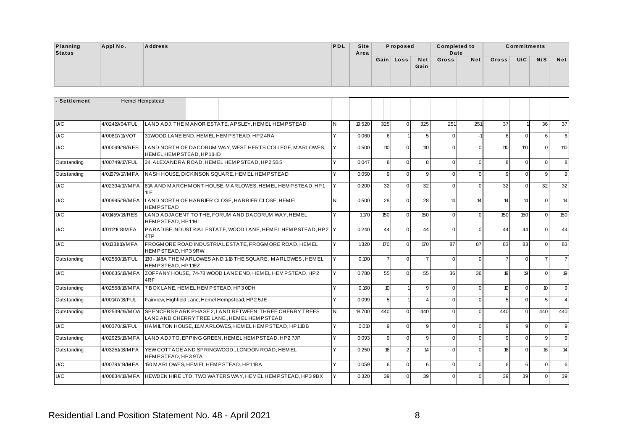| Planning | Appl No. | <b>Address</b> | PDL | Site | Proposed  |      | <b>Completed to</b> |     |       | <b>Commitments</b> |     |            |
|----------|----------|----------------|-----|------|-----------|------|---------------------|-----|-------|--------------------|-----|------------|
| Status   |          |                |     | Area |           |      | Date                |     |       |                    |     |            |
|          |          |                |     |      | Gain Loss | Net  | Gross               | Net | Gross | U/C                | N/S | <b>Net</b> |
|          |          |                |     |      |           | Gain |                     |     |       |                    |     |            |
|          |          |                |     |      |           |      |                     |     |       |                    |     |            |
|          |          |                |     |      |           |      |                     |     |       |                    |     |            |

| - Settlement |                 | <b>Hemel Hempstead</b>                                                                                   |   |        |                  |                |                        |                |          |                |                |                  |                        |
|--------------|-----------------|----------------------------------------------------------------------------------------------------------|---|--------|------------------|----------------|------------------------|----------------|----------|----------------|----------------|------------------|------------------------|
|              |                 |                                                                                                          |   |        |                  |                |                        |                |          |                |                |                  |                        |
| U/C          | 4/02419/04/FUL  | LAND ADJ. THE MANOR ESTATE. APSLEY. HEMEL HEMPSTEAD                                                      | N | 19.520 | 325              | $\Omega$       | 325                    | 251            | 251      | 37             |                | 36               | 37                     |
| U/C          | 4/00817/11/VOT  | 31WOOD LANE END. HEM EL HEMPSTEAD. HP24RA                                                                | Y | 0.060  | $6 \mid$         |                | 5 <sub>1</sub>         | $\overline{0}$ |          | 6              | $\Omega$       | $6 \overline{6}$ | 6                      |
| U/C          | 4/00049/19/RES  | LAND NORTH OF DACORUM WAY, WEST HERTS COLLEGE, MARLOWES,<br>HEMELHEMPSTEAD.HP11HD                        |   | 0.500  | 110              | $\Omega$       | 110                    | $\Omega$       | $\Omega$ | 110            | 110            | $\Omega$         | 110                    |
| Outstanding  | 4/00749/17/FUL  | 34, ALEXANDRA ROAD, HEMEL HEMPSTEAD, HP25BS                                                              | v | 0.047  | 8                | $\Omega$       | 8                      | $\overline{0}$ | $\Omega$ | 8              | $\mathbf{0}$   | 8 <sup>1</sup>   | 8                      |
| Outstanding  | 4/01679/17/MFA  | NASH HOUSE, DICKINSON SQUARE, HEMEL HEMPSTEAD                                                            | Y | 0.050  | 9 <sub>l</sub>   | $\Omega$       | $\mathsf{Q}$           | $\overline{0}$ | $\Omega$ | $\mathbf{q}$   | $\mathbf{0}$   | 9                | 9                      |
| U/C          | 4/02394/17/MFA  | 81A AND MARCHMONT HOUSE, MARLOWES, HEMEL HEMPSTEAD, HP1<br>1LF                                           | Y | 0.200  | 32               | $\Omega$       | 32                     | $\overline{0}$ | $\Omega$ | 32             | $\Omega$       | 32               | 32                     |
| U/C          | 4/00995/18/M FA | LAND NORTH OF HARRIER CLOSE, HARRIER CLOSE, HEMEL<br><b>HEMPSTEAD</b>                                    | N | 0.500  | 28               | $\Omega$       | 28                     | 14             | 14       | 14             | 14             | $\Omega$         | 14                     |
| U/C          | 4/01459/18/RES  | LAND ADJACENT TO THE. FORUM AND DACORUM WAY, HEMEL<br>HEMPSTEAD, HP11HL                                  | Υ | 1.170  | 150              | $\Omega$       | 150                    | $\Omega$       | $\Omega$ | 150            | 150            | $\Omega$         | 150                    |
| U/C          | 4/01121/18/MFA  | PARADISE INDUSTRIAL ESTATE, WOOD LANE, HEMEL HEMPSTEAD, HP2<br>4TP                                       |   | 0.240  | 44               | $\Omega$       | 44                     | $\overline{0}$ | $\Omega$ | 44             | 44             | $\Omega$         | 44                     |
| U/C          | 4/01331/18/MFA  | FROGMORE ROAD INDUSTRIAL ESTATE, FROGMORE ROAD, HEMEL<br>HEMPSTEAD, HP3 9RW                              | Y | 1.320  | 170              | $\Omega$       | 170                    | 87             | 87       | 83             | 83             | $\Omega$         | 83                     |
| Outstanding  | 4/02550/18/FUL  | 130 - 148A THE MARLOWES AND 1-18 THE SQUARE, MARLOWES, HEMEL<br>HEMPSTEAD.HP11EZ                         | Y | 0.100  | $\overline{7}$   | $\Omega$       | $\overline{7}$         | $\Omega$       | $\Omega$ | $\overline{7}$ | $\Omega$       | $\overline{7}$   | $\overline{7}$         |
| U/C          | 4/00635/18/MFA  | ZOFFANY HOUSE, 74-78 WOOD LANE END, HEMEL HEMPSTEAD, HP2<br>4RF                                          | v | 0.780  | 55               | $\Omega$       | 55                     | 36             | 36       | 19             | 19             | $\Omega$         | 19                     |
| Outstanding  | 4/02558/18/MFA  | 7 BOX LANE, HEMEL HEMPSTEAD, HP3 0DH                                                                     | Y | 0.160  | 10 <sup>10</sup> |                | $\overline{9}$         | $\overline{0}$ | $\Omega$ | 10             | $\Omega$       | 10 <sup>10</sup> | 9                      |
| Outstanding  | 4/00147/18/FUL  | Fairview, Highfield Lane, Hemel Hempstead, HP2 5JE                                                       | Y | 0.099  | 5 <sup>1</sup>   |                | $\boldsymbol{\Lambda}$ | $\overline{0}$ | $\Omega$ | 5              | $\mathbf{0}$   | 5 <sup>1</sup>   | $\boldsymbol{\Lambda}$ |
| Outstanding  | 4/02539/16/MOA  | SPENCERS PARK PHASE 2. LAND BETWEEN. THREE CHERRY TREES<br>LANE AND CHERRY TREE LANE,, HEM EL HEM PSTEAD | N | 18.700 | 440              | $\Omega$       | 440                    | $\Omega$       | $\Omega$ | 440            | $\Omega$       | 440              | 440                    |
| U/C          | 4/00370/19/FUL  | HAMILTON HOUSE, 111 M ARLOWES, HEMEL HEMPSTEAD, HP11BB                                                   | Y | 0.010  | 9 <sub>l</sub>   | $\Omega$       | $\mathbf{q}$           | $\overline{0}$ | $\Omega$ | $\mathbf{Q}$   | 9              | $\Omega$         | 9                      |
| Outstanding  | 4/02925/18/M FA | LAND ADJ TO, EPPING GREEN, HEMEL HEMPSTEAD, HP27JP                                                       | Y | 0.093  | 9 <sub>l</sub>   | $\Omega$       | $\mathbf{q}$           | $\Omega$       | $\Omega$ | $\mathbf{q}$   | $\overline{0}$ | 9                | 9                      |
| Outstanding  | 4/03251/18/MFA  | YEW COTTAGE AND SPRINGWOOD,, LONDON ROAD, HEMEL<br>HEMPSTEAD, HP39TA                                     | v | 0.250  | 16               | $\overline{2}$ | 14                     | $\overline{0}$ | $\Omega$ | 16             | $\Omega$       | 16               | 14                     |
| U/C          | 4/00791/19/MFA  | 150 M ARLOWES, HEM EL HEM PSTEAD, HP11BA                                                                 | Υ | 0.059  | $6 \mid$         | $\Omega$       | 6                      | $\overline{0}$ | $\Omega$ | 6              | 6              | $\Omega$         | 6                      |
| U/C          | 4/00834/18/MFA  | HEWDEN HIRE LTD. TWO WATERS WAY, HEMEL HEMPSTEAD, HP3 9BX                                                | Y | 0.320  | 39               | $\Omega$       | 39                     | $\overline{0}$ | $\Omega$ | 39             | 39             | $\Omega$         | 39                     |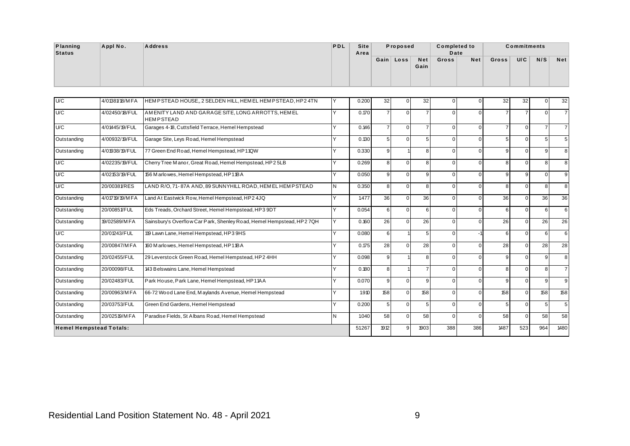| Planning     | Appl No.       | <b>Address</b>                                          | PDL          | <b>Site</b> |                 | Proposed  |                    | <b>Completed to</b> |        |                 | <b>Commitments</b> |        |            |
|--------------|----------------|---------------------------------------------------------|--------------|-------------|-----------------|-----------|--------------------|---------------------|--------|-----------------|--------------------|--------|------------|
| Status       |                |                                                         |              | Area        |                 | Gain Loss | <b>Net</b><br>Gain | Date<br>Gross       | Net    | Gross           | U/C                | N/S    | <b>Net</b> |
| U/C          | 4/01381/18/MFA | HEMPSTEAD HOUSE, 2 SELDEN HILL, HEMEL HEMPSTEAD, HP24TN | IY           | 0.200       | 32              | ΟI        | 32                 |                     |        | 32 <sub>1</sub> | 32                 |        | 32         |
| $\mathbf{u}$ | 1004501401718  | AMENITY LAND AND OADA OF OTEL ONO ADDOTTO LIEMEL        | $\mathbf{L}$ | 0.520       | $\rightarrow$ 1 | $\sim$ 1  | $\rightarrow$ 1    | $\sim$              | $\sim$ | $\rightarrow$ 1 | $\rightarrow$      | $\sim$ |            |

| U/C                            | 4/01381/18/MFA | HEMPSTEAD HOUSE, 2 SELDEN HILL, HEMEL HEMPSTEAD, HP24TN               | Y        | 0.200 | 32               | $\Omega$ | 32             |              | $\Omega$ | 32             | 32             | n               | 32             |
|--------------------------------|----------------|-----------------------------------------------------------------------|----------|-------|------------------|----------|----------------|--------------|----------|----------------|----------------|-----------------|----------------|
| U/C                            | 4/02450/18/FUL | AMENITY LAND AND GARAGE SITE, LONG ARROTTS, HEMEL<br><b>HEMPSTEAD</b> | <b>Y</b> | 0.170 | $\overline{7}$   | $\Omega$ | $\overline{7}$ | U            | $\Omega$ | 7              | $\overline{7}$ | $\Omega$        | $\overline{7}$ |
| U/C                            | 4/01445/19/FUL | Garages 4-18, Cuttsfield Terrace, Hemel Hempstead                     | $\vee$   | 0.146 | $\overline{7}$   | $\Omega$ | $\overline{7}$ | <sup>0</sup> | $\Omega$ | $\overline{7}$ | $\Omega$       | $\overline{7}$  | $\overline{7}$ |
| Outstanding                    | 4/00932/19/FUL | Garage Site, Leys Road, Hemel Hempstead                               | <b>Y</b> | 0.130 | 5 <sup>1</sup>   | $\Omega$ | 5 <sup>1</sup> | $\Omega$     | $\Omega$ | 5              | $\Omega$       |                 | 5              |
| Outstanding                    | 4/01938/19/FUL | 77 Green End Road, Hemel Hempstead, HP11QW                            | $\vee$   | 0.330 | 9                |          | 8              | O            | $\Omega$ | 9              | $\Omega$       | q               | 8              |
| U/C                            | 4/02235/19/FUL | Cherry Tree Manor, Great Road, Hemel Hempstead, HP2 5LB               | $\vee$   | 0.269 | 8 <sup>1</sup>   | $\Omega$ | 8              | $\Omega$     | $\Omega$ | 8              | $\Omega$       | 8               | 8              |
| U/C                            | 4/02153/19/FUL | 156 M arlowes, Hemel Hempstead, HP11BA                                | $\vee$   | 0.050 | $\overline{9}$   | $\Omega$ | 9              | U            | $\Omega$ | 9              | 9              | $\Omega$        | 9              |
| U/C                            | 20/00381/RES   | LAND R/O, 71-87A AND, 89 SUNNYHILL ROAD, HEM EL HEMPSTEAD             | IN.      | 0.350 | 8                | $\Omega$ | 8              | $\Omega$     | $\Omega$ | 8              | $\overline{0}$ | 8               | 8              |
| Outstanding                    | 4/01719/19/MFA | Land At Eastwick Row, Hemel Hempstead, HP2 4JQ                        | <b>Y</b> | 1.477 | 36               | $\Omega$ | 36             | $\Omega$     | $\Omega$ | 36             | $\Omega$       | 36              | 36             |
| Outstanding                    | 20/00851/FUL   | Eds Treads, Orchard Street, Hemel Hempstead, HP3 9DT                  | Y        | 0.054 | $6 \overline{6}$ | $\Omega$ | 6              | n            | $\Omega$ | 6              | $\Omega$       | 6               | 6              |
| Outstanding                    | 19/02589/M FA  | Sainsbury's Overflow Car Park, Shenley Road, Hemel Hempstead, HP2 7QH | İΥ       | 0.160 | 26               | $\Omega$ | 26             | $\Omega$     | $\Omega$ | 26             | $\Omega$       | $\overline{26}$ | 26             |
| U/C                            | 20/01243/FUL   | 119 Lawn Lane, Hemel Hempstead, HP3 9HS                               | <b>Y</b> | 0.080 | $6 \overline{6}$ |          | 5 <sup>1</sup> | $\Omega$     |          | 6              | $\Omega$       | 6               | 6              |
| Outstanding                    | 20/00847/MFA   | 160 M arlowes, Hemel Hempstead, HP11BA                                | Y        | 0.175 | 28               | $\Omega$ | 28             | n            | $\Omega$ | 28             | $\Omega$       | 28              | 28             |
| Outstanding                    | 20/02455/FUL   | 29 Leverstock Green Road, Hemel Hempstead, HP2 4HH                    | $\vee$   | 0.098 | $\overline{9}$   |          | 8              | O            | $\Omega$ | 9              | $\Omega$       | $\mathbf{q}$    | 8              |
| Outstanding                    | 20/00098/FUL   | 143 Belswains Lane, Hemel Hempstead                                   | $\vee$   | 0.180 | 8                |          | $\overline{7}$ | $\Omega$     | $\Omega$ | 8              | $\Omega$       | 8               | $\overline{7}$ |
| Outstanding                    | 20/02483/FUL   | Park House, Park Lane, Hemel Hempstead, HP11AA                        | $\vee$   | 0.070 | 9                | $\Omega$ | 9              | n            | $\Omega$ | 9              | $\Omega$       | $\alpha$        | 9              |
| Outstanding                    | 20/00963/MFA   | 66-72 Wood Lane End, Maylands Avenue, Hemel Hempstead                 | Y        | 1.910 | 158              | $\Omega$ | 158            | O            | $\Omega$ | 158            | $\Omega$       | 158             | 158            |
| Outstanding                    | 20/03753/FUL   | Green End Gardens, Hemel Hempstead                                    | $\vee$   | 0.200 | 5 <sup>5</sup>   | $\Omega$ | 5 <sup>1</sup> | $\Omega$     | $\Omega$ | 5              | $\Omega$       | 5               | 5              |
| Outstanding                    | 20/02519/MFA   | Paradise Fields, St Albans Road, Hemel Hempstead                      | IN.      | 1.040 | 58               | $\Omega$ | 58             | $\Omega$     | $\Omega$ | 58             | $\Omega$       | 58              | 58             |
| <b>Hemel Hempstead Totals:</b> |                |                                                                       |          | 51267 | 1912             | 9        | 1903           | 388          | 386      | 1487           | 523            | 964             | 1480           |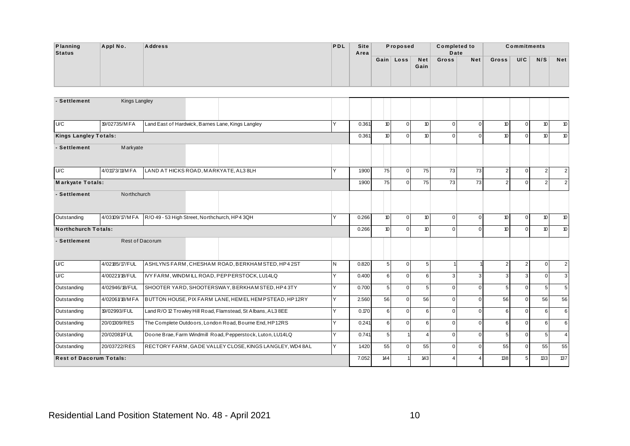| <b>Planning</b> | Appl No. | <b>Address</b> | PDL | Site |          |           |      | <b>Completed to</b> |     |       | <b>Commitments</b> |     |            |
|-----------------|----------|----------------|-----|------|----------|-----------|------|---------------------|-----|-------|--------------------|-----|------------|
| <b>Status</b>   |          |                |     | Area | Proposed |           |      | Date                |     |       |                    |     |            |
|                 |          |                |     |      |          | Gain Loss | Net  | Gross               | Net | Gross | U/C                | N/S | <b>Net</b> |
|                 |          |                |     |      |          |           | Gain |                     |     |       |                    |     |            |
|                 |          |                |     |      |          |           |      |                     |     |       |                    |     |            |
|                 |          |                |     |      |          |           |      |                     |     |       |                    |     |            |

| Planning<br><b>Status</b>    | Appl No.                       | <b>Address</b>                                |                                                              | PDL | <b>Site</b><br>Area |         | Proposed       |                    | <b>Completed to</b><br>Date |                |                  | <b>Commitments</b> |                  |                  |
|------------------------------|--------------------------------|-----------------------------------------------|--------------------------------------------------------------|-----|---------------------|---------|----------------|--------------------|-----------------------------|----------------|------------------|--------------------|------------------|------------------|
|                              |                                |                                               |                                                              |     |                     |         | Gain   Loss    | <b>Net</b><br>Gain | Gross                       | Net            | Gross            | U/C                | N/S              | <b>Net</b>       |
| - Settlement                 | <b>Kings Langley</b>           |                                               |                                                              |     |                     |         |                |                    |                             |                |                  |                    |                  |                  |
| U/C                          | 19/02735/MFA                   |                                               | Land East of Hardwick, Barnes Lane, Kings Langley            | Y   | 0.361               | $10$    | $\overline{0}$ | 10 <sup>10</sup>   | $\overline{0}$              | $\overline{0}$ | 10               | $\mathbf 0$        | 10               | 10 <sup>°</sup>  |
| <b>Kings Langley Totals:</b> |                                |                                               |                                                              |     | 0.361               | 10      | $\overline{0}$ | 10 <sup>°</sup>    | $\overline{0}$              | $\Omega$       | 10               | $\overline{0}$     | 10 <sup>°</sup>  | 10 <sup>10</sup> |
| - Settlement                 | Markyate                       |                                               |                                                              |     |                     |         |                |                    |                             |                |                  |                    |                  |                  |
| U/C                          | 4/01173/11/MFA                 | LAND AT HICKS ROAD, MARKYATE, AL3 8LH         |                                                              | Y   | 1.900               | 75      | $\overline{0}$ | 75                 | 73                          | 73             | $\overline{2}$   | $\mathbf 0$        | $\overline{2}$   | $\overline{2}$   |
| <b>Markyate Totals:</b>      |                                |                                               |                                                              |     | 1.900               | 75      | $\overline{0}$ | 75                 | 73                          | 73             | $\overline{2}$   | $\mathbf 0$        | $\overline{2}$   | $\overline{2}$   |
| - Settlement                 | Northchurch                    |                                               |                                                              |     |                     |         |                |                    |                             |                |                  |                    |                  |                  |
| Outstanding                  | 4/03109/17/MFA                 | R/O 49 - 53 High Street, Northchurch, HP4 3QH |                                                              | Y   | 0.266               | 10      | $\overline{0}$ | 10 <sup>°</sup>    | $\overline{0}$              | $\overline{0}$ | 10               | $\mathbf 0$        | 10 <sup>°</sup>  | $10$             |
| <b>Northchurch Totals:</b>   |                                |                                               |                                                              |     | 0.266               | 10      | $\overline{0}$ | 10 <sup>10</sup>   | $\overline{0}$              | $\Omega$       | 10 <sup>10</sup> | $\overline{0}$     | 10 <sup>°</sup>  | 10 <sup>°</sup>  |
| - Settlement                 | Rest of Dacorum                |                                               |                                                              |     |                     |         |                |                    |                             |                |                  |                    |                  |                  |
| U/C                          | 4/02185/17/FUL                 |                                               | ASHLYNS FARM, CHESHAM ROAD, BERKHAM STED, HP4 2ST            | N   | 0.820               | 5       | $\overline{0}$ | 5 <sup>5</sup>     |                             |                | $\overline{2}$   | $\overline{2}$     | $\overline{0}$   | $\overline{2}$   |
| U/C                          | 4/00221/18/FUL                 |                                               | IVY FARM, WINDMILL ROAD, PEPPERSTOCK, LU14LQ                 | Υ   | 0.400               | $\,6\,$ | $\overline{0}$ | $6 \overline{6}$   | 3                           | 3              | 3                | 3                  | $\Omega$         | $\overline{3}$   |
| Outstanding                  | 4/02946/18/FUL                 |                                               | SHOOTER YARD, SHOOTERSWAY, BERKHAM STED, HP43TY              | Y   | 0.700               | 5       | $\overline{0}$ | 5 <sub>1</sub>     | $\overline{0}$              | $\overline{0}$ | $5\phantom{.0}$  | $\mathbf 0$        | 5 <sub>5</sub>   | 5                |
| Outstanding                  | 4/02061/18/MFA                 |                                               | BUTTON HOUSE, PIX FARM LANE, HEMEL HEMPSTEAD, HP12RY         | Y   | 2.560               | 56      | $\overline{0}$ | 56                 | $\mathbf{0}$                | $\overline{0}$ | 56               | $\mathbf 0$        | 56               | 56               |
| Outstanding                  | 19/02993/FUL                   |                                               | Land R/O 12 Trowley Hill Road, Flamstead, St Albans, AL3 8EE | Y   | 0.170               | 6       | $\overline{0}$ | $6 \overline{6}$   | $\overline{0}$              | $\Omega$       | 6                | $\overline{0}$     | $6 \overline{6}$ | 6                |
| Outstanding                  | 20/01309/RES                   |                                               | The Complete Outdoors, London Road, Bourne End, HP12RS       | Y   | 0.241               | $\,6\,$ | $\overline{0}$ | 6                  | $\overline{0}$              | $\Omega$       | 6                | $\mathbf 0$        | $6 \overline{6}$ | 6                |
| Outstanding                  | 20/02081/FUL                   |                                               | Doone Brae, Farm Windmill Road, Pepperstock, Luton, LU14LQ   | Υ   | 0.741               | 5       |                | $\overline{4}$     | $\mathbf{0}$                | $\Omega$       | 5                | $\mathbf 0$        | 5                | $\overline{4}$   |
| Outstanding                  | 20/03722/RES                   |                                               | RECTORY FARM, GADE VALLEY CLOSE, KINGS LANGLEY, WD48AL       | Y   | 1.420               | 55      | $\overline{0}$ | 55                 | $\overline{0}$              | $\overline{0}$ | 55               | $\overline{0}$     | 55               | 55               |
|                              | <b>Rest of Dacorum Totals:</b> |                                               |                                                              |     | 7.052               | 144     |                | 143                | $\overline{4}$              | $\overline{4}$ | 138              | 5 <sup>1</sup>     | 133              | 137              |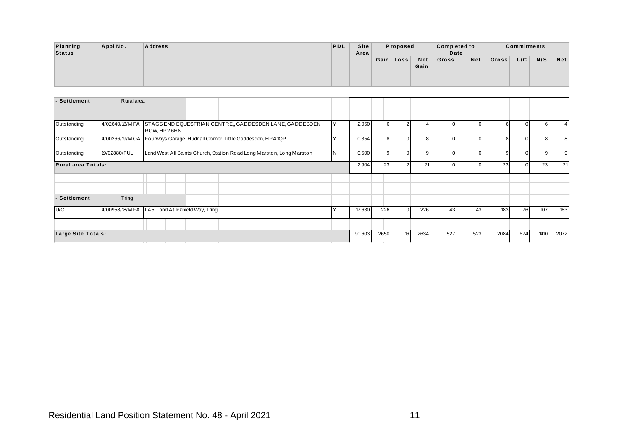| Planning | Appl No. | <b>Address</b> | <b>PDL</b> | Site | Proposed  |      | <b>Completed to</b> |     |       | <b>Commitments</b> |     |            |
|----------|----------|----------------|------------|------|-----------|------|---------------------|-----|-------|--------------------|-----|------------|
| Status   |          |                |            | Area |           |      | Date                |     |       |                    |     |            |
|          |          |                |            |      | Gain Loss | Net  | Gross               | Net | Gross | U/C                | N/S | <b>Net</b> |
|          |          |                |            |      |           | Gain |                     |     |       |                    |     |            |
|          |          |                |            |      |           |      |                     |     |       |                    |     |            |
|          |          |                |            |      |           |      |                     |     |       |                    |     |            |

|                                                  |             |  |                                                                              | <b>PDL</b>     | Site<br>Area |                  | Proposed       |                    | <b>Completed to</b><br>Date |                |       | <b>Commitments</b> |                  |                |
|--------------------------------------------------|-------------|--|------------------------------------------------------------------------------|----------------|--------------|------------------|----------------|--------------------|-----------------------------|----------------|-------|--------------------|------------------|----------------|
|                                                  |             |  |                                                                              |                |              |                  | Gain Loss      | <b>Net</b><br>Gain | Gross                       | Net            | Gross | U/C                | N/S              | <b>Net</b>     |
| Rural area                                       |             |  |                                                                              |                |              |                  |                |                    |                             |                |       |                    |                  |                |
| 4/02640/18/MFA                                   |             |  | STAGS END EQUESTRIAN CENTRE,, GADDESDEN LANE, GADDESDEN                      | Y              | 2.050        | $6 \overline{6}$ | $2 \mid$       | $\overline{4}$     | $\overline{0}$              | $\overline{0}$ | 6     | $\mathbf 0$        | $6\phantom{.}$   | $\overline{4}$ |
|                                                  | ROW, HP26HN |  | 4/00266/19/M OA   Fourways Garage, Hudnall Corner, Little Gaddesden, HP4 1QP | $\overline{Y}$ | 0.354        | $\overline{8}$   | $\overline{0}$ | 8 <sup>1</sup>     | $\mathbf 0$                 | $\overline{0}$ | 8     | $\mathbf 0$        | $\boldsymbol{8}$ | $8\phantom{.}$ |
| 19/02880/FUL                                     |             |  | Land West All Saints Church, Station Road Long Marston, Long Marston         | $\overline{N}$ | 0.500        | 9                | $\overline{0}$ | 9 <sup>1</sup>     | $\overline{0}$              | $\overline{0}$ | 9     | $\mathbf 0$        | 9                | 9              |
| Rural area Totals:                               |             |  |                                                                              |                | 2.904        | 23               | 2 <sub>1</sub> | 21                 | $\overline{0}$              | $\overline{0}$ | 23    | $\mathbf 0$        | 23               | 21             |
|                                                  |             |  |                                                                              |                |              |                  |                |                    |                             |                |       |                    |                  |                |
| Tring                                            |             |  |                                                                              |                |              |                  |                |                    |                             |                |       |                    |                  |                |
| 4/00958/18/M FA LA5, Land At Icknield Way, Tring |             |  |                                                                              | Y              | 17.630       | 226              | $\overline{0}$ | 226                | 43                          | 43             | 183   | 76                 | 107              | 183            |
|                                                  |             |  |                                                                              |                |              |                  |                |                    |                             |                |       |                    |                  |                |
| Large Site Totals:                               |             |  |                                                                              |                | 90.603       | 2650             | 16             | 2634               | 527                         | 523            | 2084  | 674                | 1410             | 2072           |
|                                                  |             |  |                                                                              |                |              |                  |                |                    |                             |                |       |                    |                  |                |
|                                                  |             |  |                                                                              |                |              |                  |                |                    |                             |                |       |                    |                  |                |
|                                                  |             |  |                                                                              |                |              |                  |                |                    |                             |                |       |                    |                  |                |
|                                                  |             |  |                                                                              |                |              |                  |                |                    |                             |                |       |                    |                  |                |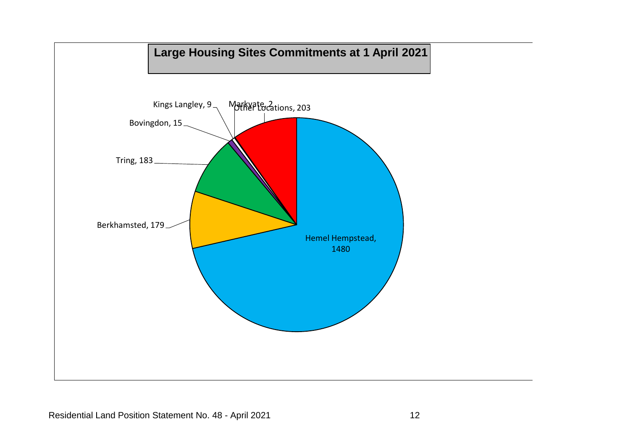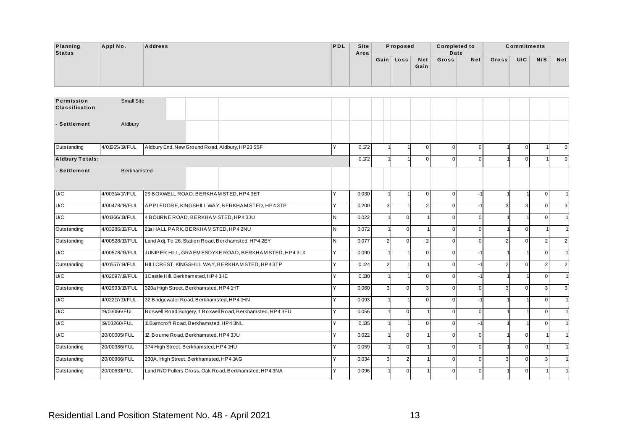| <b>Planning</b>                     | Appl No.          | <b>Address</b> |  |  | <b>PDL</b> | Site | Proposed  |             | <b>Completed to</b> |     |       | <b>Commitments</b> |     |            |
|-------------------------------------|-------------------|----------------|--|--|------------|------|-----------|-------------|---------------------|-----|-------|--------------------|-----|------------|
| Status                              |                   |                |  |  |            | Area | Gain Loss | Net<br>Gain | Date<br>Gross       | Net | Gross | U/C                | N/S | <b>Net</b> |
| Permission<br><b>Classification</b> | <b>Small Site</b> |                |  |  |            |      |           |             |                     |     |       |                    |     |            |

| Planning<br><b>Status</b>           | Appl No.           | <b>Address</b>                                             | PDL            | <b>Site</b><br>Area |                | Proposed         |                | <b>Completed to</b><br>Date |                |                | <b>Commitments</b> |                |                |
|-------------------------------------|--------------------|------------------------------------------------------------|----------------|---------------------|----------------|------------------|----------------|-----------------------------|----------------|----------------|--------------------|----------------|----------------|
|                                     |                    |                                                            |                |                     |                | Gain Loss        | Net<br>Gain    | Gross                       | Net            | Gross          | U/C                | N/S            | Net            |
| Permission<br><b>Classification</b> | <b>Small Site</b>  |                                                            |                |                     |                |                  |                |                             |                |                |                    |                |                |
| - Settlement                        | Aldbury            |                                                            |                |                     |                |                  |                |                             |                |                |                    |                |                |
| Outstanding                         | 4/01665/19/FUL     | Aldbury End, New Ground Road, Aldbury, HP235SF             | Y              | 0.172               |                |                  | $\overline{0}$ | $\overline{0}$              | $\overline{0}$ |                | $\mathbf{0}$       |                |                |
| <b>Aldbury Totals:</b>              |                    |                                                            |                | 0.172               |                |                  | $\Omega$       | $\mathbf 0$                 | $\overline{0}$ |                | $\mathbf 0$        |                | $\overline{0}$ |
| - Settlement                        | <b>Berkhamsted</b> |                                                            |                |                     |                |                  |                |                             |                |                |                    |                |                |
| U/C                                 | 4/00314/17/FUL     | 29 BOXWELL ROAD, BERKHAM STED, HP4 3ET                     | Y              | 0.030               |                |                  | $\overline{0}$ | $\mathbf 0$                 | -1             |                |                    | $\mathbf{0}$   |                |
| U/C                                 | 4/00478/18/FUL     | APPLEDORE, KINGSHILL WAY, BERKHAM STED, HP43TP             | Y              | 0.200               | $\overline{3}$ |                  | 2              | $\overline{0}$              | -1             | 3              | 3                  | $\overline{0}$ |                |
| U/C                                 | 4/01366/18/FUL     | 4 BOURNE ROAD, BERKHAM STED, HP4 3JU                       | N              | 0.022               |                | $\overline{0}$   |                | $\mathbf 0$                 | $\overline{0}$ |                |                    | $\overline{0}$ |                |
| Outstanding                         | 4/03286/16/FUL     | 21a HALL PARK, BERKHAM STED, HP4 2NU                       | IN.            | 0.072               |                | $\overline{0}$   |                | $\overline{0}$              | $\overline{0}$ |                | $\mathbf 0$        |                |                |
| Outstanding                         | 4/00528/19/FUL     | Land Adj. To 26, Station Road, Berkhamsted, HP4 2EY        | IN.            | 0.077               | $\overline{2}$ | $\overline{0}$   | $\overline{2}$ | $\mathbf 0$                 | $\mathbf{0}$   | $\overline{2}$ | $\mathbf 0$        | $\overline{2}$ |                |
| U/C                                 | 4/00578/19/FUL     | JUNIPER HILL, GRAEMESDYKE ROAD, BERKHAM STED, HP43LX       | Y              | 0.090               |                |                  | $\Omega$       | $\overline{0}$              | $-1$           |                |                    | $\overline{0}$ |                |
| Outstanding                         | 4/01557/19/FUL     | HILLCREST, KINGSHILL WAY, BERKHAM STED, HP43TP             | $\overline{Y}$ | 0.124               | $\overline{2}$ |                  |                | $\overline{0}$              | $-1$           | $\mathfrak{p}$ | $\mathbf 0$        | $\overline{2}$ |                |
| U/C                                 | 4/02097/19/FUL     | 1Castle Hill, Berkhamsted, HP4 1HE                         | Y              | 0.130               |                |                  | $\Omega$       | $\overline{0}$              |                |                |                    | $\overline{0}$ |                |
| Outstanding                         | 4/02993/18/FUL     | 320a High Street, Berkhamsted, HP4 1HT                     | Y              | 0.060               | $\mathbf{3}$   | $\overline{0}$   | 3 <sup>1</sup> | $\overline{0}$              | $\overline{0}$ | 3 <sup>1</sup> | $\mathbf{0}$       | 3              |                |
| U/C                                 | 4/02217/19/FUL     | 32 Bridgewater Road, Berkhamsted, HP4 1HN                  | Y              | 0.093               |                |                  | $\Omega$       | $\mathbf 0$                 | $-1$           |                |                    | $\overline{0}$ |                |
| U/C                                 | 19/03056/FUL       | Boswell Road Surgery, 1 Boxwell Road, Berkhamsted, HP4 3EU | Y              | 0.056               |                | $\overline{0}$   |                | $\mathbf 0$                 | $\overline{0}$ |                |                    | $\overline{0}$ |                |
| U/C                                 | 19/03260/FUL       | 11 Barncroft Road, Berkhamsted, HP4 3NL                    | Y              | 0.135               |                |                  | $\Omega$       | $\mathbf 0$                 |                |                |                    | $\Omega$       |                |
| U/C                                 | 20/00005/FUL       | 12, Bourne Road, Berkhamsted, HP4 3JU                      | Y              | 0.022               |                | $\overline{0}$   |                | $\mathbf 0$                 | $\overline{0}$ |                | $\mathbf 0$        |                |                |
| Outstanding                         | 20/00386/FUL       | 374 High Street, Berkhamsted, HP4 1HU                      | Y              | 0.059               |                | $\overline{0}$   |                | $\mathbf 0$                 | $\overline{0}$ |                | $\mathbf 0$        |                |                |
| Outstanding                         | 20/00966/FUL       | 230A, High Street, Berkhamsted, HP4 1AG                    | Y              | 0.034               | $\mathbf{R}$   | $\mathbf{2}$     |                | $\mathbf 0$                 | $\overline{0}$ | $\mathbf{R}$   | $\mathbf 0$        | $\mathbf{z}$   |                |
| Outstanding                         | 20/00631/FUL       | Land R/O Fullers Cross, Oak Road, Berkhamsted, HP4 3NA     | Υ              | 0.096               |                | $\boldsymbol{0}$ |                | $\mathbf 0$                 | $\overline{0}$ |                | $\mathbf 0$        |                |                |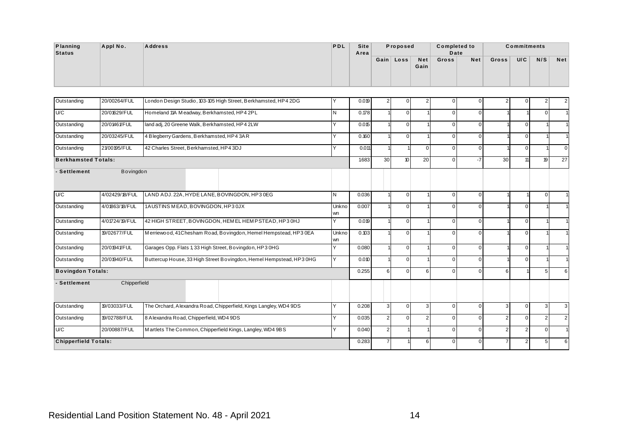| Planning | Appl No. | <b>Address</b> | <b>PDL</b> | Site | Proposed  |      | <b>Completed to</b> |     |       | <b>Commitments</b> |     |            |
|----------|----------|----------------|------------|------|-----------|------|---------------------|-----|-------|--------------------|-----|------------|
| Status   |          |                |            | Area |           |      | Date                |     |       |                    |     |            |
|          |          |                |            |      | Gain Loss | Net  | Gross               | Net | Gross | U/C                | N/S | <b>Net</b> |
|          |          |                |            |      |           | Gain |                     |     |       |                    |     |            |
|          |          |                |            |      |           |      |                     |     |       |                    |     |            |
|          |          |                |            |      |           |      |                     |     |       |                    |     |            |

| <b>Planning</b><br><b>Status</b> | Appl No.       | <b>Address</b>                                                      | PDL          | Site<br>Area |                | Proposed         |                | <b>Completed to</b><br>Date |                |                | <b>Commitments</b> |                |                |
|----------------------------------|----------------|---------------------------------------------------------------------|--------------|--------------|----------------|------------------|----------------|-----------------------------|----------------|----------------|--------------------|----------------|----------------|
|                                  |                |                                                                     |              |              |                | Gain Loss        | Net<br>Gain    | Gross                       | <b>Net</b>     | Gross          | U/C                | N/S            | <b>Net</b>     |
| Outstanding                      | 20/00264/FUL   | London Design Studio, 103-105 High Street, Berkhamsted, HP4 2DG     | Υ            | 0.019        | $\overline{2}$ | 0                | $\overline{2}$ | $\mathsf 0$                 | $\Omega$       | $\overline{2}$ | $\mathbf 0$        | $\overline{2}$ | $\overline{2}$ |
| U/C                              | 20/01629/FUL   | Homeland 11A Meadway, Berkhamsted, HP4 2PL                          | $\mathsf{N}$ | 0.178        |                | $\overline{0}$   |                | $\overline{0}$              | $\Omega$       |                |                    | $\overline{0}$ |                |
| Outstanding                      | 20/01461/FUL   | land adj, 20 Greene Walk, Berkhamsted, HP4 2LW                      | Y            | 0.015        |                | $\overline{0}$   |                | $\overline{0}$              | $\Omega$       |                | $\mathbf{0}$       |                |                |
| Outstanding                      | 20/03245/FUL   | 4 Blegberry Gardens, Berkhamsted, HP43AR                            | Y            | 0.160        |                | $\overline{0}$   |                | $\mathsf 0$                 | $\Omega$       |                | 0                  |                |                |
|                                  |                |                                                                     | Υ            |              |                |                  |                |                             |                |                |                    |                |                |
| Outstanding                      | 21/00195/FUL   | 42 Charles Street, Berkhamsted, HP4 3DJ                             |              | 0.011        |                |                  | $\overline{0}$ | $\overline{0}$              | $\Omega$       |                | $\mathbf{0}$       |                | $\mathbf 0$    |
| <b>Berkhamsted Totals:</b>       |                |                                                                     |              | 1.683        | 30             | 10 <sup>10</sup> | 20             | $\mathsf 0$                 | $-7$           | 30             | 11                 | 19             | 27             |
| - Settlement                     | Bovingdon      |                                                                     |              |              |                |                  |                |                             |                |                |                    |                |                |
| U/C                              | 4/02429/18/FUL | LAND ADJ. 22A, HYDE LANE, BOVINGDON, HP3 0EG                        | $\mathsf{N}$ | 0.036        |                | $\overline{0}$   |                | $\overline{0}$              | $\Omega$       |                |                    | $\Omega$       |                |
| Outstanding                      | 4/01863/18/FUL | 1AUSTINS MEAD, BOVINGDON, HP30JX                                    | Unkno<br>wn  | 0.007        |                | $\overline{0}$   |                | $\mathsf 0$                 | $\Omega$       |                | $\mathbf{0}$       |                |                |
| Outstanding                      | 4/01724/19/FUL | 42 HIGH STREET, BOVINGDON, HEMEL HEMPSTEAD, HP3 0HJ                 | Y            | 0.019        |                | $\overline{0}$   |                | $\overline{0}$              | $\Omega$       |                | $\mathbf{0}$       |                |                |
| Outstanding                      | 19/02677/FUL   | Merriewood, 41Chesham Road, Bovingdon, Hemel Hempstead, HP3 0EA     | Unkno<br>wn  | 0.103        |                | $\overline{0}$   |                | $\mathsf 0$                 | $\Omega$       |                | 0                  |                |                |
| Outstanding                      | 20/01941/FUL   | Garages Opp. Flats 1, 33 High Street, Bovingdon, HP3 0HG            | Y            | 0.080        |                | $\overline{0}$   |                | $\overline{0}$              | $\Omega$       |                | $\mathbf 0$        |                |                |
| Outstanding                      | 20/01940/FUL   | Buttercup House, 33 High Street Bovingdon, Hemel Hempstead, HP3 0HG | Y            | 0.010        |                | $\overline{0}$   |                | $\overline{0}$              | $\Omega$       |                | $\mathbf{0}$       |                |                |
| <b>Bovingdon Totals:</b>         |                |                                                                     |              | 0.255        | 6              | $\overline{0}$   | 6 <sup>1</sup> | $\overline{0}$              | $\Omega$       | 6              |                    | 5 <sub>5</sub> | 6              |
| - Settlement                     | Chipperfield   |                                                                     |              |              |                |                  |                |                             |                |                |                    |                |                |
|                                  | 19/03033/FUL   | The Orchard, Alexandra Road, Chipperfield, Kings Langley, WD4 9DS   | Y            | 0.208        | 3              | $\overline{0}$   | 3 <sup>1</sup> | $\overline{0}$              | $\overline{0}$ | 3              | $\mathbf 0$        | $\mathbf{3}$   | $\mathbf{3}$   |
| Outstanding                      |                |                                                                     |              |              |                |                  |                | $\mathsf 0$                 | $\Omega$       | $\overline{2}$ | $\mathbf 0$        | 2 <sub>1</sub> | 2              |
| Outstanding                      | 19/02788/FUL   | 8 Alexandra Road, Chipperfield, WD4 9DS                             | Y            | 0.035        | $\overline{2}$ | $\overline{0}$   | $\overline{2}$ |                             |                |                |                    |                |                |
| U/C                              | 20/00887/FUL   | Martlets The Common, Chipperfield Kings, Langley, WD4 9BS           | Y            | 0.040        | $\overline{2}$ |                  |                | $\mathsf 0$                 | $\Omega$       | $\overline{2}$ | $\overline{2}$     | $\overline{0}$ |                |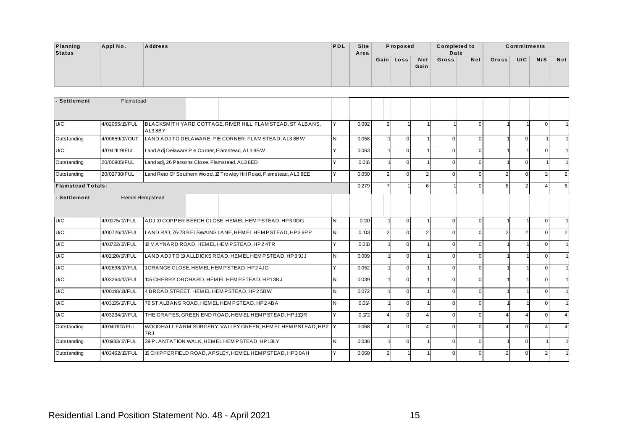| Planning | Appl No. | <b>Address</b> | PDL | Site |          |           |      | <b>Completed to</b> |     |       | <b>Commitments</b> |     |            |
|----------|----------|----------------|-----|------|----------|-----------|------|---------------------|-----|-------|--------------------|-----|------------|
| Status   |          |                |     | Area | Proposed |           |      | Date                |     |       |                    |     |            |
|          |          |                |     |      |          | Gain Loss | Net  | Gross               | Net | Gross | U/C                | N/S | <b>Net</b> |
|          |          |                |     |      |          |           | Gain |                     |     |       |                    |     |            |
|          |          |                |     |      |          |           |      |                     |     |       |                    |     |            |
|          |          |                |     |      |          |           |      |                     |     |       |                    |     |            |

| Planning<br><b>Status</b> | Appl No.       | <b>Address</b>                                   |                                                                      | PDL            | <b>Site</b><br>Area |                | Proposed       |                         | <b>Completed to</b><br>Date |                |                | <b>Commitments</b> |                |                |
|---------------------------|----------------|--------------------------------------------------|----------------------------------------------------------------------|----------------|---------------------|----------------|----------------|-------------------------|-----------------------------|----------------|----------------|--------------------|----------------|----------------|
|                           |                |                                                  |                                                                      |                |                     |                | Gain   Loss    | <b>Net</b><br>Gain      | Gross                       | Net            | Gross          | U/C                | N/S            | <b>Net</b>     |
| - Settlement              | Flamstead      |                                                  |                                                                      |                |                     |                |                |                         |                             |                |                |                    |                |                |
|                           |                |                                                  |                                                                      |                |                     |                |                |                         |                             |                |                |                    |                |                |
| U/C                       | 4/02055/15/FUL | AL38BY                                           | BLACKSMITH YARD COTTAGE, RIVER HILL, FLAM STEAD, ST ALBANS,          | Y              | 0.092               | $\overline{2}$ |                |                         |                             | $\Omega$       |                |                    | $\overline{0}$ |                |
| Outstanding               | 4/00659/17/OUT |                                                  | LAND ADJ TO DELAWARE, PIE CORNER, FLAM STEAD, AL3 8BW                | $\overline{N}$ | 0.058               |                | $\overline{0}$ |                         | $\mathsf 0$                 | $\Omega$       |                | $\overline{0}$     |                |                |
| U/C                       | 4/01411/19/FUL | Land Adj Delaware Pie Corner, Flamstead, AL3 8BW |                                                                      | Y              | 0.063               |                | $\overline{0}$ |                         | $\mathbf 0$                 | $\Omega$       |                |                    | $\overline{0}$ |                |
| Outstanding               | 20/00905/FUL   | Land adj, 26 Parsons Close, Flamstead, AL3 8ED   |                                                                      | Y              | 0.016               |                | $\overline{0}$ |                         | $\overline{0}$              | $\overline{0}$ |                | $\mathbf 0$        |                |                |
| Outstanding               | 20/02738/FUL   |                                                  | Land Rear Of Southern Wood, 12 Trowley Hill Road, Flamstead, AL3 8EE | Y              | 0.050               | $\overline{2}$ | $\overline{0}$ | 2 <sup>1</sup>          | $\mathbf 0$                 | $\Omega$       | $\overline{2}$ | $\mathbf{0}$       | 2 <sup>1</sup> | $\overline{2}$ |
| <b>Flamstead Totals:</b>  |                |                                                  |                                                                      |                | 0.279               | $\overline{7}$ |                | $6 \overline{6}$        |                             | $\Omega$       | 6              | $\overline{2}$     | $\Delta$       | 6              |
| - Settlement              |                | <b>Hemel Hempstead</b>                           |                                                                      |                |                     |                |                |                         |                             |                |                |                    |                |                |
| U/C                       | 4/01075/17/FUL |                                                  | ADJ 10 COPPER BEECH CLOSE, HEMEL HEMPSTEAD, HP3 0DG                  | $\mathsf{N}$   | 0.110               |                | $\overline{0}$ |                         | $\overline{0}$              | $\overline{0}$ |                |                    | $\overline{0}$ |                |
| U/C                       | 4/00726/17/FUL |                                                  | LAND R/O, 76-78 BELSWAINS LANE, HEMEL HEMPSTEAD, HP3 9PP             | N              | 0.103               | $\overline{2}$ | $\overline{0}$ | $\overline{2}$          | $\mathbf 0$                 | $\Omega$       | 2              | $\overline{2}$     | $\overline{0}$ | $\overline{2}$ |
| U/C                       | 4/01722/17/FUL |                                                  | 12 MAYNARD ROAD, HEMEL HEMPSTEAD, HP2 4TR                            | Y              | 0.018               |                | $\overline{0}$ |                         | $\mathsf 0$                 | $\Omega$       |                |                    | $\Omega$       |                |
| U/C                       | 4/02120/17/FUL |                                                  | LAND ADJ TO 19 ALLDICKS ROAD, HEMEL HEMPSTEAD, HP3 9JJ               | N              | 0.009               |                | $\overline{0}$ |                         | $\mathbf 0$                 | $\Omega$       |                |                    | $\overline{0}$ |                |
| U/C                       | 4/02698/17/FUL | 1GRANGE CLOSE, HEMEL HEMPSTEAD, HP2 4JG          |                                                                      | Y              | 0.052               |                | $\overline{0}$ |                         | $\mathsf 0$                 | $\Omega$       |                |                    | $\overline{0}$ |                |
| U/C                       | 4/03264/17/FUL |                                                  | 105 CHERRY ORCHARD, HEMEL HEMPSTEAD, HP13NJ                          | N              | 0.039               |                | $\overline{0}$ |                         | $\overline{0}$              | $\Omega$       |                |                    | $\overline{0}$ |                |
| U/C                       | 4/00148/18/FUL |                                                  | 4 BROAD STREET, HEMEL HEMPSTEAD, HP2 5BW                             | $\mathsf{N}$   | 0.072               |                | $\overline{0}$ |                         | $\mathsf 0$                 | $\Omega$       |                |                    | $\overline{0}$ |                |
|                           |                | 76 ST ALBANS ROAD, HEMEL HEMPSTEAD, HP2 4BA      |                                                                      |                | 0.014               |                | $\overline{0}$ |                         | $\mathsf 0$                 | $\Omega$       |                |                    | $\overline{0}$ |                |
|                           | 4/03155/17/FUL |                                                  |                                                                      | N              |                     |                |                |                         |                             |                |                |                    |                |                |
| U/C<br>U/C                | 4/03234/17/FUL |                                                  | THE GRAPES, GREEN END ROAD, HEMEL HEMPSTEAD, HP11QR                  | Y              | 0.172               | $\overline{4}$ | $\overline{0}$ | $\overline{4}$          | $\overline{0}$              | $\Omega$       | 4              | $\overline{4}$     | $\overline{0}$ | $\overline{4}$ |
| Outstanding               | 4/01401/17/FUL |                                                  | WOODHALL FARM SURGERY, VALLEY GREEN, HEMEL HEMPSTEAD, HP2 Y          |                | 0.068               | $\overline{4}$ | $\overline{0}$ | $\overline{\mathbf{A}}$ | $\mathbf 0$                 | $\Omega$       | Δ              | $\overline{0}$     | $\overline{4}$ |                |
| Outstanding               | 4/01983/17/FUL | 7RJ                                              | 39 PLANTATION WALK, HEMEL HEMPSTEAD, HP13LY                          | N              | 0.038               |                | $\overline{0}$ |                         | $\mathsf 0$                 | $\Omega$       |                | $\mathbf 0$        |                |                |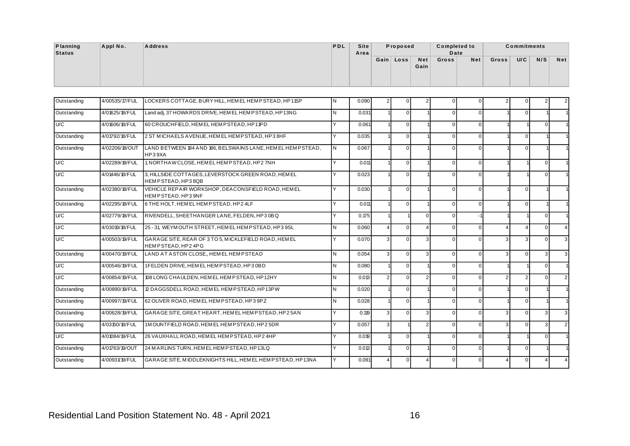| Planning<br>Status        | Appl No.       | <b>Address</b>                                                    | PDL       | <b>Site</b><br>Area |                | Proposed  |             | <b>Completed to</b><br>Date |     |       | <b>Commitments</b> |     |            |
|---------------------------|----------------|-------------------------------------------------------------------|-----------|---------------------|----------------|-----------|-------------|-----------------------------|-----|-------|--------------------|-----|------------|
|                           |                |                                                                   |           |                     |                | Gain Loss | Net<br>Gain | Gross                       | Net | Gross | U/C                | N/S | <b>Net</b> |
| Outstanding               | 4/00535/17/FUL | LOCKERS COTTAGE, BURY HILL, HEM EL HEM PSTEAD, HP11SP             |           | 0.090               | 2 <sub>1</sub> |           |             | 0                           |     |       |                    |     | 2          |
| المتعاطف والمتحافظ المتحا | 10400E/40E     | $\mathbf{I}$ $\mathbf{I}$ of LOMBOO DOME LEMEL LEMBOTERS LIBRARIO | <b>AL</b> | 0.001               |                | $\sim$    |             | $\sim$ 1                    |     |       | $\sim$             |     |            |

| Planning<br><b>Status</b> | Appl No.       | <b>Address</b>                                                            | PDL | Site<br>Area |                | Proposed       |                    | <b>Completed to</b><br>Date |                |               | <b>Commitments</b> |                |                |
|---------------------------|----------------|---------------------------------------------------------------------------|-----|--------------|----------------|----------------|--------------------|-----------------------------|----------------|---------------|--------------------|----------------|----------------|
|                           |                |                                                                           |     |              |                | Gain Loss      | <b>Net</b><br>Gain | Gross                       | Net            | Gross         | U/C                | N/S            | <b>Net</b>     |
| Outstanding               | 4/00535/17/FUL | LOCKERS COTTAGE, BURY HILL, HEM EL HEMPSTEAD, HP11SP                      | ΙN  | 0.090        | $\overline{2}$ | 0              |                    | $\mathbf 0$                 | $\overline{0}$ |               | $\mathbf 0$        | 2              | 2 <sub>1</sub> |
| Outstanding               | 4/01625/18/FUL | Land adj, 37 HOWARDS DRIVE, HEMEL HEM PSTEAD, HP13NG                      | l N | 0.031        |                | $\overline{0}$ |                    | $\mathbf 0$                 | $\overline{0}$ |               | $\mathbf 0$        |                |                |
| U/C                       | 4/01606/18/FUL | 60 CROUCHFIELD. HEM EL HEMPSTEAD. HP11PD                                  | Y   | 0.061        |                | $\overline{0}$ |                    | $\mathbf 0$                 | $\overline{0}$ |               |                    | $\overline{0}$ |                |
| Outstanding               | 4/01792/18/FUL | 2 ST MICHAELS AVENUE, HEMEL HEMPSTEAD, HP38HF                             | Y   | 0.035        |                | $\overline{0}$ |                    | $\mathbf 0$                 | $\overline{0}$ |               | $\mathbf 0$        |                |                |
| Outstanding               | 4/02206/18/OUT | LAND BETWEEN 184 AND 186, BELSWAINS LANE, HEM EL HEMPSTEAD,<br>HP39XA     | IN. | 0.067        |                | $\overline{0}$ |                    | $\mathbf 0$                 | $\overline{0}$ |               | $\mathbf 0$        |                |                |
| U/C                       | 4/02289/18/FUL | 1, NORTHAW CLOSE, HEM ELHEMP STEAD, HP27NH                                | Y   | 0.011        |                | $\overline{0}$ |                    | $\overline{0}$              | $\overline{0}$ |               |                    | $\overline{0}$ |                |
| U/C                       | 4/01446/18/FUL | 3, HILLSIDE COTTAGES, LEVERSTOCK GREEN ROAD, HEMEL<br>HEMPSTEAD, HP38QB   | Y   | 0.023        |                | $\overline{0}$ |                    | $\mathbf 0$                 | $\overline{0}$ |               |                    | $\overline{0}$ |                |
| Outstanding               | 4/02380/18/FUL | VEHICLE REPAIR WORKSHOP. DEACONSFIELD ROAD. HEMEL<br>HEMPSTEAD, HP39NF    | Y   | 0.030        |                | $\overline{0}$ |                    | $\mathbf 0$                 | $\overline{0}$ |               | 0                  |                |                |
| Outstanding               | 4/02295/18/FUL | 6 THE HOLT. HEM EL HEMP STEAD. HP2 4LF                                    | Y   | 0.011        |                | $\overline{0}$ |                    | $\mathbf 0$                 | $\overline{0}$ |               | $\mathbf 0$        |                |                |
| U/C                       | 4/02779/18/FUL | RIVENDELL, SHEETHANGER LANE, FELDEN, HP30BQ                               | Y   | 0.175        |                |                | $\Omega$           | $\mathbf 0$                 |                |               |                    | $\overline{0}$ |                |
| U/C                       | 4/03019/18/FUL | 25 - 31, WEYMOUTH STREET, HEMEL HEMPSTEAD, HP3 9SL                        | N   | 0.060        | $\overline{4}$ | $\overline{0}$ | $\Delta$           | $\mathbf 0$                 | $\overline{0}$ |               | $\overline{4}$     | $\overline{0}$ | $\overline{4}$ |
| U/C                       | 4/00503/19/FUL | GARAGE SITE, REAR OF 3 TO 5. MICKLEFIELD ROAD, HEMEL<br>HEMPSTEAD, HP24PG | Y   | 0.070        | $\overline{3}$ | $\overline{0}$ | 3                  | $\overline{0}$              | $\overline{0}$ | 3             | 3                  | $\overline{0}$ | $\overline{3}$ |
| Outstanding               | 4/00470/19/FUL | LAND AT ASTON CLOSE, HEM EL HEMPSTEAD                                     | N   | 0.054        | $\overline{3}$ | $\overline{0}$ | 3                  | $\mathbf 0$                 | $\overline{0}$ | 3             | $\mathbf 0$        | 3              | $\overline{3}$ |
| U/C                       | 4/00546/19/FUL | 1FELDEN DRIVE, HEM EL HEMPSTEAD, HP3 0BD                                  | l N | 0.080        |                | $\overline{0}$ |                    | $\overline{0}$              | $\overline{0}$ |               |                    | $\overline{0}$ |                |
| U/C                       | 4/00854/19/FUL | 108 LONG CHAULDEN, HEM EL HEMPSTEAD, HP12HY                               | N   | 0.013        | $\overline{2}$ | $\overline{0}$ | 2                  | $\overline{0}$              | $\overline{0}$ | $\mathcal{P}$ | $\overline{2}$     | $\overline{0}$ | 2 <sub>1</sub> |
| Outstanding               | 4/00890/19/FUL | 12 DAGGSDELL ROAD, HEM EL HEMPSTEAD, HP13PW                               | N   | 0.020        |                | $\overline{0}$ |                    | $\mathbf 0$                 | $\overline{0}$ |               | $\mathbf 0$        |                |                |
| Outstanding               | 4/00997/19/FUL | 62 OLIVER ROAD, HEM EL HEMPSTEAD, HP3 9PZ                                 | IN. | 0.028        |                | $\overline{0}$ |                    | $\mathbf 0$                 | $\overline{0}$ |               | $\mathbf 0$        |                |                |
| Outstanding               | 4/00628/19/FUL | GARAGE SITE, GREAT HEART, HEMEL HEMPSTEAD, HP25AN                         | Y   | 0.119        | $\overline{3}$ | $\overline{0}$ | 3                  | $\mathbf 0$                 | $\overline{0}$ | 3             | $\mathbf 0$        | 3              | $\overline{3}$ |
| Outstanding               | 4/03150/18/FUL | 1MOUNTFIELD ROAD. HEMEL HEMPSTEAD. HP25DR                                 | Υ   | 0.057        | $\overline{3}$ |                | $\mathfrak{p}$     | $\overline{0}$              | $\overline{0}$ | 3             | $\Omega$           | $\overline{3}$ | 2 <sup>1</sup> |
| U/C                       | 4/01084/19/FUL | 26 VAUXHALL ROAD, HEM EL HEMPSTEAD, HP2 4HP                               | Y   | 0.019        |                | $\overline{0}$ |                    | $\mathbf 0$                 | $\overline{0}$ |               |                    | $\overline{0}$ |                |
| Outstanding               | 4/01763/19/OUT | 24 M A RLINS TURN, HEM EL HEMP STEAD, HP13LQ                              | Y   | 0.013        |                | $\overline{0}$ |                    | $\mathbf 0$                 | $\overline{0}$ |               | $\mathbf 0$        |                |                |
| Outstanding               | 4/00931/19/FUL | GARAGE SITE, MIDDLEKNIGHTS HILL, HEMEL HEMPSTEAD, HP13NA                  |     | 0.091        |                |                |                    | $\mathbf 0$                 | 0              |               | $\cup$             |                |                |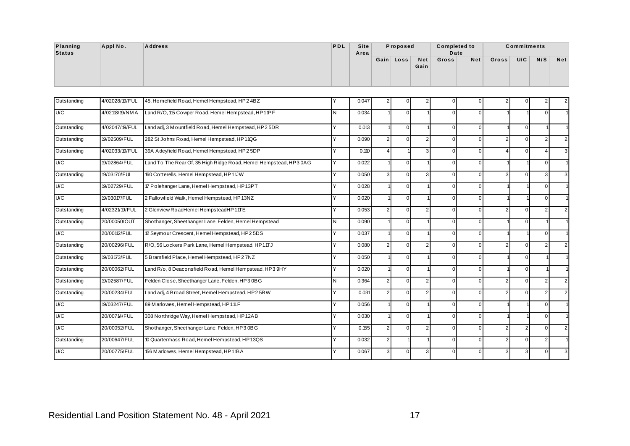| Planning | Appl No. | <b>Address</b> | PDL | <b>Site</b> | Proposed  |      | <b>Completed to</b> |      |       | <b>Commitments</b> |     |            |
|----------|----------|----------------|-----|-------------|-----------|------|---------------------|------|-------|--------------------|-----|------------|
| Status   |          |                |     | Area        |           |      |                     | Date |       |                    |     |            |
|          |          |                |     |             | Gain Loss | Net  | <b>Gross</b>        | Net  | Gross | U/C                | N/S | <b>Net</b> |
|          |          |                |     |             |           | Gain |                     |      |       |                    |     |            |
|          |          |                |     |             |           |      |                     |      |       |                    |     |            |
|          |          |                |     |             |           |      |                     |      |       |                    |     |            |

| Planning<br><b>Status</b> | Appl No.       | <b>Address</b>                                                    | <b>PDL</b> | <b>Site</b><br>Area |                | Proposed       |                    | <b>Completed to</b><br>Date |                |                | <b>Commitments</b> |                |                |
|---------------------------|----------------|-------------------------------------------------------------------|------------|---------------------|----------------|----------------|--------------------|-----------------------------|----------------|----------------|--------------------|----------------|----------------|
|                           |                |                                                                   |            |                     |                | Gain Loss      | <b>Net</b><br>Gain | Gross                       | Net            | Gross          | U/C                | N/S            | <b>Net</b>     |
| Outstanding               | 4/02028/19/FUL | 45, Homefield Road, Hemel Hempstead, HP2 4BZ                      | Υ          | 0.047               | $\overline{2}$ | $\Omega$       |                    | $\mathsf 0$                 | $\overline{0}$ | $\mathfrak{p}$ | $\Omega$           | $\overline{c}$ |                |
| U/C                       | 4/02118/19/NMA | Land R/O, 115 Cowper Road, Hemel Hempstead, HP11PF                | N          | 0.034               |                | $\overline{0}$ |                    | $\mathsf 0$                 | $\overline{0}$ |                |                    | $\Omega$       |                |
| Outstanding               | 4/02047/19/FUL | Land adj, 3 M o untfield Road, Hemel Hempstead, HP2 5DR           | Y          | 0.013               |                | $\overline{0}$ |                    | $\mathsf 0$                 | $\Omega$       |                | 0                  |                |                |
| Outstanding               | 19/02509/FUL   | 282 St Johns Road, Hemel Hempstead, HP11QG                        | Y          | 0.090               | 2 <sub>2</sub> | $\overline{0}$ | $\overline{2}$     | $\mathbf 0$                 | $\overline{0}$ | $\overline{2}$ | $\Omega$           | 2 <sub>1</sub> |                |
| Outstanding               | 4/02033/19/FUL | 39A Adeyfield Road, Hemel Hempstead, HP2 5DP                      | Y          | 0.110               | $\overline{4}$ |                | 3 <sup>1</sup>     | $\mathsf 0$                 | $\overline{0}$ | Δ              | $\mathbf 0$        | 4              |                |
| U/C                       | 19/02864/FUL   | Land To The Rear Of, 35 High Ridge Road, Hemel Hempstead, HP3 0AG | Y          | 0.022               |                | $\overline{0}$ |                    | $\mathbf 0$                 | $\overline{0}$ |                |                    | $\overline{0}$ |                |
| Outstanding               | 19/03170/FUL   | 160 Cotterells, Hemel Hempstead, HP11JW                           | Ÿ          | 0.050               | $\overline{3}$ | $\overline{0}$ | $\overline{3}$     | $\mathsf 0$                 | $\overline{0}$ | $\overline{3}$ | $\Omega$           | $\overline{3}$ |                |
| U/C                       | 19/02729/FUL   | 17 Polehanger Lane, Hemel Hempstead, HP13PT                       | Y          | 0.028               |                | $\overline{0}$ |                    | $\mathbf 0$                 | $\overline{0}$ |                |                    | $\overline{0}$ |                |
| U/C                       | 19/03017/FUL   | 2 Fallowfield Walk, Hemel Hempstead, HP13NZ                       | Y          | 0.020               |                | $\overline{0}$ |                    | $\mathsf 0$                 | $\overline{0}$ |                |                    | $\overline{0}$ |                |
| Outstanding               | 4/02321/19/FUL | 2 Glenview RoadHemel HempsteadHP1TE                               | Y          | 0.053               | $\overline{2}$ | $\overline{0}$ | $\overline{2}$     | $\mathbf 0$                 | $\overline{0}$ | $\overline{2}$ | $\mathbf 0$        | 2 <sub>1</sub> |                |
| Outstanding               | 20/00050/OUT   | Shothanger, Sheethanger Lane, Felden, Hemel Hempstead             | Ν          | 0.090               |                | $\overline{0}$ |                    | $\mathsf 0$                 | $\Omega$       |                | $\mathbf 0$        |                |                |
| U/C                       | 20/00112/FUL   | 12 Seymour Crescent, Hemel Hempstead, HP2 5DS                     | Y          | 0.037               |                | $\overline{0}$ |                    | $\mathbf 0$                 | $\overline{0}$ |                |                    | $\overline{0}$ |                |
| Outstanding               | 20/00296/FUL   | R/O, 56 Lockers Park Lane, Hemel Hempstead, HP1TJ                 | Y          | 0.080               | $\overline{2}$ | $\overline{0}$ | $\overline{2}$     | $\mathsf 0$                 | $\overline{0}$ | $\overline{2}$ | $\mathbf 0$        | 2 <sub>1</sub> |                |
| Outstanding               | 19/03173/FUL   | 5 Bramfield Place, Hemel Hempstead, HP2 7NZ                       | Y          | 0.050               |                | $\overline{0}$ |                    | $\mathsf 0$                 | $\overline{0}$ |                | $\mathbf 0$        |                |                |
| Outstanding               | 20/00062/FUL   | Land R/o, 8 Deaconsfield Road, Hemel Hempstead, HP3 9HY           | Y          | 0.020               |                | $\overline{0}$ |                    | $\mathsf 0$                 | $\overline{0}$ |                | $\mathbf 0$        |                |                |
| Outstanding               | 19/02587/FUL   | Felden Close, Sheethanger Lane, Felden, HP3 0BG                   | N          | 0.364               | 2 <sub>2</sub> | $\overline{0}$ | $\overline{2}$     | $\mathbf 0$                 | $\overline{0}$ | $\overline{2}$ | $\Omega$           | 2 <sub>1</sub> | 2              |
| Outstanding               | 20/00234/FUL   | Land adj, 4 Broad Street, Hemel Hempstead, HP2 5BW                | Y          | 0.031               | $\overline{2}$ | $\overline{0}$ | 2 <sup>1</sup>     | $\mathsf 0$                 | $\overline{0}$ | 2 <sub>1</sub> | $\mathbf 0$        | 2 <sub>1</sub> | $\overline{2}$ |
| U/C                       | 19/03247/FUL   | 89 Marlowes, Hemel Hempstead, HP11LF                              | Y          | 0.056               |                | $\overline{0}$ |                    | $\mathbf 0$                 | $\overline{0}$ |                |                    | $\overline{0}$ |                |
| U/C                       | 20/00714/FUL   | 308 Northridge Way, Hemel Hempstead, HP12AB                       | Y          | 0.030               |                | $\overline{0}$ |                    | $\mathsf 0$                 | $\overline{0}$ |                |                    | $\overline{0}$ |                |
| U/C                       | 20/00052/FUL   | Shothanger, Sheethanger Lane, Felden, HP3 0BG                     | Y          | 0.155               | 2 <sub>2</sub> | $\overline{0}$ | $\overline{2}$     | $\mathbf 0$                 | $\overline{0}$ | 2 <sub>1</sub> | $\overline{2}$     | $\overline{0}$ | 2              |
| Outstanding               | 20/00647/FUL   | 10 Quartermass Road, Hemel Hempstead, HP13QS                      | Y          | 0.032               | $\overline{2}$ |                |                    | $\mathsf 0$                 | $\overline{0}$ | $\overline{2}$ | $\mathsf 0$        | 2 <sub>1</sub> |                |
| U/C                       | 20/00775/FUL   | 156 Marlowes, Hemel Hempstead, HP11BA                             | Y          | 0.067               | $\overline{3}$ | $\overline{0}$ | $\mathbf{3}$       | $\mathbf 0$                 | $\overline{0}$ | $\overline{3}$ | 3                  | $\overline{0}$ | 3              |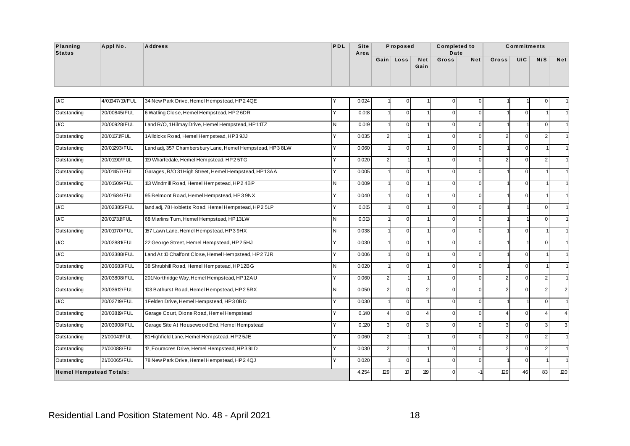| Planning | Appl No. | <b>Address</b> | <b>PDL</b> | <b>Site</b> | Proposed  |      | <b>Completed to</b> |     |       | <b>Commitments</b> |     |            |
|----------|----------|----------------|------------|-------------|-----------|------|---------------------|-----|-------|--------------------|-----|------------|
| Status   |          |                |            | Area        |           |      | Date                |     |       |                    |     |            |
|          |          |                |            |             | Gain Loss | Net  | Gross               | Net | Gross | U/C                | N/S | <b>Net</b> |
|          |          |                |            |             |           | Gain |                     |     |       |                    |     |            |
|          |          |                |            |             |           |      |                     |     |       |                    |     |            |
|          |          |                |            |             |           |      |                     |     |       |                    |     |            |

| Planning<br><b>Status</b> | Appl No.                       | <b>Address</b>                                            | PDL | <b>Site</b><br>Area |                | Proposed       |                    | <b>Completed to</b><br>Date |                |                | <b>Commitments</b> |                |                |
|---------------------------|--------------------------------|-----------------------------------------------------------|-----|---------------------|----------------|----------------|--------------------|-----------------------------|----------------|----------------|--------------------|----------------|----------------|
|                           |                                |                                                           |     |                     |                | Gain Loss      | <b>Net</b><br>Gain | Gross                       | <b>Net</b>     | Gross          | U/C                | N/S            | <b>Net</b>     |
| U/C                       | 4/01947/19/FUL                 | 34 New Park Drive, Hemel Hempstead, HP2 4QE               | Y   | 0.024               |                | 0              |                    | $\mathbf 0$                 | $\overline{0}$ |                |                    | O              |                |
| Outstanding               | 20/00845/FUL                   | 6 Watling Close, Hemel Hempstead, HP2 6DR                 | Y   | 0.018               |                | $\overline{0}$ |                    | $\overline{0}$              | $\overline{0}$ |                | $\mathbf 0$        |                |                |
| U/C                       | 20/00928/FUL                   | Land R/O, 1Hilmay Drive, Hemel Hempstead, HP1TTZ          | ΙN  | 0.019               |                | $\overline{0}$ |                    | $\overline{0}$              | $\overline{0}$ |                |                    | $\Omega$       |                |
| Outstanding               | 20/01171/FUL                   | 1Alldicks Road, Hemel Hempstead, HP3 9JJ                  | Y   | 0.035               | 2              |                |                    | $\mathbf{0}$                | $\overline{0}$ | $\mathfrak{p}$ | $\Omega$           | $\overline{2}$ |                |
| Outstanding               | 20/01293/FUL                   | Land adj, 357 Chambersbury Lane, Hemel Hempstead, HP3 8LW | Y   | 0.060               |                | $\overline{0}$ |                    | $\overline{0}$              | $\overline{0}$ |                | $\mathbf{0}$       |                |                |
| Outstanding               | 20/01190/FUL                   | 119 Wharfedale, Hemel Hempstead, HP2 5TG                  | Y   | 0.020               | $\overline{2}$ |                |                    | $\mathbf 0$                 | $\overline{0}$ | 2              | $\mathbf 0$        | $\overline{2}$ |                |
| Outstanding               | 20/01457/FUL                   | Garages, R/O 31 High Street, Hemel Hempstead, HP13AA      | Y   | 0.005               |                | $\overline{0}$ |                    | $\overline{0}$              | $\overline{0}$ |                | $\mathbf{0}$       |                |                |
| Outstanding               | 20/01509/FUL                   | 113 Windmill Road, Hemel Hempstead, HP2 4BP               | N   | 0.009               |                | $\overline{0}$ |                    | $\mathbf{0}$                | $\overline{0}$ |                | $\Omega$           |                |                |
| Outstanding               | 20/01684/FUL                   | 95 Belmont Road, Hemel Hempstead, HP3 9NX                 | Y   | 0.040               |                | $\overline{0}$ |                    | $\overline{0}$              | $\overline{0}$ |                | $\mathbf 0$        |                |                |
| U/C                       | 20/02385/FUL                   | land adj, 78 Hobletts Road, Hemel Hempstead, HP2 5LP      | Y   | 0.015               |                | $\overline{0}$ |                    | $\overline{0}$              | $\overline{0}$ |                |                    | 0              |                |
| U/C                       | 20/01731/FUL                   | 68 Marlins Turn, Hemel Hempstead, HP13LW                  | N   | 0.013               |                | $\overline{0}$ |                    | $\overline{0}$              | $\overline{0}$ |                |                    | $\Omega$       |                |
| Outstanding               | 20/01070/FUL                   | 157 Lawn Lane, Hemel Hempstead, HP3 9HX                   | N   | 0.038               |                | $\overline{0}$ |                    | $\mathbf{0}$                | $\overline{0}$ |                | $\Omega$           |                |                |
| U/C                       | 20/02881/FUL                   | 22 George Street, Hemel Hempstead, HP2 5HJ                | Y   | 0.030               |                | $\overline{0}$ |                    | $\overline{0}$              | $\overline{0}$ |                |                    | $\Omega$       |                |
| U/C                       | 20/03388/FUL                   | Land At 10 Chalfont Close, Hemel Hempstead, HP2 7JR       | Y   | 0.006               |                | $\overline{0}$ |                    | $\mathbf{0}$                | $\overline{0}$ |                | $\mathbf 0$        |                |                |
| Outstanding               | 20/03683/FUL                   | 38 Shrubhill Road, Hemel Hempstead, HP12BG                | N   | 0.020               |                | $\overline{0}$ |                    | $\overline{0}$              | $\overline{0}$ |                | $\mathbf{0}$       |                |                |
| Outstanding               | 20/03808/FUL                   | 201Northridge Way, Hemel Hempstead, HP12AU                | Y   | 0.060               | $\overline{2}$ |                |                    | $\mathbf{0}$                | $\overline{0}$ | $\mathfrak{p}$ | $\Omega$           | $\overline{2}$ |                |
| Outstanding               | 20/03612/FUL                   | 103 Bathurst Road, Hemel Hempstead, HP2 5RX               | N   | 0.050               | $\overline{2}$ | $\overline{0}$ | $\overline{2}$     | $\overline{0}$              | $\overline{0}$ | $\mathcal{P}$  | $\mathbf{0}$       | $\overline{c}$ | $\overline{2}$ |
| U/C                       | 20/02719/FUL                   | 1Felden Drive, Hemel Hempstead, HP3 0BD                   | Y   | 0.030               |                | $\overline{0}$ |                    | $\overline{0}$              | $\overline{0}$ |                |                    | $\mathbf{0}$   |                |
| Outstanding               | 20/03819/FUL                   | Garage Court, Dione Road, Hemel Hempstead                 | Y   | 0.140               | $\overline{4}$ | $\overline{0}$ | $\overline{4}$     | $\overline{0}$              | $\overline{0}$ | 4              | $\mathbf{0}$       | 4              | $\overline{4}$ |
| Outstanding               | 20/03908/FUL                   | Garage Site At Housewood End, Hemel Hempstead             | Y   | 0.120               | 3              | $\overline{0}$ | 3 <sup>1</sup>     | $\mathbf{0}$                | $\overline{0}$ | 3              | $\Omega$           | 3              | 3              |
| Outstanding               | 21/00041/FUL                   | 81 Highfield Lane, Hemel Hempstead, HP2 5JE               | Y   | 0.060               | $\overline{2}$ |                |                    | $\overline{0}$              | $\overline{0}$ | 2              | $\mathbf{0}$       | $\overline{2}$ |                |
| Outstanding               | 21/00088/FUL                   | 12, Fouracres Drive, Hemel Hempstead, HP3 9LD             | Y   | 0.030               | $\overline{2}$ |                |                    | $\overline{0}$              | $\overline{0}$ | 2              | $\mathbf 0$        | $\overline{2}$ |                |
| Outstanding               | 21/00065/FUL                   | 78 New Park Drive, Hemel Hempstead, HP2 4QJ               |     | 0.020               |                | $\overline{0}$ |                    | $\overline{0}$              | 0              |                | $\mathbf{0}$       |                |                |
|                           | <b>Hemel Hempstead Totals:</b> |                                                           |     | 4.254               | 129            | $10\,$         | 119                | $\mathbf 0$                 |                | 129            | 46                 | 83             | 120            |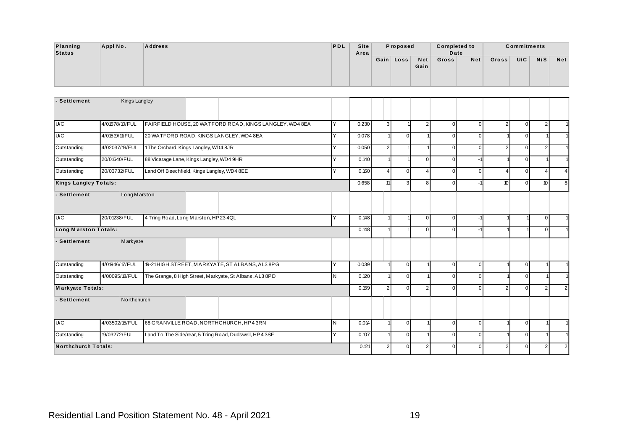| Planning      | Appl No. | <b>Address</b> | PDL | <b>Site</b> | Proposed  |      | <b>Completed to</b> |     |       | <b>Commitments</b> |     |     |
|---------------|----------|----------------|-----|-------------|-----------|------|---------------------|-----|-------|--------------------|-----|-----|
| <b>Status</b> |          |                |     | Area        |           |      | Date                |     |       |                    |     |     |
|               |          |                |     |             | Gain Loss | Net  | Gross               | Net | Gross | U/C                | N/S | Net |
|               |          |                |     |             |           | Gain |                     |     |       |                    |     |     |
|               |          |                |     |             |           |      |                     |     |       |                    |     |     |
|               |          |                |     |             |           |      |                     |     |       |                    |     |     |

| Planning<br><b>Status</b>    | Appl No.             | <b>Address</b> |                                                          | PDL          | <b>Site</b><br>Area |                | Proposed       |                | <b>Completed to</b><br>Date |                |                | <b>Commitments</b> |                  |                |
|------------------------------|----------------------|----------------|----------------------------------------------------------|--------------|---------------------|----------------|----------------|----------------|-----------------------------|----------------|----------------|--------------------|------------------|----------------|
|                              |                      |                |                                                          |              |                     |                | Gain Loss      | Net<br>Gain    | Gross                       | Net            | Gross          | U/C                | N/S              | <b>Net</b>     |
| - Settlement                 | <b>Kings Langley</b> |                |                                                          |              |                     |                |                |                |                             |                |                |                    |                  |                |
|                              |                      |                |                                                          |              |                     |                |                |                |                             |                |                |                    |                  |                |
| U/C                          | 4/01578/10/FUL       |                | FAIRFIELD HOUSE, 20 WATFORD ROAD, KINGS LANGLEY, WD4 8EA | Y            | 0.230               | $\mathbf{3}$   |                | $\overline{2}$ | $\mathbf 0$                 | $\overline{0}$ | $\overline{2}$ | $\mathbf 0$        | $\overline{2}$   |                |
| U/C                          | 4/01519/11/FUL       |                | 20 WATFORD ROAD, KINGS LANGLEY, WD4 8EA                  | Y            | 0.078               |                | $\overline{0}$ |                | $\overline{0}$              | $\Omega$       |                | $\mathbf 0$        |                  |                |
| Outstanding                  | 4/02037/19/FUL       |                | 1The Orchard, Kings Langley, WD4 8JR                     | Y            | 0.050               | $\overline{2}$ |                |                | $\overline{0}$              | $\Omega$       | $\overline{2}$ | $\mathbf 0$        | $\overline{2}$   |                |
| Outstanding                  | 20/01640/FUL         |                | 88 Vicarage Lane, Kings Langley, WD4 9HR                 | Υ            | 0.140               |                |                | $\overline{0}$ | $\mathsf 0$                 | $-1$           |                | $\mathbf 0$        |                  |                |
| Outstanding                  | 20/03732/FUL         |                | Land Off Beechfield, Kings Langley, WD4 8EE              | Y            | 0.160               | $\overline{4}$ | $\overline{0}$ | $\overline{4}$ | $\mathbf 0$                 | $\Omega$       | 4              | $\mathbf 0$        | $\overline{4}$   | $\overline{4}$ |
| <b>Kings Langley Totals:</b> |                      |                |                                                          |              | 0.658               | 11             | $\overline{3}$ | 8 <sup>1</sup> | $\overline{0}$              | -1             | 10             | $\mathbf{0}$       | 10 <sup>10</sup> | 8              |
| - Settlement                 | Long Marston         |                |                                                          |              |                     |                |                |                |                             |                |                |                    |                  |                |
| U/C                          | 20/01238/FUL         |                | 4 Tring Road, Long Marston, HP23 4QL                     | Y            | 0.148               |                |                | $\overline{0}$ | $\overline{0}$              | $-1$           |                |                    | $\overline{0}$   |                |
| <b>Long Marston Totals:</b>  |                      |                |                                                          |              | 0.148               |                |                | $\overline{0}$ | $\overline{0}$              | -1             |                |                    | $\overline{0}$   |                |
| - Settlement                 | Markyate             |                |                                                          |              |                     |                |                |                |                             |                |                |                    |                  |                |
| Outstanding                  | 4/01946/17/FUL       |                | 19-21 HIGH STREET, MARKYATE, ST ALBANS, AL3 8PG          | Y            | 0.039               |                | $\overline{0}$ |                | $\mathbf 0$                 | $\Omega$       |                | $\mathbf 0$        |                  |                |
| Outstanding                  | 4/00095/18/FUL       |                | The Grange, 8 High Street, Markyate, St Albans, AL3 8PD  | $\mathsf{N}$ | 0.120               |                | $\overline{0}$ |                | $\mathsf 0$                 | $\Omega$       |                | $\mathbf 0$        |                  |                |
| <b>Markyate Totals:</b>      |                      |                |                                                          |              | 0.159               | $\overline{2}$ | $\overline{0}$ | 2 <sup>1</sup> | $\overline{0}$              | $\Omega$       | $\overline{2}$ | $\mathbf 0$        | 2 <sub>1</sub>   | $\overline{2}$ |
| - Settlement                 | Northchurch          |                |                                                          |              |                     |                |                |                |                             |                |                |                    |                  |                |
| U/C                          | 4/03502/15/FUL       |                | 68 GRANVILLE ROAD, NORTHCHURCH, HP4 3RN                  | IN.          | 0.014               |                | $\overline{0}$ |                | $\mathbf 0$                 | $\overline{0}$ |                | $\mathbf 0$        | 1                |                |
| Outstanding                  | 19/03272/FUL         |                | Land To The Side/rear, 5 Tring Road, Dudswell, HP4 3SF   | Y            | 0.107               |                | $\mathsf 0$    |                | $\mathsf 0$                 | $\Omega$       |                | $\mathbf 0$        |                  |                |
| <b>Northchurch Totals:</b>   |                      |                |                                                          |              | 0.121               | $\overline{2}$ | $\overline{0}$ | 2 <sub>1</sub> | $\overline{0}$              | $\Omega$       | $\overline{2}$ | $\mathbf 0$        | 2 <sub>1</sub>   | $\overline{2}$ |
|                              |                      |                |                                                          |              |                     |                |                |                |                             |                |                |                    |                  |                |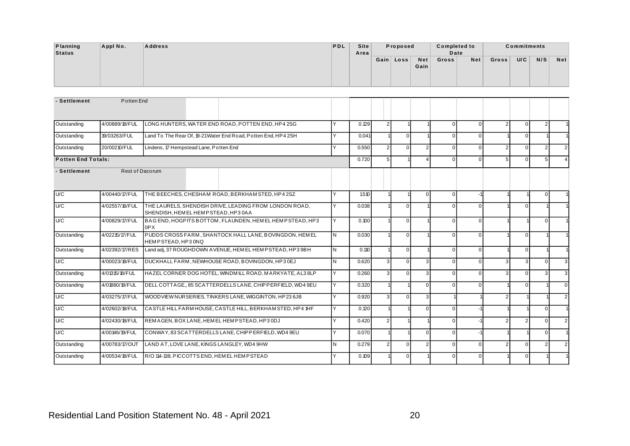| <b>Planning</b> | Appl No. | <b>Address</b> | PDL | Site |          |           |      | <b>Completed to</b> |     |       | <b>Commitments</b> |     |            |
|-----------------|----------|----------------|-----|------|----------|-----------|------|---------------------|-----|-------|--------------------|-----|------------|
| <b>Status</b>   |          |                |     | Area | Proposed |           |      | Date                |     |       |                    |     |            |
|                 |          |                |     |      |          | Gain Loss | Net  | Gross               | Net | Gross | U/C                | N/S | <b>Net</b> |
|                 |          |                |     |      |          |           | Gain |                     |     |       |                    |     |            |
|                 |          |                |     |      |          |           |      |                     |     |       |                    |     |            |
|                 |          |                |     |      |          |           |      |                     |     |       |                    |     |            |

| Appl No.                  | <b>Address</b>                                                                                | PDL                           | <b>Site</b><br>Area | Proposed       |                                                                                                                               |                | <b>Completed to</b><br>Date<br>Net<br>$\pmb{0}$<br>$\overline{0}$<br>$\overline{0}$<br>$\Omega$<br>$\pmb{0}$<br>$\Omega$<br>$\mathsf 0$<br>$\Omega$<br>$\overline{0}$<br>$-1$<br>$\mathsf 0$<br>$\Omega$<br>$\mathsf 0$<br>$\Omega$<br>0<br>$\Omega$<br>$\mathsf 0$<br>$\overline{0}$<br>$\overline{0}$<br>$\Omega$<br>$\pmb{0}$<br>$\Omega$<br>$\mathsf 0$<br>$\Omega$<br>$\overline{0}$<br>-1<br>$\mathsf 0$<br>$-1$<br>$\mathsf 0$<br>$-1$<br>$\mathsf 0$<br>$\overline{0}$ |                | <b>Commitments</b> |                |                |
|---------------------------|-----------------------------------------------------------------------------------------------|-------------------------------|---------------------|----------------|-------------------------------------------------------------------------------------------------------------------------------|----------------|--------------------------------------------------------------------------------------------------------------------------------------------------------------------------------------------------------------------------------------------------------------------------------------------------------------------------------------------------------------------------------------------------------------------------------------------------------------------------------|----------------|--------------------|----------------|----------------|
|                           |                                                                                               |                               |                     |                | Net<br>Gain                                                                                                                   | Gross          |                                                                                                                                                                                                                                                                                                                                                                                                                                                                                | Gross          | U/C                | N/S            | <b>Net</b>     |
|                           |                                                                                               |                               |                     |                |                                                                                                                               |                |                                                                                                                                                                                                                                                                                                                                                                                                                                                                                |                |                    |                |                |
|                           |                                                                                               |                               |                     |                |                                                                                                                               |                |                                                                                                                                                                                                                                                                                                                                                                                                                                                                                |                |                    |                |                |
| 4/00889/18/FUL            | LONG HUNTERS, WATER END ROAD, POTTEN END, HP4 2SG                                             | Y                             |                     |                |                                                                                                                               |                |                                                                                                                                                                                                                                                                                                                                                                                                                                                                                | $\overline{2}$ | $\mathbf 0$        | $\overline{2}$ |                |
| 19/03263/FUL              | Land To The Rear Of, 19-21 Water End Road, Potten End, HP4 2SH                                | Y                             | 0.041               | $\overline{0}$ |                                                                                                                               |                |                                                                                                                                                                                                                                                                                                                                                                                                                                                                                |                | $\overline{0}$     |                |                |
| 20/00210/FUL              | Lindens, 17 Hempstead Lane, Potten End                                                        | Y                             | 0.550               | $\overline{0}$ | 2 <sup>1</sup>                                                                                                                |                |                                                                                                                                                                                                                                                                                                                                                                                                                                                                                | $\overline{2}$ | $\overline{0}$     | 2 <sup>1</sup> | $\overline{2}$ |
| <b>Potten End Totals:</b> |                                                                                               |                               | 0.720               |                | $\overline{\mathbf{A}}$                                                                                                       |                |                                                                                                                                                                                                                                                                                                                                                                                                                                                                                | 5              | $\Omega$           | 5 <sub>5</sub> | $\overline{4}$ |
|                           |                                                                                               |                               |                     |                |                                                                                                                               |                |                                                                                                                                                                                                                                                                                                                                                                                                                                                                                |                |                    |                |                |
| 4/00440/17/FUL            | THE BEECHES, CHESHAM ROAD, BERKHAM STED, HP4 2SZ                                              | Y                             |                     |                |                                                                                                                               |                |                                                                                                                                                                                                                                                                                                                                                                                                                                                                                |                |                    | $\overline{0}$ |                |
| 4/02557/16/FUL            | THE LAURELS, SHENDISH DRIVE, LEADING FROM LONDON ROAD,<br>SHENDISH, HEM EL HEM PSTEAD, HP30AA | Y                             | 0.038               | $\overline{0}$ |                                                                                                                               |                |                                                                                                                                                                                                                                                                                                                                                                                                                                                                                |                | $\overline{0}$     |                |                |
| 4/00829/17/FUL            | BAG END, HOGPITS BOTTOM, FLAUNDEN, HEMEL HEMPSTEAD, HP3<br>0PX                                | Y                             | 0.100               | $\overline{0}$ |                                                                                                                               |                |                                                                                                                                                                                                                                                                                                                                                                                                                                                                                |                |                    | $\overline{0}$ |                |
| 4/02215/17/FUL            | PUDDS CROSS FARM, SHANTOCK HALL LANE, BOVINGDON, HEMEL<br>HEMPSTEAD, HP3 0NQ                  | $\mathsf{N}$                  | 0.030               | $\overline{0}$ |                                                                                                                               |                |                                                                                                                                                                                                                                                                                                                                                                                                                                                                                |                | 0                  |                |                |
| 4/02392/17/RES            | Land adj, 37 ROUGHDOWN A VENUE, HEMEL HEM PSTEAD, HP3 9BH                                     | $\mathsf{N}$                  | 0.110               | $\overline{0}$ |                                                                                                                               |                |                                                                                                                                                                                                                                                                                                                                                                                                                                                                                |                | $\mathbf 0$        |                |                |
| 4/00023/18/FUL            | DUCKHALL FARM, NEWHOUSE ROAD, BOVINGDON, HP30EJ                                               | N                             | 0.620               | $\overline{0}$ |                                                                                                                               |                |                                                                                                                                                                                                                                                                                                                                                                                                                                                                                | 3              | 3                  | $\overline{0}$ | $\mathbf{3}$   |
| 4/01315/18/FUL            | HAZEL CORNER DOG HOTEL, WINDMILL ROAD, MARKYATE, AL3 8LP                                      | Y                             | 0.260               | $\overline{0}$ | $\overline{3}$                                                                                                                |                |                                                                                                                                                                                                                                                                                                                                                                                                                                                                                | 3              | $\overline{0}$     | $\mathbf{3}$   | 3              |
| 4/01880/18/FUL            | DELL COTTAGE,, 85 SCATTERDELLS LANE, CHIPPERFIELD, WD4 9EU                                    | Y                             | 0.320               |                | $\overline{0}$                                                                                                                |                |                                                                                                                                                                                                                                                                                                                                                                                                                                                                                |                | $\mathbf 0$        |                | $\mathbf 0$    |
| 4/03275/17/FUL            | WOODVIEW NURSERIES, TINKERS LANE, WIGGINTON, HP23 6JB                                         | Y                             | 0.920               | $\overline{0}$ | 3 <sup>1</sup>                                                                                                                |                |                                                                                                                                                                                                                                                                                                                                                                                                                                                                                | $\overline{2}$ |                    |                | $\overline{2}$ |
| 4/02602/18/FUL            | CASTLE HILL FARM HOUSE, CASTLE HILL, BERKHAMSTED, HP4 1HF                                     | Y                             | 0.120               |                |                                                                                                                               |                |                                                                                                                                                                                                                                                                                                                                                                                                                                                                                |                |                    | $\overline{0}$ |                |
| 4/02430/18/FUL            | REMAGEN, BOX LANE, HEMEL HEMPSTEAD, HP3 0DJ                                                   | Y                             | 0.420               |                |                                                                                                                               |                |                                                                                                                                                                                                                                                                                                                                                                                                                                                                                | 2              | $\overline{2}$     | $\Omega$       | $\overline{2}$ |
| 4/00146/19/FUL            | CONWAY, 83 SCATTERDELLS LANE, CHIPPERFIELD, WD49EU                                            | Y                             | 0.070               |                |                                                                                                                               |                |                                                                                                                                                                                                                                                                                                                                                                                                                                                                                |                |                    | $\overline{0}$ |                |
| 4/00783/17/OUT            | LAND AT, LOVE LANE, KINGS LANGLEY, WD4 9HW                                                    | N                             | 0.279               | $\overline{0}$ | 2 <sub>1</sub>                                                                                                                |                |                                                                                                                                                                                                                                                                                                                                                                                                                                                                                | $\overline{2}$ | $\mathbf 0$        | $\overline{2}$ | $\overline{2}$ |
| 4/00534/18/FUL            | R/O 114-138. PICCOTTS END. HEMEL HEMPSTEAD                                                    | Y                             | 0.109               | $\overline{0}$ | 1                                                                                                                             | $\overline{0}$ | $\overline{0}$                                                                                                                                                                                                                                                                                                                                                                                                                                                                 |                | $\mathbf{0}$       |                |                |
|                           |                                                                                               | Potten End<br>Rest of Dacorum |                     | 0.129<br>1.510 | Gain   Loss<br>$\overline{c}$<br>$\overline{2}$<br>$\sqrt{5}$<br>3<br>3<br>3 <sup>1</sup><br>$\overline{2}$<br>$\overline{2}$ |                | $\overline{0}$<br>3 <sup>1</sup><br>$\Omega$<br>$\overline{0}$                                                                                                                                                                                                                                                                                                                                                                                                                 |                |                    |                |                |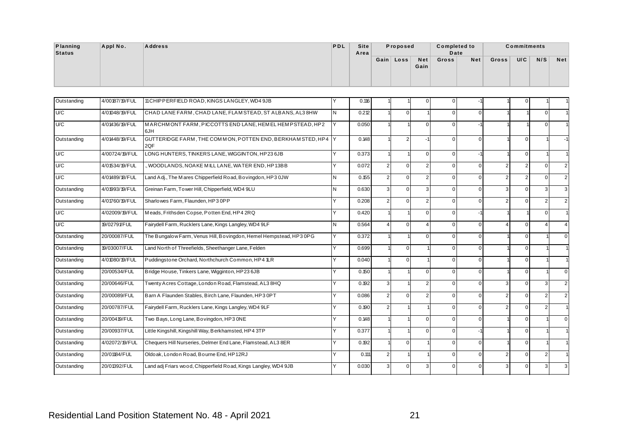| Planning | Appl No. | <b>Address</b> | <b>PDL</b> | <b>Site</b> | Proposed  |      | <b>Completed to</b> |     |       | <b>Commitments</b> |     |     |
|----------|----------|----------------|------------|-------------|-----------|------|---------------------|-----|-------|--------------------|-----|-----|
| Status   |          |                |            | Area        |           |      | Date                |     |       |                    |     |     |
|          |          |                |            |             | Gain Loss | Net  | Gross               | Net | Gross | U/C                | N/S | Net |
|          |          |                |            |             |           | Gain |                     |     |       |                    |     |     |
|          |          |                |            |             |           |      |                     |     |       |                    |     |     |
|          |          |                |            |             |           |      |                     |     |       |                    |     |     |

| Planning<br><b>Status</b> | Appl No.       | <b>Address</b>                                                     | PDL | <b>Site</b><br>Area |                | Proposed       |                    | <b>Completed to</b><br>Date |                |                | <b>Commitments</b> |                         |                |
|---------------------------|----------------|--------------------------------------------------------------------|-----|---------------------|----------------|----------------|--------------------|-----------------------------|----------------|----------------|--------------------|-------------------------|----------------|
|                           |                |                                                                    |     |                     |                | Gain Loss      | <b>Net</b><br>Gain | Gross                       | Net            | Gross          | U/C                | N/S                     | <b>Net</b>     |
| Outstanding               | 4/00187/19/FUL | 11 CHIPPERFIELD ROAD, KINGS LANGLEY, WD4 9JB                       | Y   | 0.116               |                |                | $\Omega$           | $\mathbf 0$                 |                |                | $\Omega$           |                         |                |
| U/C                       | 4/01048/19/FUL | CHAD LANE FARM, CHAD LANE, FLAM STEAD, ST ALBANS, AL3 8HW          | IN. | 0.212               |                | $\overline{0}$ |                    | $\overline{0}$              | $\overline{0}$ |                |                    | $\Omega$                |                |
| U/C                       | 4/01436/19/FUL | MARCHMONT FARM, PICCOTTS END LANE, HEMEL HEMPSTEAD, HP2<br>6JH     | IY. | 0.050               |                |                | $\Omega$           | $\overline{0}$              | $-1$           |                |                    | $\mathbf{0}$            |                |
| Outstanding               | 4/01448/19/FUL | GUTTERIDGE FARM, THE COMMON, POTTEN END, BERKHAMSTED, HP4 Y<br>2QF |     | 0.148               |                | $\overline{2}$ | $-1$               | $\overline{0}$              | $\overline{0}$ |                | $\mathbf{0}$       |                         | $-1$           |
| U/C                       | 4/00724/19/FUL | LONG HUNTERS, TINKERS LANE, WIGGINTON, HP23 6JB                    | Y   | 0.373               |                |                | $\overline{0}$     | $\overline{0}$              | $-1$           |                | $\mathbf{0}$       |                         | $\mathbf{1}$   |
| U/C                       | 4/01534/19/FUL | , WOODLANDS, NOAKE MILL LANE, WATER END, HP13BB                    | Y   | 0.072               | $\overline{2}$ | $\overline{0}$ | 2 <sup>1</sup>     | $\mathbf{0}$                | $\overline{0}$ | $\mathfrak{p}$ | $\overline{2}$     | $\Omega$                | $\overline{2}$ |
| U/C                       | 4/01489/18/FUL | Land Adj., The Mares Chipperfield Road, Bovingdon, HP3 0JW         | N   | 0.155               | $\overline{2}$ | $\overline{0}$ | 2                  | $\overline{0}$              | $\mathbf 0$    | 2              | $\overline{2}$     | $\mathbf{0}$            | $\overline{2}$ |
| Outstanding               | 4/01993/19/FUL | Greinan Farm, Tower Hill, Chipperfield, WD4 9LU                    | İΝ  | 0.630               | 3 <sup>1</sup> | $\overline{0}$ | $\mathbf{3}$       | $\overline{0}$              | $\overline{0}$ | 3              | $\mathbf{0}$       | 3                       | 3              |
| Outstanding               | 4/01760/19/FUL | Sharlowes Farm, Flaunden, HP3 0PP                                  | Y   | 0.208               | $\overline{2}$ | $\overline{0}$ | $\overline{2}$     | $\overline{0}$              | $\overline{0}$ | 2              | $\Omega$           | $\overline{2}$          | $\overline{2}$ |
| U/C                       | 4/02009/19/FUL | Meads, Frithsden Copse, Potten End, HP4 2RQ                        | Y   | 0.420               |                |                | $\overline{0}$     | $\overline{0}$              | $-1$           |                |                    | $\mathbf{0}$            |                |
| U/C                       | 19/02791/FUL   | Fairydell Farm, Rucklers Lane, Kings Langley, WD4 9LF              | N   | 0.564               | $\overline{4}$ | $\overline{0}$ | $\overline{4}$     | $\overline{0}$              | $\overline{0}$ | $\Delta$       | $\mathbf{0}$       | 4                       | $\overline{4}$ |
| Outstanding               | 20/00087/FUL   | The Bungalow Farm, Venus Hill, Bovingdon, Hemel Hempstead, HP3 0PG | Y   | 0.372               |                |                | $\overline{0}$     | $\mathbf{0}$                | $\overline{0}$ |                | $\mathbf 0$        |                         | $\overline{0}$ |
| Outstanding               | 19/03007/FUL   | Land North of Threefields, Sheethanger Lane, Felden                | Y   | 0.699               |                | $\overline{0}$ |                    | $\overline{0}$              | $\overline{0}$ |                | $\mathbf{0}$       |                         |                |
| Outstanding               | 4/01080/19/FUL | Puddingstone Orchard, Northchurch Common, HP4 1LR                  | Y   | 0.040               |                | $\overline{0}$ |                    | $\mathbf{0}$                | $\overline{0}$ |                | $\Omega$           |                         |                |
| Outstanding               | 20/00534/FUL   | Bridge House, Tinkers Lane, Wigginton, HP23 6JB                    | Y   | 0.150               |                |                | $\overline{0}$     | $\overline{0}$              | $\overline{0}$ |                | $\Omega$           |                         | $\mathbf 0$    |
| Outstanding               | 20/00646/FUL   | Twenty Acres Cottage, London Road, Flamstead, AL3 8HQ              | Y   | 0.192               | 3 <sup>1</sup> |                | 2                  | $\overline{0}$              | $\overline{0}$ | 3              | $\mathbf{0}$       | 3                       | $\overline{2}$ |
| Outstanding               | 20/00089/FUL   | Barn A Flaunden Stables, Birch Lane, Flaunden, HP3 0PT             | Y   | 0.086               | $\overline{2}$ | $\overline{0}$ | 2 <sup>1</sup>     | $\overline{0}$              | $\overline{0}$ |                | $\Omega$           | $\overline{2}$          | $\overline{2}$ |
| Outstanding               | 20/00787/FUL   | Fairydell Farm, Rucklers Lane, Kings Langley, WD4 9LF              | Y   | 0.190               | $\overline{2}$ |                |                    | $\overline{0}$              | $\overline{0}$ | $\mathcal{P}$  | $\mathbf{0}$       | $\overline{2}$          |                |
| Outstanding               | 20/00419/FUL   | Two Bays, Long Lane, Bovingdon, HP3 ONE                            | Y   | 0.148               |                |                | $\overline{0}$     | $\overline{0}$              | $\overline{0}$ |                | $\Omega$           |                         | $\overline{0}$ |
| Outstanding               | 20/00937/FUL   | Little Kingshill, Kingshill Way, Berkhamsted, HP4 3TP              | Y   | 0.377               |                |                | $\overline{0}$     | $\mathbf 0$                 | -1             |                | $\mathbf 0$        |                         |                |
| Outstanding               | 4/02072/19/FUL | Chequers Hill Nurseries, Delmer End Lane, Flamstead, AL3 8ER       | Y   | 0.192               |                | $\overline{0}$ |                    | $\overline{0}$              | $\overline{0}$ |                | $\Omega$           |                         |                |
| Outstanding               | 20/01184/FUL   | Oldoak, London Road, Bourne End, HP12RJ                            | Y   | 0.111               | $\overline{2}$ |                |                    | $\mathbf 0$                 | $\overline{0}$ | 2              | $\mathbf 0$        | $\overline{\mathbf{c}}$ |                |
| Outstanding               | 20/01392/FUL   | Land adj Friars wood, Chipperfield Road, Kings Langley, WD4 9JB    |     | 0.030               |                | 0              |                    | 0                           |                |                | $\mathbf 0$        | 3                       | $\mathbf{3}$   |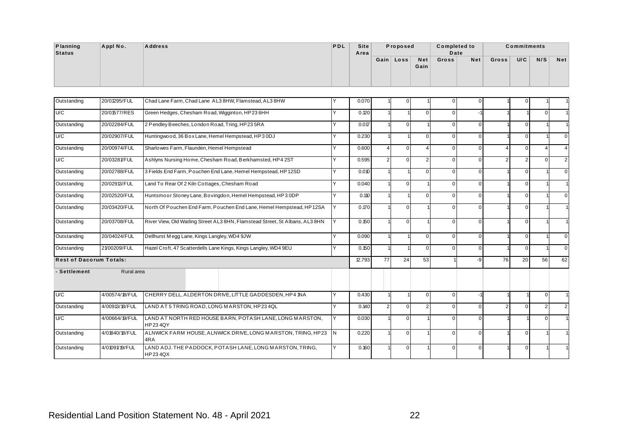| Planning | Appl No. | <b>Address</b> | <b>PDL</b> | <b>Site</b> | Proposed  |      | <b>Completed to</b> |     |       | <b>Commitments</b> |     |     |
|----------|----------|----------------|------------|-------------|-----------|------|---------------------|-----|-------|--------------------|-----|-----|
| Status   |          |                |            | Area        |           |      | Date                |     |       |                    |     |     |
|          |          |                |            |             | Gain Loss | Net  | Gross               | Net | Gross | U/C                | N/S | Net |
|          |          |                |            |             |           | Gain |                     |     |       |                    |     |     |
|          |          |                |            |             |           |      |                     |     |       |                    |     |     |
|          |          |                |            |             |           |      |                     |     |       |                    |     |     |

| Planning<br><b>Status</b>      | Appl No.       | <b>Address</b>                                                               | PDL | <b>Site</b><br>Area |                | Proposed       |                    | <b>Completed to</b><br>Date |                |                | Commitments    |                |                |
|--------------------------------|----------------|------------------------------------------------------------------------------|-----|---------------------|----------------|----------------|--------------------|-----------------------------|----------------|----------------|----------------|----------------|----------------|
|                                |                |                                                                              |     |                     |                | Gain Loss      | <b>Net</b><br>Gain | Gross                       | Net            | Gross          | U/C            | N/S            | <b>Net</b>     |
| Outstanding                    | 20/01295/FUL   | Chad Lane Farm, Chad Lane AL3 8HW, Flamstead, AL3 8HW                        | Y   | 0.070               |                | 0              |                    | $\mathbf 0$                 | $\overline{0}$ |                | $\Omega$       |                |                |
| U/C                            | 20/01577/RES   | Green Hedges, Chesham Road, Wigginton, HP23 6HH                              | Y   | 0.120               |                |                | $\Omega$           | $\overline{0}$              |                |                |                | $\Omega$       |                |
| Outstanding                    | 20/02284/FUL   | 2 Pendley Beeches, London Road, Tring, HP23 5RA                              | Y   | 0.017               |                | $\overline{0}$ |                    | $\overline{0}$              | $\overline{0}$ |                | $\mathbf{0}$   |                |                |
| U/C                            | 20/02907/FUL   | Huntingwood, 36 Box Lane, Hemel Hempstead, HP3 0DJ                           | Y   | 0.230               |                |                | $\Omega$           | $\mathbf 0$                 | $\overline{0}$ |                | $\mathbf 0$    |                | $\Omega$       |
| Outstanding                    | 20/00974/FUL   | Sharlowes Farm, Flaunden, Hemel Hempstead                                    | Y   | 0.600               | $\overline{4}$ | $\overline{0}$ | $\overline{4}$     | $\mathbf 0$                 | $\overline{0}$ | 4              | $\mathbf 0$    | $\Delta$       | $\overline{4}$ |
| U/C                            | 20/03281/FUL   | Ashlyns Nursing Home, Chesham Road, Berkhamsted, HP4 2ST                     | Y   | 0.595               | $\overline{2}$ | $\overline{0}$ | $\overline{2}$     | $\mathbf 0$                 | $\overline{0}$ | $\overline{2}$ | $\overline{2}$ | $\overline{0}$ | 2 <sub>1</sub> |
| Outstanding                    | 20/02788/FUL   | 3 Fields End Farm, Pouchen End Lane, Hemel Hempstead, HP12SD                 | Y   | 0.010               |                |                | $\Omega$           | $\overline{0}$              | $\overline{0}$ |                | $\mathbf{0}$   |                | $\overline{0}$ |
| Outstanding                    | 20/02913/FUL   | Land To Rear Of 2 Kiln Cottages, Chesham Road                                | Y   | 0.040               |                | $\overline{0}$ |                    | $\mathbf 0$                 | $\overline{0}$ |                | $\mathbf 0$    |                |                |
| Outstanding                    | 20/02520/FUL   | Huntsmoor Stoney Lane, Bovingdon, Hemel Hempstead, HP3 0DP                   | Y   | 0.110               |                |                | $\Omega$           | $\mathbf 0$                 | $\overline{0}$ |                | $\mathbf 0$    |                | $\overline{0}$ |
| Outstanding                    | 20/03420/FUL   | North Of Pouchen End Farm, Pouchen End Lane, Hemel Hempstead, HP12SA         | Y   | 0.170               |                | $\overline{0}$ |                    | $\mathbf 0$                 | $\overline{0}$ |                | $\mathbf 0$    |                |                |
| Outstanding                    | 20/03708/FUL   | River View, Old Watling Street AL3 8HN, Flamstead Street, St Albans, AL3 8HN | Y   | 0.150               |                | $\overline{0}$ |                    | $\mathbf 0$                 | $\overline{0}$ |                | $\mathbf 0$    |                |                |
| Outstanding                    | 20/04024/FUL   | Dellhurst Megg Lane, Kings Langley, WD4 9JW                                  | Y   | 0.090               |                |                | $\Omega$           | $\mathbf 0$                 | $\overline{0}$ |                | $\mathbf 0$    |                | $\overline{0}$ |
| Outstanding                    | 21/00209/FUL   | Hazel Croft, 47 Scatterdells Lane Kings, Kings Langley, WD4 9EU              | Y   | 0.150               |                |                | $\Omega$           | $\overline{0}$              | $\overline{0}$ |                | $\mathbf{0}$   |                | $\overline{0}$ |
| <b>Rest of Dacorum Totals:</b> |                |                                                                              |     | 12.793              | 77             | 24             | 53                 |                             | $-9$           | 76             | 20             | 56             | 62             |
| - Settlement                   | Rural area     |                                                                              |     |                     |                |                |                    |                             |                |                |                |                |                |
| U/C                            | 4/00574/18/FUL | CHERRY DELL, ALDERTON DRIVE, LITTLE GADDESDEN, HP4 1NA                       | Y   | 0.430               |                |                | $\overline{0}$     | $\overline{0}$              | $-1$           |                |                | $\overline{0}$ |                |
| Outstanding                    | 4/00913/18/FUL | LAND AT 5 TRING ROAD, LONG MARSTON, HP234QL                                  | Y   | 0.140               | $\overline{2}$ | $\overline{0}$ | $\mathfrak{p}$     | $\overline{0}$              | $\overline{0}$ | $\overline{2}$ | $\Omega$       | $\overline{2}$ | 2 <sub>1</sub> |
| U/C                            | 4/00664/19/FUL | LAND AT NORTH RED HOUSE BARN, POTASH LANE, LONG MARSTON,<br><b>HP234QY</b>   | Y   | 0.030               |                | $\overline{0}$ |                    | $\mathbf 0$                 | $\overline{0}$ |                |                | $\overline{0}$ |                |
| Outstanding                    | 4/01840/18/FUL | ALNWICK FARM HOUSE, ALNWICK DRIVE, LONG MARSTON, TRING, HP23<br>4RA          | IN. | 0.220               |                | $\overline{0}$ |                    | $\mathbf 0$                 | $\overline{0}$ |                | $\mathbf 0$    |                |                |
|                                | 4/01091/19/FUL | LAND ADJ. THE PADDOCK, POTASH LANE, LONG MARSTON, TRING,<br><b>HP234QX</b>   | Y   | 0.160               |                | $\overline{0}$ |                    | $\mathbf 0$                 | $\overline{0}$ |                | $\mathbf 0$    |                |                |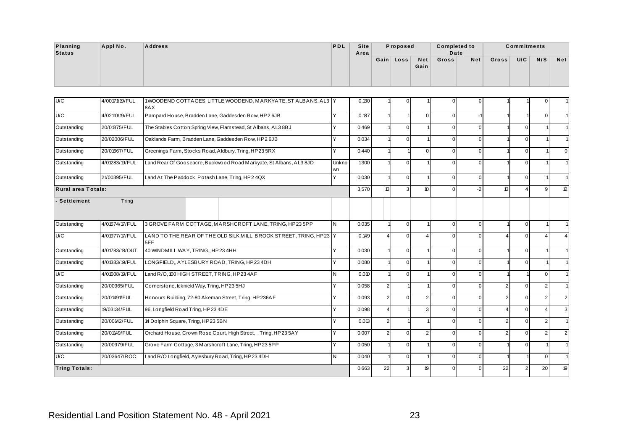| Planning<br><b>Status</b> | Appl No.       | <b>Address</b>                                                       | PDL | <b>Site</b><br>Area | Proposed  |             | <b>Completed to</b><br>Date |     |       | <b>Commitments</b> |     |            |
|---------------------------|----------------|----------------------------------------------------------------------|-----|---------------------|-----------|-------------|-----------------------------|-----|-------|--------------------|-----|------------|
|                           |                |                                                                      |     |                     | Gain Loss | Net<br>Gain | Gross                       | Net | Gross | U/C                | N/S | <b>Net</b> |
|                           |                |                                                                      |     |                     |           |             |                             |     |       |                    |     |            |
| U/C                       | 4/00171/19/FUL | 1WOODEND COTTAGES, LITTLE WOODEND, MARKYATE, ST ALBANS, AL3 Y<br>8AX |     | 0.130               |           |             | $\Omega$                    |     |       |                    |     |            |

| Planning<br><b>Status</b> | Appl No.       | <b>Address</b>                                                            | PDL                                                                       | Site<br>Area |                | Proposed       |               | <b>Completed to</b><br>Date |                |       | <b>Commitments</b><br>U/C<br>$\mathbf 0$<br>$\mathbf 0$<br>$\mathbf 0$<br>$\mathbf 0$<br>$\mathbf 0$<br>13<br>$\overline{4}$<br>$\mathbf 0$<br>$\mathbf 0$<br>$\mathbf{0}$<br>$\mathbf 0$<br>$\mathbf 0$<br>$\overline{2}$<br>$\mathbf 0$<br>$\overline{2}$<br>$\mathbf 0$<br>$\Delta$<br>$\overline{2}$<br>$\mathbf 0$<br>$\overline{2}$<br>$\mathbf 0$<br>$\mathbf 0$ |                |                |
|---------------------------|----------------|---------------------------------------------------------------------------|---------------------------------------------------------------------------|--------------|----------------|----------------|---------------|-----------------------------|----------------|-------|-------------------------------------------------------------------------------------------------------------------------------------------------------------------------------------------------------------------------------------------------------------------------------------------------------------------------------------------------------------------------|----------------|----------------|
|                           |                |                                                                           |                                                                           |              |                | Gain Loss      | Net<br>Gain   | Gross                       | Net            | Gross |                                                                                                                                                                                                                                                                                                                                                                         | N/S            | Net            |
| U/C                       | 4/00171/19/FUL | 1WOODEND COTTAGES, LITTLE WOODEND, MARKYATE, ST ALBANS, AL3 Y             |                                                                           | 0.130        |                | 0              |               | $\mathbf 0$                 | $\overline{0}$ |       | 22<br>$\overline{2}$                                                                                                                                                                                                                                                                                                                                                    |                |                |
|                           |                | 8AX                                                                       |                                                                           |              |                |                |               |                             |                |       |                                                                                                                                                                                                                                                                                                                                                                         |                |                |
| U/C                       | 4/02110/19/FUL | Pampard House, Bradden Lane, Gaddesden Row, HP2 6JB                       | Y                                                                         | 0.187        |                |                | $\Omega$      | $\overline{0}$              | $-1$           |       |                                                                                                                                                                                                                                                                                                                                                                         | $\overline{0}$ |                |
| Outstanding               | 20/01875/FUL   | The Stables Cotton Spring View, Flamstead, St Albans, AL3 8BJ             | Y                                                                         | 0.469        |                | $\overline{0}$ |               | $\mathbf 0$                 | $\overline{0}$ |       |                                                                                                                                                                                                                                                                                                                                                                         |                |                |
| Outstanding               | 20/02006/FUL   | Oaklands Farm, Bradden Lane, Gaddesden Row, HP2 6JB                       | Y                                                                         | 0.034        |                | $\overline{0}$ |               | $\mathbf 0$                 | $\overline{0}$ |       |                                                                                                                                                                                                                                                                                                                                                                         |                |                |
| Outstanding               | 20/01667/FUL   | Greenings Farm, Stocks Road, Aldbury, Tring, HP23 5RX                     | Y                                                                         | 0.440        |                |                | $\Omega$      | $\mathbf 0$                 | $\overline{0}$ |       |                                                                                                                                                                                                                                                                                                                                                                         |                | $\Omega$       |
| Outstanding               | 4/01283/19/FUL | Land Rear Of Gooseacre, Buckwood Road Markyate, St Albans, AL3 8JD        | Unkno<br>wn                                                               | 1300         |                | $\overline{0}$ |               | $\mathbf 0$                 | $\overline{0}$ |       |                                                                                                                                                                                                                                                                                                                                                                         |                |                |
| Outstanding               | 21/00395/FUL   | Land At The Paddock, Potash Lane, Tring, HP2 4QX                          | Y                                                                         | 0.030        |                | $\overline{0}$ |               | $\mathbf 0$                 | $\overline{0}$ |       |                                                                                                                                                                                                                                                                                                                                                                         |                |                |
| <b>Rural area Totals:</b> |                |                                                                           | 13<br>10 <sup>10</sup><br>3.570<br>$\overline{0}$<br>$-2$<br>$\mathbf{3}$ |              |                |                |               |                             | 9              | 12    |                                                                                                                                                                                                                                                                                                                                                                         |                |                |
| - Settlement              | Tring          |                                                                           |                                                                           |              |                |                |               |                             |                |       |                                                                                                                                                                                                                                                                                                                                                                         |                |                |
| Outstanding               | 4/01574/17/FUL | 3 GROVE FARM COTTAGE, MARSHCROFT LANE, TRING, HP23 5PP                    | IN.                                                                       | 0.035        |                | $\overline{0}$ |               | $\overline{0}$              | $\mathbf{0}$   |       |                                                                                                                                                                                                                                                                                                                                                                         |                |                |
| U/C                       | 4/01977/17/FUL | LAND TO THE REAR OF THE OLD SILK MILL, BROOK STREET, TRING, HP23 Y<br>5EF |                                                                           | 0.149        | $\overline{4}$ | $\overline{0}$ |               | $\mathbf 0$                 | $\overline{0}$ |       |                                                                                                                                                                                                                                                                                                                                                                         |                | $\overline{4}$ |
| Outstanding               | 4/01783/18/OUT | 40 WINDM ILL WAY, TRING,, HP234HH                                         | Y                                                                         | 0.030        |                | $\overline{0}$ |               | $\overline{0}$              | $\overline{0}$ |       |                                                                                                                                                                                                                                                                                                                                                                         |                |                |
| Outstanding               | 4/01383/19/FUL | LONGFIELD,, AYLESBURY ROAD, TRING, HP23 4DH                               | Y                                                                         | 0.080        |                | $\overline{0}$ |               | $\mathbf 0$                 | $\overline{0}$ |       |                                                                                                                                                                                                                                                                                                                                                                         |                |                |
| U/C                       | 4/01608/19/FUL | Land R/O, 100 HIGH STREET, TRING, HP23 4AF                                | N                                                                         | 0.010        |                | $\overline{0}$ |               | $\pmb{0}$                   | $\overline{0}$ |       |                                                                                                                                                                                                                                                                                                                                                                         | $\overline{0}$ |                |
| Outstanding               | 20/00965/FUL   | Cornerstone, Icknield Way, Tring, HP23 5HJ                                | Y                                                                         | 0.058        | $\overline{2}$ |                |               | $\mathbf 0$                 | $\overline{0}$ |       |                                                                                                                                                                                                                                                                                                                                                                         | $\overline{2}$ |                |
| Outstanding               | 20/01491/FUL   | Honours Building, 72-80 Akeman Street, Tring, HP236AF                     | Y                                                                         | 0.093        | $\overline{2}$ | $\overline{0}$ |               | $\overline{0}$              | $\overline{0}$ |       |                                                                                                                                                                                                                                                                                                                                                                         | $\overline{2}$ | 2 <sub>1</sub> |
| Outstanding               | 19/03134/FUL   | 96, Longfield Road Tring, HP23 4DE                                        | Y                                                                         | 0.098        | $\overline{4}$ |                | $\mathcal{R}$ | $\pmb{0}$                   | $\overline{0}$ |       |                                                                                                                                                                                                                                                                                                                                                                         | 4              | $\overline{3}$ |
| Outstanding               | 20/00142/FUL   | 14 Dolphin Square, Tring, HP23 5BN                                        | Y                                                                         | 0.013        | $\overline{2}$ |                |               | $\mathbf 0$                 | $\overline{0}$ |       |                                                                                                                                                                                                                                                                                                                                                                         | $\overline{c}$ |                |
| Outstanding               | 20/01149/FUL   | Orchard House, Crown Rose Court, High Street, , Tring, HP235AY            | Y                                                                         | 0.007        | $\overline{2}$ | $\overline{0}$ | 2             | $\overline{0}$              | $\overline{0}$ |       |                                                                                                                                                                                                                                                                                                                                                                         | $\overline{2}$ | 2 <sub>1</sub> |
| Outstanding               | 20/00979/FUL   | Grove Farm Cottage, 3 M arshcroft Lane, Tring, HP23 5PP                   | Y                                                                         | 0.050        |                | $\overline{0}$ |               | $\mathbf 0$                 | $\overline{0}$ |       |                                                                                                                                                                                                                                                                                                                                                                         |                |                |
| U/C                       | 20/03647/ROC   | Land R/O Longfield, Aylesbury Road, Tring, HP23 4DH                       | IN.                                                                       | 0.040        |                | $\overline{0}$ |               | $\overline{0}$              | $\overline{0}$ |       |                                                                                                                                                                                                                                                                                                                                                                         | $\overline{0}$ |                |
| <b>Tring Totals:</b>      |                |                                                                           |                                                                           | 0.663        | 22             | 3              | 19            | 0                           | 0              |       |                                                                                                                                                                                                                                                                                                                                                                         | 20             | 19             |
|                           |                |                                                                           |                                                                           |              |                |                |               |                             |                |       |                                                                                                                                                                                                                                                                                                                                                                         |                |                |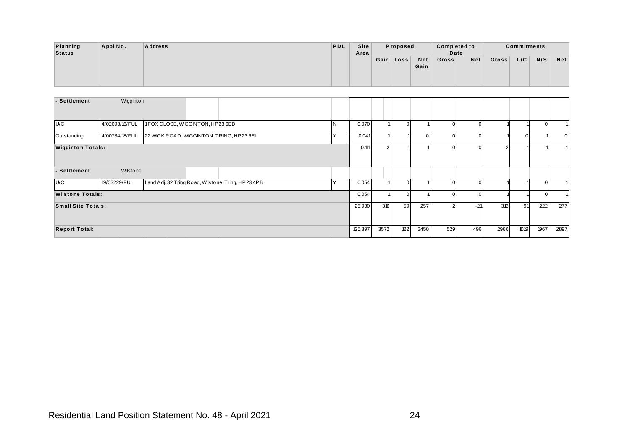| <b>Planning</b> | Appl No. | <b>Address</b> | PDL | Site | Proposed  |      | <b>Completed to</b> |     |       | <b>Commitments</b> |     |            |
|-----------------|----------|----------------|-----|------|-----------|------|---------------------|-----|-------|--------------------|-----|------------|
| <b>Status</b>   |          |                |     | Area |           |      | Date                |     |       |                    |     |            |
|                 |          |                |     |      | Gain Loss | Net  | Gross               | Net | Gross | U/C                | N/S | <b>Net</b> |
|                 |          |                |     |      |           | Gain |                     |     |       |                    |     |            |
|                 |          |                |     |      |           |      |                     |     |       |                    |     |            |
|                 |          |                |     |      |           |      |                     |     |       |                    |     |            |

| Planning<br><b>Status</b> | Appl No.       | <b>Address</b>                  |                                                         | PDL    | Site<br>Area   |                | Proposed       |                    | <b>Completed to</b><br>Date   |                                  |                              | <b>Commitments</b> |                |                             |
|---------------------------|----------------|---------------------------------|---------------------------------------------------------|--------|----------------|----------------|----------------|--------------------|-------------------------------|----------------------------------|------------------------------|--------------------|----------------|-----------------------------|
|                           |                |                                 |                                                         |        |                |                | Gain Loss      | <b>Net</b><br>Gain | Gross                         | Net                              | Gross                        | U/C                | N/S            | <b>Net</b>                  |
| - Settlement              | Wigginton      |                                 |                                                         |        |                |                |                |                    |                               |                                  |                              |                    |                |                             |
|                           |                |                                 |                                                         |        |                |                |                |                    |                               |                                  |                              |                    |                |                             |
| U/C                       | 4/02093/16/FUL | 1FOX CLOSE, WIGGINTON, HP23 6ED |                                                         | N<br>Y | 0.070          |                | $\overline{0}$ | $\overline{0}$     | $\overline{0}$                | $\overline{0}$                   | $\mathbf{1}$<br>$\mathbf{1}$ | $\mathbf{0}$       | $\overline{0}$ | 1                           |
| Outstanding               | 4/00784/18/FUL |                                 | 22 WICK ROAD, WIGGINTON, TRING, HP23 6EL                |        | 0.041<br>0.111 |                |                |                    | $\overline{0}$<br>$\mathbf 0$ | $\overline{0}$<br>$\overline{0}$ |                              |                    |                | $\mathbf 0$<br>$\mathbf{1}$ |
| <b>Wigginton Totals:</b>  |                |                                 |                                                         |        |                | $\overline{2}$ |                |                    |                               |                                  | 2 <sub>1</sub>               |                    |                |                             |
| - Settlement              | Wilstone       |                                 |                                                         |        |                |                |                |                    |                               |                                  |                              |                    |                |                             |
| U/C                       | 19/03229/FUL   |                                 | Land Adj. 32 Tring Road, Wilstone, Tring, HP23 4PB      | Y      | 0.054          |                | $\overline{0}$ |                    | $\overline{0}$                | $\overline{0}$                   | 1                            |                    | $\overline{0}$ |                             |
| <b>Wilstone Totals:</b>   |                |                                 |                                                         |        | 0.054          |                | $\overline{0}$ |                    | $\overline{0}$                | $\overline{0}$                   | 1                            |                    | $\overline{0}$ |                             |
| <b>Small Site Totals:</b> |                |                                 |                                                         |        | 25.930         | 316            | 59             | 257                | $\overline{2}$                | $-21$                            | 313                          | 91                 | 222            | 277                         |
| <b>Report Total:</b>      |                |                                 |                                                         |        | 125.397        | 3572           | 122            | 3450               | 529                           | 496                              | 2986                         | 1019               | 1967           | 2897                        |
|                           |                |                                 |                                                         |        |                |                |                |                    |                               |                                  |                              |                    |                |                             |
|                           |                |                                 |                                                         |        |                |                |                |                    |                               |                                  |                              |                    |                |                             |
|                           |                |                                 |                                                         |        |                |                |                |                    |                               |                                  |                              |                    |                |                             |
|                           |                |                                 | Residential Land Position Statement No. 48 - April 2021 |        |                |                |                | 24                 |                               |                                  |                              |                    |                |                             |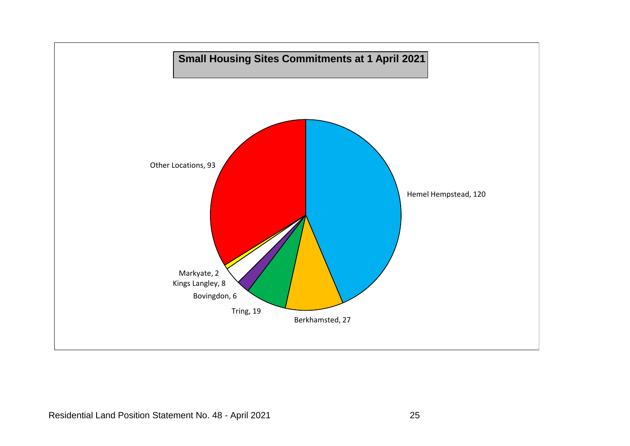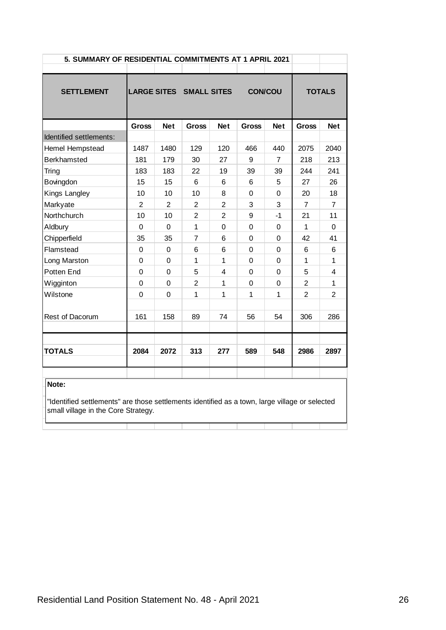| 5. SUMMARY OF RESIDENTIAL COMMITMENTS AT 1 APRIL 2021                                                                                          |                |                |                         |                |                |             |                |                |
|------------------------------------------------------------------------------------------------------------------------------------------------|----------------|----------------|-------------------------|----------------|----------------|-------------|----------------|----------------|
|                                                                                                                                                |                |                |                         |                |                |             |                |                |
| <b>SETTLEMENT</b>                                                                                                                              |                |                | LARGE SITES SMALL SITES |                | <b>CON/COU</b> |             |                | <b>TOTALS</b>  |
|                                                                                                                                                | <b>Gross</b>   | <b>Net</b>     | <b>Gross</b>            | <b>Net</b>     | <b>Gross</b>   | <b>Net</b>  | <b>Gross</b>   | <b>Net</b>     |
| Identified settlements:                                                                                                                        |                |                |                         |                |                |             |                |                |
| Hemel Hempstead                                                                                                                                | 1487           | 1480           | 129                     | 120            | 466            | 440         | 2075           | 2040           |
| <b>Berkhamsted</b>                                                                                                                             | 181            | 179            | 30                      | 27             | 9              | 7           | 218            | 213            |
| Tring                                                                                                                                          | 183            | 183            | 22                      | 19             | 39             | 39          | 244            | 241            |
| Bovingdon                                                                                                                                      | 15             | 15             | 6                       | 6              | 6              | 5           | 27             | 26             |
| Kings Langley                                                                                                                                  | 10             | 10             | 10                      | 8              | 0              | 0           | 20             | 18             |
| Markyate                                                                                                                                       | $\overline{2}$ | $\overline{2}$ | $\overline{2}$          | $\overline{2}$ | 3              | 3           | $\overline{7}$ | $\overline{7}$ |
| Northchurch                                                                                                                                    | 10             | 10             | $\overline{c}$          | $\overline{2}$ | 9              | $-1$        | 21             | 11             |
| Aldbury                                                                                                                                        | 0              | $\pmb{0}$      | $\mathbf{1}$            | 0              | $\mathbf 0$    | 0           | 1              | $\pmb{0}$      |
| Chipperfield                                                                                                                                   | 35             | 35             | $\overline{7}$          | 6              | $\mathbf 0$    | 0           | 42             | 41             |
| Flamstead                                                                                                                                      | $\Omega$       | $\pmb{0}$      | 6                       | 6              | 0              | 0           | 6              | 6              |
| Long Marston                                                                                                                                   | 0              | 0              | $\mathbf{1}$            | 1              | 0              | 0           | $\mathbf{1}$   | $\mathbf{1}$   |
| Potten End                                                                                                                                     | 0              | 0              | 5                       | 4              | 0              | 0           | 5              | 4              |
| Wigginton                                                                                                                                      | 0              | $\mathbf 0$    | $\overline{2}$          | 1              | $\overline{0}$ | $\mathbf 0$ | $\overline{2}$ | $\mathbf{1}$   |
| Wilstone                                                                                                                                       | $\overline{0}$ | 0              | 1                       | 1              | 1              | 1           | $\overline{2}$ | $\overline{2}$ |
| Rest of Dacorum                                                                                                                                | 161            | 158            | 89                      | 74             | 56             | 54          | 306            | 286            |
| <b>TOTALS</b>                                                                                                                                  | 2084           | 2072           | 313                     | 277            | 589            | 548         | 2986           | 2897           |
|                                                                                                                                                |                |                |                         |                |                |             |                |                |
| Note:<br>"Identified settlements" are those settlements identified as a town, large village or selected<br>small village in the Core Strategy. |                |                |                         |                |                |             |                |                |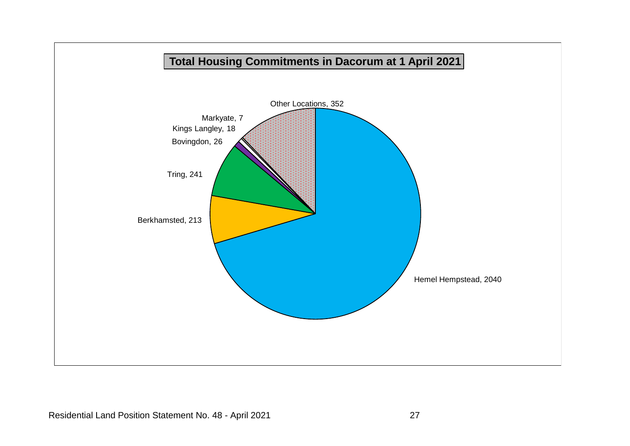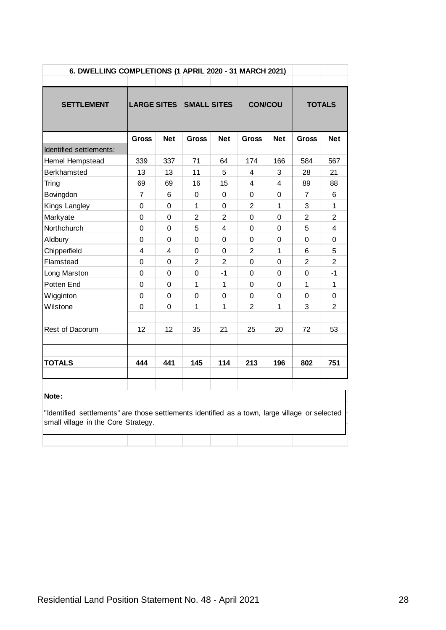| 6. DWELLING COMPLETIONS (1 APRIL 2020 - 31 MARCH 2021) |              |                |                         |                         |                |            |                |                         |
|--------------------------------------------------------|--------------|----------------|-------------------------|-------------------------|----------------|------------|----------------|-------------------------|
|                                                        |              |                |                         |                         |                |            |                |                         |
| <b>SETTLEMENT</b>                                      |              |                | LARGE SITES SMALL SITES |                         | <b>CON/COU</b> |            |                | <b>TOTALS</b>           |
|                                                        | <b>Gross</b> | <b>Net</b>     | Gross                   | <b>Net</b>              | Gross          | <b>Net</b> | <b>Gross</b>   | <b>Net</b>              |
| Identified settlements:                                |              |                |                         |                         |                |            |                |                         |
| Hemel Hempstead                                        | 339          | 337            | 71                      | 64                      | 174            | 166        | 584            | 567                     |
| <b>Berkhamsted</b>                                     | 13           | 13             | 11                      | 5                       | 4              | 3          | 28             | 21                      |
| Tring                                                  | 69           | 69             | 16                      | 15                      | 4              | 4          | 89             | 88                      |
| Bovingdon                                              | 7            | 6              | 0                       | 0                       | 0              | 0          | 7              | 6                       |
| Kings Langley                                          | $\Omega$     | $\mathbf 0$    | $\mathbf{1}$            | $\Omega$                | $\overline{2}$ | 1          | 3              | $\mathbf{1}$            |
| Markyate                                               | 0            | $\mathbf 0$    | $\overline{2}$          | $\overline{2}$          | $\mathbf 0$    | 0          | $\overline{2}$ | $\overline{2}$          |
| Northchurch                                            | $\mathbf 0$  | $\overline{0}$ | 5                       | $\overline{\mathbf{4}}$ | $\Omega$       | 0          | 5              | $\overline{\mathbf{4}}$ |
| Aldbury                                                | 0            | 0              | 0                       | 0                       | 0              | 0          | 0              | 0                       |
| Chipperfield                                           | 4            | $\overline{4}$ | 0                       | 0                       | $\overline{2}$ | 1          | 6              | 5                       |
| Flamstead                                              | $\mathbf 0$  | $\mathbf 0$    | $\overline{2}$          | $\overline{2}$          | $\Omega$       | 0          | $\overline{2}$ | $\overline{2}$          |
| Long Marston                                           | $\mathbf 0$  | $\mathbf 0$    | 0                       | $-1$                    | $\mathbf 0$    | 0          | 0              | $-1$                    |
| Potten End                                             | $\Omega$     | $\Omega$       | 1                       | 1                       | $\Omega$       | 0          | $\mathbf{1}$   | $\mathbf{1}$            |
| Wigginton                                              | 0            | $\Omega$       | 0                       | 0                       | $\Omega$       | 0          | 0              | 0                       |
| Wilstone                                               | 0            | $\Omega$       | 1                       | 1                       | $\mathbf{2}$   | 1          | 3              | $\mathbf{2}$            |
|                                                        |              |                |                         |                         |                |            |                |                         |
| Rest of Dacorum                                        | 12           | 12             | 35                      | 21                      | 25             | 20         | 72             | 53                      |
|                                                        |              |                |                         |                         |                |            |                |                         |
| <b>TOTALS</b>                                          | 444          | 441            | 145                     | 114                     | 213            | 196        | 802            | 751                     |
|                                                        |              |                |                         |                         |                |            |                |                         |
| Note:                                                  |              |                |                         |                         |                |            |                |                         |

"Identified settlements" are those settlements identified as a town, large village or selected small village in the Core Strategy.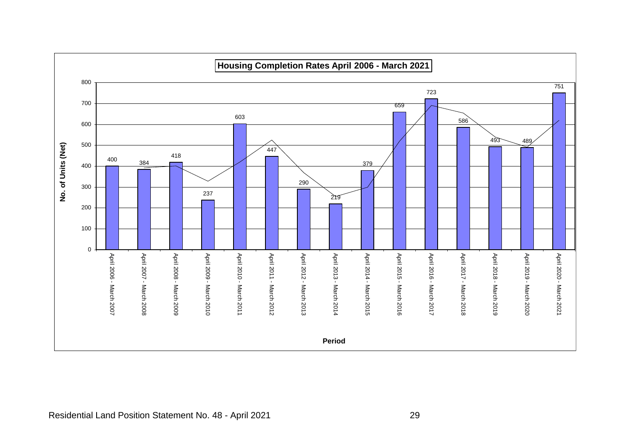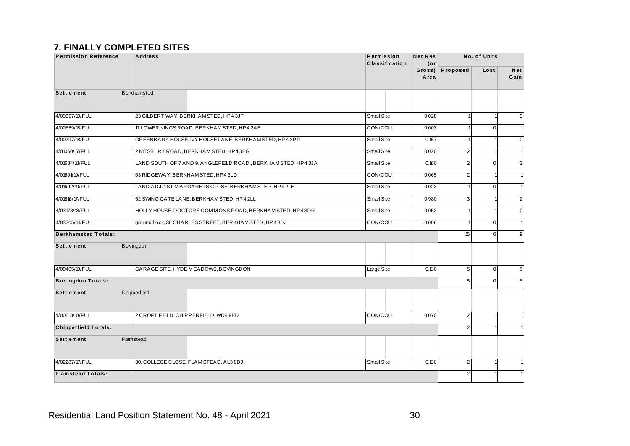#### **7. FINALLY COMPLETED SITES**

| <b>Permission Reference</b> | <b>Address</b>                             |                                                               | Permission<br>Classification | <b>Net Res</b> | (or                        |                         | No. of Units   |                    |
|-----------------------------|--------------------------------------------|---------------------------------------------------------------|------------------------------|----------------|----------------------------|-------------------------|----------------|--------------------|
|                             |                                            |                                                               |                              |                | Proposed<br>Gross)<br>Area |                         | Lost           | <b>Net</b><br>Gain |
| <b>Settlement</b>           | <b>Berkhamsted</b>                         |                                                               |                              |                |                            |                         |                |                    |
| 4/00097/19/FUL              | 23 GILBERT WAY, BERKHAM STED, HP43JF       |                                                               | Small Site                   |                | 0.028                      |                         | 1              | $\mathbf 0$        |
| 4/00559/18/FUL              | 17 LOWER KINGS ROAD, BERKHAM STED, HP4 2AE |                                                               | CON/COU                      |                | 0.003                      |                         | $\Omega$       | $\overline{1}$     |
| 4/00797/18/FUL              |                                            | GREENBANK HOUSE, IVY HOUSE LANE, BERKHAM STED, HP4 2PP        | Small Site                   |                | 0.167                      |                         |                | $\mathbf 0$        |
| 4/01060/17/FUL              | 2 KITSBURY ROAD, BERKHAM STED, HP4 3EG     |                                                               | <b>Small Site</b>            |                | 0.020                      | $\overline{\mathbf{c}}$ | $\mathbf{1}$   | $\mathbf 1$        |
| 4/01684/18/FUL              |                                            | LAND SOUTH OF 7 AND 9, ANGLEFIELD ROAD, BERKHAM STED, HP4 3JA | Small Site                   |                | 0.160                      | $\overline{2}$          | $\overline{0}$ | $\overline{2}$     |
| 4/01691/19/FUL              | 63 RIDGEWAY, BERKHAM STED, HP4 3LD         |                                                               | CON/COU                      |                | 0.065                      | $\overline{2}$          | 1              | $\overline{1}$     |
| 4/01692/19/FUL              |                                            | LAND ADJ. 1ST MARGARETS CLOSE, BERKHAM STED, HP4 2LH          | Small Site                   |                | 0.023                      |                         | $\overline{0}$ | $\overline{1}$     |
| 4/01816/17/FUL              | 52 SWING GATE LANE, BERKHAM STED, HP4 2LL  |                                                               | Small Site                   |                | 0.980                      | 3                       | 1              | $\overline{2}$     |
| 4/03173/18/FUL              |                                            | HOLLY HOUSE, DOCTORS COMMONS ROAD, BERKHAM STED, HP4 3DR      | Small Site                   |                | 0.053                      |                         | 1              | $\mathbf 0$        |
| 4/03205/14/FUL              |                                            | ground floor, 38 CHARLES STREET, BERKHAM STED, HP4 3DJ        | CON/COU                      |                | 0.008                      |                         | $\mathbf 0$    | $\overline{1}$     |
| <b>Berkhamsted Totals:</b>  |                                            |                                                               |                              |                |                            | 15                      | 6              | 9                  |
| <b>Settlement</b>           | Bovingdon                                  |                                                               |                              |                |                            |                         |                |                    |
| 4/00405/19/FUL              | GARAGE SITE, HYDE MEADOWS, BOVINGDON       |                                                               | Large Site                   |                | 0.130                      | $5\overline{)}$         | $\overline{0}$ | 5                  |
| <b>Bovingdon Totals:</b>    |                                            |                                                               |                              |                |                            | 5                       | $\Omega$       | 5                  |
| <b>Settlement</b>           | Chipperfield                               |                                                               |                              |                |                            |                         |                |                    |
| 4/00618/18/FUL              | 2 CROFT FIELD, CHIPPERFIELD, WD4 9ED       |                                                               | CON/COU                      |                | 0.070                      | $\mathbf 2$             | 11             | $\overline{1}$     |
| <b>Chipperfield Totals:</b> |                                            |                                                               |                              |                |                            | $\overline{2}$          |                | -1                 |
| <b>Settlement</b>           | Flamstead                                  |                                                               |                              |                |                            |                         |                |                    |
| 4/02287/17/FUL              | 30, COLLEGE CLOSE, FLAM STEAD, AL3 8DJ     |                                                               | Small Site                   |                | 0.130                      | $\overline{c}$          | 1              | $\mathbf{1}$       |
| <b>Flamstead Totals:</b>    |                                            |                                                               |                              |                |                            | $\overline{a}$          |                | $\overline{1}$     |
|                             |                                            |                                                               |                              |                |                            |                         |                |                    |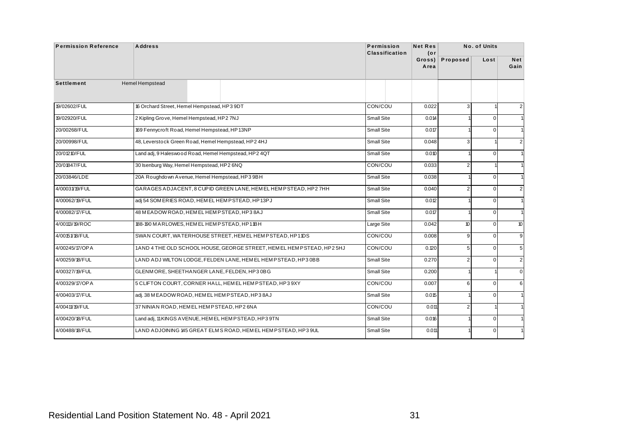|                   | <b>Address</b>                                                        | Permission<br><b>Classification</b> | <b>Net Res</b><br>$($ or |                         | No. of Units   |                    |
|-------------------|-----------------------------------------------------------------------|-------------------------------------|--------------------------|-------------------------|----------------|--------------------|
|                   |                                                                       |                                     | Gross)<br>Area           | Proposed                | Lost           | <b>Net</b><br>Gain |
| <b>Settlement</b> | Hemel Hempstead                                                       |                                     |                          |                         |                |                    |
| 19/02602/FUL      | 16 Orchard Street, Hemel Hempstead, HP3 9DT                           | CON/COU                             | 0.022                    | 3 <sup>1</sup>          |                | 2                  |
| 19/02920/FUL      | 2 Kipling Grove, Hemel Hempstead, HP2 7NJ                             | Small Site                          | 0.014                    |                         | $\mathbf 0$    | $\mathbf{1}$       |
| 20/00268/FUL      | 169 Fennycroft Road, Hemel Hempstead, HP13NP                          | Small Site                          | 0.017                    |                         | $\overline{0}$ | $\mathbf{1}$       |
| 20/00998/FUL      | 48, Leverstock Green Road, Hemel Hempstead, HP2 4HJ                   | Small Site                          | 0.048                    | 3                       |                | $\overline{2}$     |
| 20/01210/FUL      | Land adj, 9 Haleswood Road, Hemel Hempstead, HP2 4QT                  | Small Site                          | 0.010                    |                         | $\mathbf 0$    | $\mathbf{1}$       |
| 20/01847/FUL      | 30 Isenburg Way, Hemel Hempstead, HP2 6NQ                             | CON/COU                             | 0.033                    | $\overline{\mathbf{c}}$ |                | $\mathbf{1}$       |
| 20/03846/LDE      | 20A Roughdown Avenue, Hemel Hempstead, HP3 9BH                        | Small Site                          | 0.038                    |                         | $\overline{0}$ | $\mathbf{1}$       |
| 4/00031/19/FUL    | GARAGES ADJACENT, 8 CUPID GREEN LANE, HEMEL HEMPSTEAD, HP27HH         | Small Site                          | 0.040                    | $\overline{2}$          | $\mathbf{0}$   | $\overline{2}$     |
| 4/00062/19/FUL    | adj 54 SOM ERIES ROAD, HEMEL HEMPSTEAD, HP13PJ                        | Small Site                          | 0.012                    |                         | $\overline{0}$ | $\mathbf{1}$       |
| 4/00082/17/FUL    | 48 MEADOW ROAD, HEMEL HEMP STEAD, HP38AJ                              | Small Site                          | 0.017                    |                         | $\mathbf 0$    | $\mathbf{1}$       |
| 4/00113/19/ROC    | 188-190 MARLOWES, HEMEL HEMPSTEAD, HP11BH                             | Large Site                          | 0.042                    | 10 <sup>°</sup>         | $\overline{0}$ | 10                 |
| 4/00151/18/FUL    | SWAN COURT, WATERHOUSE STREET, HEM ELHEMPSTEAD, HP11DS                | CON/COU                             | 0.008                    | $\overline{9}$          | $\Omega$       | 9                  |
| 4/00245/17/OPA    | 1AND 4 THE OLD SCHOOL HOUSE, GEORGE STREET, HEMEL HEMP STEAD, HP2 5HJ | CON/COU                             | 0.120                    | 5                       | $\mathbf 0$    | 5                  |
| 4/00259/18/FUL    | LAND ADJ WILTON LODGE, FELDEN LANE, HEM EL HEMPSTEAD, HP3 0BB         | Small Site                          | 0.270                    | $\overline{2}$          | $\overline{0}$ | $\sqrt{2}$         |
| 4/00327/19/FUL    | GLENMORE, SHEETHANGER LANE, FELDEN, HP30BG                            | Small Site                          | 0.200                    |                         |                | $\mathbf 0$        |
| 4/00329/17/OPA    | 5 CLIFTON COURT, CORNER HALL, HEMEL HEMPSTEAD, HP3 9XY                | CON/COU                             | 0.007                    | 6                       | $\overline{0}$ | 6                  |
| 4/00403/17/FUL    | adj. 38 M EADOW ROAD, HEMEL HEMP STEAD, HP38AJ                        | Small Site                          | 0.015                    |                         | $\overline{0}$ | $\mathbf{1}$       |
| 4/00411/19/FUL    | 37 NINIAN ROAD, HEM EL HEMPSTEAD, HP2 6NA                             | CON/COU                             | 0.011                    | $\overline{2}$          |                | $\mathbf{1}$       |
| 4/00420/18/FUL    | Land adj, 11 KINGS AVENUE, HEM EL HEMPSTEAD, HP3 9TN                  | Small Site                          | 0.016                    |                         | $\overline{0}$ | $\mathbf{1}$       |
|                   | LAND ADJOINING 145 GREAT ELMS ROAD, HEMEL HEMPSTEAD, HP3 9UL          | Small Site                          | 0.011                    |                         | $\overline{0}$ | $\mathbf{1}$       |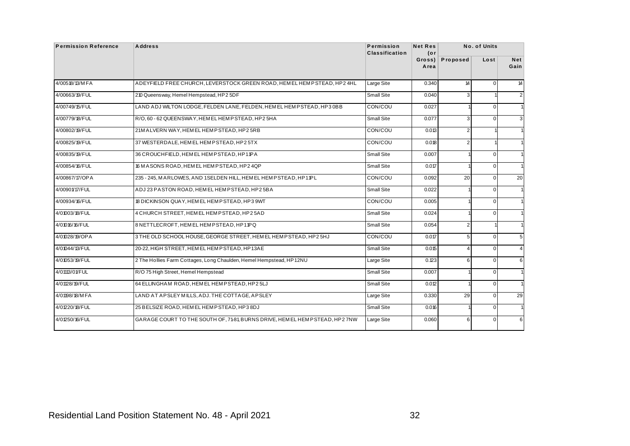| 4/00518/13/MFA<br>4/00663/19/FUL<br>4/00749/15/FUL<br>4/00779/18/FUL<br>4/00802/19/FUL<br>4/00825/19/FUL<br>4/00835/19/FUL<br>4/00854/16/FUL<br>4/00867/17/OPA<br>4/00901/17/FUL<br>4/00934/16/FUL | ADEYFIELD FREE CHURCH, LEVERSTOCK GREEN ROAD, HEM EL HEM PSTEAD, HP2 4HL<br>210 Queensway, Hemel Hempstead, HP2 5DF<br>LAND ADJ WILTON LODGE, FELDEN LANE, FELDEN, HEMEL HEMPSTEAD, HP3 0BB<br>R/O, 60 - 62 QUEENSWAY, HEMEL HEMPSTEAD, HP25HA<br>21M ALVERN WAY, HEM ELHEMPSTEAD, HP25RB<br>37 WESTERDALE, HEM EL HEMPSTEAD, HP25TX<br>36 CROUCHFIELD, HEM EL HEMPSTEAD, HP11PA<br>16 MASONS ROAD, HEMEL HEMPSTEAD, HP24QP<br>235 - 245, MARLOWES, AND 1SELDEN HILL, HEMEL HEMPSTEAD, HP11PL | <b>Classification</b><br>Large Site<br>Small Site<br>CON/COU<br>Small Site<br>CON/COU<br>CON/COU<br>Small Site | (or<br>Gross)<br>Area<br>0.340<br>0.040<br>0.027<br>0.077<br>0.013<br>0.018 | Proposed<br>14<br>3<br>3<br>$\overline{2}$ | Lost<br>$\mathbf{0}$<br>$\overline{1}$<br>$\mathbf 0$<br>$\mathbf{0}$ | <b>Net</b><br>Gain<br>14 |
|----------------------------------------------------------------------------------------------------------------------------------------------------------------------------------------------------|-----------------------------------------------------------------------------------------------------------------------------------------------------------------------------------------------------------------------------------------------------------------------------------------------------------------------------------------------------------------------------------------------------------------------------------------------------------------------------------------------|----------------------------------------------------------------------------------------------------------------|-----------------------------------------------------------------------------|--------------------------------------------|-----------------------------------------------------------------------|--------------------------|
|                                                                                                                                                                                                    |                                                                                                                                                                                                                                                                                                                                                                                                                                                                                               |                                                                                                                |                                                                             |                                            |                                                                       |                          |
|                                                                                                                                                                                                    |                                                                                                                                                                                                                                                                                                                                                                                                                                                                                               |                                                                                                                |                                                                             |                                            |                                                                       | $\overline{2}$           |
|                                                                                                                                                                                                    |                                                                                                                                                                                                                                                                                                                                                                                                                                                                                               |                                                                                                                |                                                                             |                                            |                                                                       | 1                        |
|                                                                                                                                                                                                    |                                                                                                                                                                                                                                                                                                                                                                                                                                                                                               |                                                                                                                |                                                                             |                                            |                                                                       | $\mathbf{3}$             |
|                                                                                                                                                                                                    |                                                                                                                                                                                                                                                                                                                                                                                                                                                                                               |                                                                                                                |                                                                             |                                            |                                                                       |                          |
|                                                                                                                                                                                                    |                                                                                                                                                                                                                                                                                                                                                                                                                                                                                               |                                                                                                                |                                                                             |                                            | 1                                                                     | $\mathbf{1}$             |
|                                                                                                                                                                                                    |                                                                                                                                                                                                                                                                                                                                                                                                                                                                                               |                                                                                                                |                                                                             | $\overline{2}$                             | $\overline{1}$                                                        | 1                        |
|                                                                                                                                                                                                    |                                                                                                                                                                                                                                                                                                                                                                                                                                                                                               |                                                                                                                | 0.007                                                                       |                                            | $\mathbf{0}$                                                          | 1                        |
|                                                                                                                                                                                                    |                                                                                                                                                                                                                                                                                                                                                                                                                                                                                               | Small Site                                                                                                     | 0.017                                                                       |                                            | $\overline{0}$                                                        | 1                        |
|                                                                                                                                                                                                    |                                                                                                                                                                                                                                                                                                                                                                                                                                                                                               | CON/COU                                                                                                        | 0.092                                                                       | 20                                         | $\mathbf 0$                                                           | 20                       |
|                                                                                                                                                                                                    | ADJ 23 PASTON ROAD, HEMEL HEMPSTEAD, HP2 5BA                                                                                                                                                                                                                                                                                                                                                                                                                                                  | Small Site                                                                                                     | 0.022                                                                       |                                            | $\mathbf{0}$                                                          | 1                        |
|                                                                                                                                                                                                    | 18 DICKINSON QUAY, HEMEL HEMPSTEAD, HP3 9WT                                                                                                                                                                                                                                                                                                                                                                                                                                                   | CON/COU                                                                                                        | 0.005                                                                       |                                            | $\mathbf 0$                                                           | $\mathbf{1}$             |
| 4/01003/18/FUL                                                                                                                                                                                     | 4 CHURCH STREET, HEMEL HEMPSTEAD, HP2 5AD                                                                                                                                                                                                                                                                                                                                                                                                                                                     | Small Site                                                                                                     | 0.024                                                                       |                                            | $\mathbf{0}$                                                          | 1                        |
| 4/01016/16/FUL                                                                                                                                                                                     | 8 NETTLECROFT, HEMEL HEMPSTEAD, HP11PQ                                                                                                                                                                                                                                                                                                                                                                                                                                                        | Small Site                                                                                                     | 0.054                                                                       | $\overline{2}$                             | $\overline{1}$                                                        | $\mathbf{1}$             |
| 4/01028/19/OPA                                                                                                                                                                                     | 3 THE OLD SCHOOL HOUSE, GEORGE STREET, HEMEL HEMPSTEAD, HP2 5HJ                                                                                                                                                                                                                                                                                                                                                                                                                               | CON/COU                                                                                                        | 0.017                                                                       | 5                                          | $\mathbf{0}$                                                          | 5 <sup>5</sup>           |
| 4/01044/13/FUL                                                                                                                                                                                     | 20-22, HIGH STREET, HEM EL HEMPSTEAD, HP13AE                                                                                                                                                                                                                                                                                                                                                                                                                                                  | Small Site                                                                                                     | 0.015                                                                       | 4                                          | $\mathbf 0$                                                           | $\overline{4}$           |
| 4/01053/19/FUL                                                                                                                                                                                     | 2 The Hollies Farm Cottages, Long Chaulden, Hemel Hempstead, HP12NU                                                                                                                                                                                                                                                                                                                                                                                                                           | Large Site                                                                                                     | 0.123                                                                       | 6                                          | $\mathbf{0}$                                                          | 6                        |
| 4/01113/01/FUL                                                                                                                                                                                     | R/O 75 High Street, Hemel Hempstead                                                                                                                                                                                                                                                                                                                                                                                                                                                           | Small Site                                                                                                     | 0.007                                                                       |                                            | $\mathbf 0$                                                           | 1                        |
| 4/01128/19/FUL                                                                                                                                                                                     | 64 ELLINGHAM ROAD, HEMEL HEMPSTEAD, HP2 5LJ                                                                                                                                                                                                                                                                                                                                                                                                                                                   | Small Site                                                                                                     | 0.012                                                                       |                                            | $\mathbf{0}$                                                          | $\mathbf{1}$             |
| 4/01198/18/MFA                                                                                                                                                                                     | LAND AT APSLEY MILLS, ADJ. THE COTTAGE, APSLEY                                                                                                                                                                                                                                                                                                                                                                                                                                                | Large Site                                                                                                     | 0.330                                                                       | 29                                         | $\mathbf 0$                                                           | 29                       |
| 4/01220/18/FUL                                                                                                                                                                                     | 25 BELSIZE ROAD, HEMEL HEMPSTEAD, HP3 8DJ                                                                                                                                                                                                                                                                                                                                                                                                                                                     | Small Site                                                                                                     | 0.016                                                                       |                                            | $\mathbf{0}$                                                          | 1                        |
| 4/01250/16/FUL                                                                                                                                                                                     | GARAGE COURT TO THE SOUTH OF, 7181, BURNS DRIVE, HEM ELHEM PSTEAD, HP2 7NW                                                                                                                                                                                                                                                                                                                                                                                                                    | Large Site                                                                                                     | 0.060                                                                       | 6                                          | $\overline{0}$                                                        | 6                        |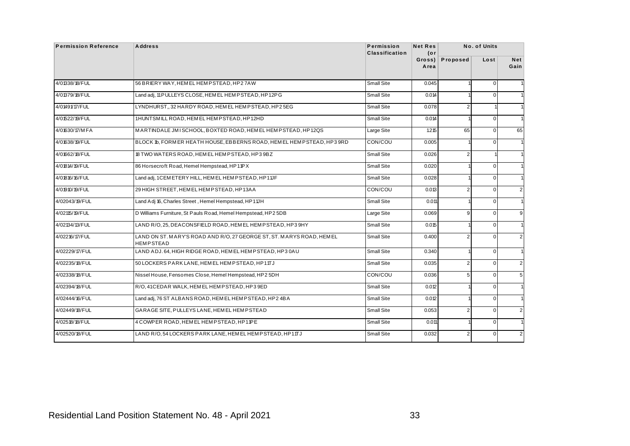| <b>Permission Reference</b> | <b>Address</b>                                                                           | Permission<br><b>Classification</b> | <b>Net Res</b><br>(or |                | No. of Units   |                    |
|-----------------------------|------------------------------------------------------------------------------------------|-------------------------------------|-----------------------|----------------|----------------|--------------------|
|                             |                                                                                          |                                     | Gross)<br>Area        | Proposed       | Lost           | <b>Net</b><br>Gain |
| 4/01338/18/FUL              | 56 BRIERY WAY, HEMEL HEMPSTEAD, HP27AW                                                   | Small Site                          | 0.045                 |                | $\mathbf 0$    | $\mathbf{1}$       |
| 4/01379/18/FUL              | Land adj, 11 PULLEYS CLOSE, HEM EL HEMPSTEAD, HP12PG                                     | Small Site                          | 0.014                 |                | $\mathbf 0$    | 1                  |
| 4/01491/17/FUL              | LYNDHURST,, 32 HARDY ROAD, HEMEL HEMPSTEAD, HP25EG                                       | Small Site                          | 0.078                 | 2              |                | $\mathbf{1}$       |
| 4/01522/19/FUL              | 1HUNTSMILL ROAD. HEMEL HEMPSTEAD. HP12HD                                                 | Small Site                          | 0.014                 |                | $\mathbf{0}$   | $\mathbf{1}$       |
| 4/01630/17/MFA              | MARTINDALE JMISCHOOL, BOXTED ROAD, HEMEL HEMPSTEAD, HP12QS                               | Large Site                          | 1.215                 | 65             | $\overline{0}$ | 65                 |
| 4/01638/19/FUL              | BLOCK 1b, FORMER HEATH HOUSE, EBBERNS ROAD, HEMEL HEMPSTEAD, HP3 9RD                     | CON/COU                             | 0.005                 |                | $\mathbf{0}$   | $\mathbf{1}$       |
| 4/01662/18/FUL              | 18 TWO WATERS ROAD, HEMEL HEMPSTEAD, HP3 9BZ                                             | Small Site                          | 0.026                 | $\overline{2}$ | 1              | 1                  |
| 4/01814/19/FUL              | 86 Horsecroft Road, Hemel Hempstead, HP11PX                                              | Small Site                          | 0.020                 |                | $\mathbf{0}$   | 1                  |
| 4/01816/16/FUL              | Land adj, 1CEMETERY HILL, HEMEL HEMPSTEAD, HP11JF                                        | Small Site                          | 0.028                 |                | $\mathbf 0$    | $\mathbf{1}$       |
| 4/01910/19/FUL              | 29 HIGH STREET, HEM EL HEMPSTEAD, HP13AA                                                 | CON/COU                             | 0.013                 | $\overline{2}$ | $\mathbf{0}$   | $\overline{2}$     |
| 4/02043/19/FUL              | Land Adj 16, Charles Street, Hemel Hempstead, HP11JH                                     | Small Site                          | 0.011                 |                | $\mathbf 0$    | $\mathbf{1}$       |
| 4/02115/19/FUL              | D Williams Furniture, St Pauls Road, Hemel Hempstead, HP2 5DB                            | Large Site                          | 0.069                 | 9              | $\mathbf{0}$   | 9                  |
| 4/02134/13/FUL              | LAND R/O, 25, DEACONSFIELD ROAD, HEMEL HEMPSTEAD, HP3 9HY                                | Small Site                          | 0.015                 |                | $\mathbf 0$    | $\mathbf{1}$       |
| 4/02216/17/FUL              | LAND ON ST. MARY'S ROAD AND R/O, 27 GEORGE ST, ST. MARYS ROAD, HEMEL<br><b>HEMPSTEAD</b> | Small Site                          | 0.400                 | $\overline{2}$ | $\mathbf{0}$   | $\overline{2}$     |
| 4/02229/17/FUL              | LAND ADJ. 64, HIGH RIDGE ROAD, HEM EL HEMPSTEAD, HP3 0AU                                 | Small Site                          | 0.340                 |                | $\mathbf{0}$   | $\mathbf{1}$       |
| 4/02235/18/FUL              | 50 LOCKERS PARK LANE, HEMEL HEMPSTEAD, HP11TJ                                            | Small Site                          | 0.035                 | 2              | $\mathbf 0$    | $\overline{2}$     |
| 4/02338/18/FUL              | Nissel House, Fensomes Close, Hemel Hempstead, HP2 5DH                                   | CON/COU                             | 0.036                 | 5              | $\mathbf{0}$   | 5 <sub>5</sub>     |
| 4/02394/18/FUL              | R/O, 41CEDAR WALK, HEMEL HEMPSTEAD, HP3 9ED                                              | Small Site                          | 0.012                 |                | $\mathbf 0$    | 1                  |
| 4/02444/16/FUL              | Land adj, 76 ST ALBANS ROAD, HEM EL HEM PSTEAD, HP2 4BA                                  | Small Site                          | 0.012                 |                | $\mathbf{0}$   | 1                  |
| 4/02449/18/FUL              | GARAGE SITE, PULLEYS LANE, HEMEL HEMPSTEAD                                               | Small Site                          | 0.053                 | $\overline{2}$ | $\mathbf 0$    | $\overline{2}$     |
| 4/02518/18/FUL              | 4 COWPER ROAD, HEMEL HEMPSTEAD, HP11PE                                                   | Small Site                          | 0.011                 |                | $\mathbf{0}$   | $\mathbf{1}$       |
| 4/02520/18/FUL              | LAND R/O, 54 LOCKERS PARK LANE, HEMEL HEMPSTEAD, HP11TJ                                  | <b>Small Site</b>                   | 0.032                 | $\overline{2}$ | $\mathbf 0$    | $\overline{2}$     |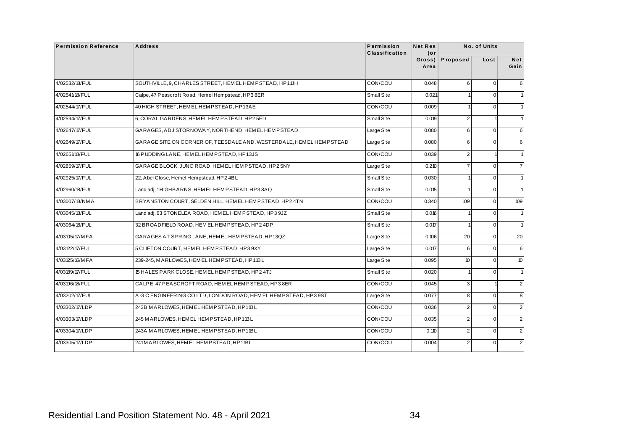| <b>Permission Reference</b> | <b>Address</b>                                                        | Permission<br><b>Classification</b> | <b>Net Res</b><br>(or |                         | No. of Units   |                    |
|-----------------------------|-----------------------------------------------------------------------|-------------------------------------|-----------------------|-------------------------|----------------|--------------------|
|                             |                                                                       |                                     | Gross)<br>Area        | Proposed                | Lost           | <b>Net</b><br>Gain |
| 4/02532/18/FUL              | SOUTHVILLE, 9, CHARLES STREET, HEM EL HEMPSTEAD, HP11JH               | CON/COU                             | 0.048                 | 6                       | $\overline{0}$ | 6                  |
| 4/02541/18/FUL              | Calpe, 47 Peascroft Road, Hemel Hempstead, HP3 8ER                    | Small Site                          | 0.021                 |                         | $\overline{0}$ | $\mathbf{1}$       |
| 4/02544/17/FUL              | 40 HIGH STREET, HEM EL HEMP STEAD, HP13AE                             | CON/COU                             | 0.009                 |                         | $\overline{0}$ | $\mathbf{1}$       |
| 4/02594/17/FUL              | 6, CORAL GARDENS, HEM EL HEMPSTEAD, HP2 5ED                           | Small Site                          | 0.019                 | $\overline{2}$          |                | $\mathbf{1}$       |
| 4/02647/17/FUL              | GARAGES, ADJ STORNOWAY, NORTHEND, HEMEL HEMPSTEAD                     | Large Site                          | 0.080                 | 6                       | $\mathbf 0$    | 6                  |
| 4/02649/17/FUL              | GARAGE SITE ON CORNER OF, TEESDALE AND, WESTERDALE, HEM EL HEM PSTEAD | Large Site                          | 0.080                 | 6                       | $\overline{0}$ | 6                  |
| 4/02651/18/FUL              | 16 PUDDING LANE, HEM EL HEMPSTEAD, HP13JS                             | CON/COU                             | 0.039                 | $\overline{a}$          |                | $\mathbf{1}$       |
| 4/02859/17/FUL              | GARAGE BLOCK, JUNO ROAD, HEM EL HEM PSTEAD, HP25NY                    | Large Site                          | 0.210                 | $\overline{7}$          | $\overline{0}$ | $\overline{7}$     |
| 4/02925/17/FUL              | 22, Abel Close, Hemel Hempstead, HP2 4BL                              | Small Site                          | 0.030                 |                         | $\mathbf{0}$   | $\mathbf{1}$       |
| 4/02960/18/FUL              | Land adj, 1HIGHBARNS, HEMEL HEMPSTEAD, HP38AQ                         | Small Site                          | 0.015                 |                         | $\overline{0}$ | $\mathbf{1}$       |
| 4/03007/18/NMA              | BRYANSTON COURT, SELDEN HILL, HEM EL HEMPSTEAD, HP24TN                | CON/COU                             | 0.340                 | 109                     | $\mathbf 0$    | 109                |
| 4/03045/18/FUL              | Land adj, 63 STONELEA ROAD, HEMEL HEMPSTEAD, HP3 9JZ                  | Small Site                          | 0.016                 |                         | $\overline{0}$ | $\mathbf{1}$       |
| 4/03064/18/FUL              | 32 BROADFIELD ROAD, HEMEL HEMPSTEAD, HP2 4DP                          | Small Site                          | 0.017                 |                         | $\overline{0}$ | $\mathbf{1}$       |
| 4/03105/17/MFA              | GARAGES AT SPRING LANE, HEM EL HEMPSTEAD, HP13QZ                      | Large Site                          | 0.106                 | 20                      | $\overline{0}$ | 20                 |
| 4/03122/17/FUL              | 5 CLIFTON COURT, HEM ELHEMP STEAD, HP3 9XY                            | Large Site                          | 0.017                 | 6                       | $\mathbf 0$    | 6                  |
| 4/03125/16/MFA              | 239-245, MARLOWES, HEM EL HEMPSTEAD, HP11BL                           | Large Site                          | 0.095                 | 10 <sup>°</sup>         | $\overline{0}$ | 10                 |
| 4/03189/17/FUL              | 15 HALES PARK CLOSE, HEM EL HEMPSTEAD, HP2 4TJ                        | Small Site                          | 0.020                 |                         | $\overline{0}$ | $\mathbf{1}$       |
| 4/03196/18/FUL              | CALPE, 47 PEASCROFT ROAD, HEMEL HEMPSTEAD, HP38ER                     | CON/COU                             | 0.045                 | 3                       |                | $\overline{2}$     |
| 4/03202/17/FUL              | A GC ENGINEERING COLTD, LONDON ROAD, HEMEL HEMPSTEAD, HP39ST          | Large Site                          | 0.077                 | 8                       | $\overline{0}$ | 8                  |
| 4/03302/17/LDP              | 243B MARLOWES, HEMEL HEMPSTEAD, HP11BL                                | CON/COU                             | 0.036                 | $\overline{2}$          | $\mathbf{0}$   | $\overline{2}$     |
| 4/03303/17/LDP              | 245 M ARLOWES, HEM EL HEM PSTEAD, HP11BL                              | CON/COU                             | 0.035                 | $\overline{c}$          | $\overline{0}$ | $\overline{2}$     |
| 4/03304/17/LDP              | 243A MARLOWES, HEMEL HEMPSTEAD, HP11BL                                | CON/COU                             | 0.110                 | $\overline{2}$          | $\overline{0}$ | 2                  |
| 4/03305/17/LDP              | 241M ARLOWES, HEM EL HEM PSTEAD, HP11BL                               | CON/COU                             | 0.004                 | $\overline{\mathbf{c}}$ | $\mathbf 0$    | $\overline{2}$     |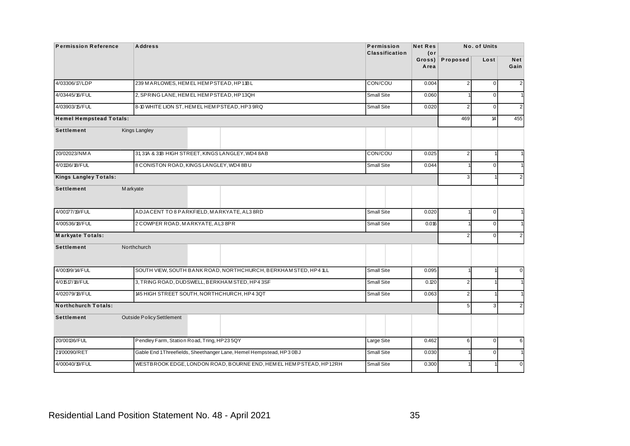| <b>Permission Reference</b>    | <b>Address</b>                   |                                                                    | Permission<br><b>Classification</b> | <b>Net Res</b><br>$($ or |                | No. of Units   |                    |
|--------------------------------|----------------------------------|--------------------------------------------------------------------|-------------------------------------|--------------------------|----------------|----------------|--------------------|
|                                |                                  |                                                                    |                                     | Gross)<br>Area           | Proposed       | Lost           | <b>Net</b><br>Gain |
| 4/03306/17/LDP                 |                                  | 239 M ARLOWES, HEM EL HEM PSTEAD, HP11BL                           | CON/COU                             | 0.004                    | $\overline{2}$ | $\overline{0}$ | $\overline{2}$     |
| 4/03445/16/FUL                 |                                  | 2, SPRING LANE, HEM EL HEMPSTEAD, HP13QH                           | Small Site                          | 0.060                    |                | $\mathbf{0}$   | $\overline{1}$     |
| 4/03903/15/FUL                 |                                  | 8-10 WHITE LION ST, HEM EL HEM PSTEAD, HP3 9RQ                     | Small Site                          | 0.020                    | $\overline{2}$ | $\overline{0}$ | $\overline{2}$     |
| <b>Hemel Hempstead Totals:</b> |                                  |                                                                    |                                     |                          | 469            | 14             | 455                |
| <b>Settlement</b>              | Kings Langley                    |                                                                    |                                     |                          |                |                |                    |
| 20/02023/NMA                   |                                  | 31,31A & 31B HIGH STREET, KINGS LANGLEY, WD4 8AB                   | CON/COU                             | 0.025                    | $\overline{2}$ | 1              | $\overline{1}$     |
| 4/01136/18/FUL                 |                                  | 8 CONISTON ROAD, KINGS LANGLEY, WD4 8BU                            | Small Site                          | 0.044                    |                | $\mathbf{0}$   | $\overline{1}$     |
| <b>Kings Langley Totals:</b>   |                                  |                                                                    |                                     |                          | 3              |                | $\overline{2}$     |
| <b>Settlement</b>              | <b>Markyate</b>                  |                                                                    |                                     |                          |                |                |                    |
| 4/00177/19/FUL                 |                                  | ADJACENT TO 8 PARKFIELD, MARKYATE, AL3 8RD                         | Small Site                          | 0.020                    | 1              | $\overline{0}$ | $\overline{1}$     |
| 4/00536/18/FUL                 | 2 COWPER ROAD, MARKYATE, AL3 8PR |                                                                    | Small Site                          | 0.016                    |                | $\overline{0}$ | $\overline{1}$     |
| Markyate Totals:               |                                  |                                                                    |                                     |                          | $\overline{2}$ | $\Omega$       | $\overline{2}$     |
| <b>Settlement</b>              | <b>Northchurch</b>               |                                                                    |                                     |                          |                |                |                    |
| 4/00199/14/FUL                 |                                  | SOUTH VIEW, SOUTH BANK ROAD, NORTHCHURCH, BERKHAM STED, HP4 1LL    | Small Site                          | 0.095                    | $\mathbf{1}$   |                | $\mathbf 0$        |
| 4/01517/18/FUL                 |                                  | 3, TRING ROAD, DUDSWELL, BERKHAM STED, HP43SF                      | Small Site                          | 0.120                    | $\overline{a}$ |                | $\overline{1}$     |
| 4/02079/18/FUL                 |                                  | 145 HIGH STREET SOUTH, NORTHCHURCH, HP4 3QT                        | Small Site                          | 0.063                    | $\overline{2}$ |                | $\overline{1}$     |
| <b>Northchurch Totals:</b>     |                                  |                                                                    |                                     |                          | 5              | $\overline{3}$ | $\overline{2}$     |
| <b>Settlement</b>              | <b>Outside Policy Settlement</b> |                                                                    |                                     |                          |                |                |                    |
| 20/00136/FUL                   |                                  | Pendley Farm, Station Road, Tring, HP23 5QY                        | Large Site                          | 0.462                    | 6              | $\overline{0}$ | 6                  |
| 21/00090/RET                   |                                  | Gable End 1Threefields, Sheethanger Lane, Hemel Hempstead, HP3 0BJ | <b>Small Site</b>                   | 0.030                    |                | $\overline{0}$ | $\overline{1}$     |
| 4/00040/19/FUL                 |                                  | WESTBROOK EDGE, LONDON ROAD, BOURNE END, HEMEL HEMPSTEAD, HP12RH   | Small Site                          | 0.300                    | 1              |                | $\mathbf 0$        |
|                                |                                  |                                                                    |                                     |                          |                |                |                    |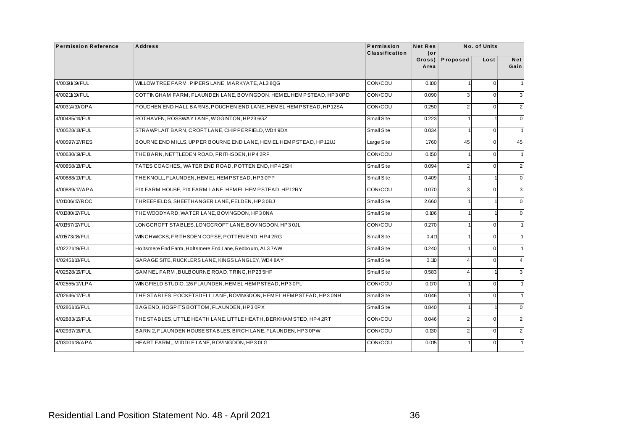| <b>Permission Reference</b> | <b>Address</b>                                                        | Permission<br><b>Classification</b> | <b>Net Res</b><br>(or |                | No. of Units   |                |
|-----------------------------|-----------------------------------------------------------------------|-------------------------------------|-----------------------|----------------|----------------|----------------|
|                             |                                                                       |                                     | Gross)<br>Area        | Proposed       | Lost           | Net<br>Gain    |
| 4/00191/19/FUL              | WILLOW TREE FARM, PIPERS LANE, MARKYATE, AL38QG                       | CON/COU                             | 0.100                 |                | $\overline{0}$ | $\mathbf{1}$   |
| 4/00211/19/FUL              | COTTINGHAM FARM, FLAUNDEN LANE, BOVINGDON, HEM EL HEM PSTEAD, HP3 0PD | CON/COU                             | 0.090                 | 3              | $\overline{0}$ | 3              |
| 4/00314/19/OPA              | POUCHEN END HALL BARNS, POUCHEN END LANE, HEM EL HEM PSTEAD, HP12SA   | CON/COU                             | 0.250                 | $\overline{a}$ | $\overline{0}$ | $\overline{c}$ |
| 4/00485/14/FUL              | ROTHAVEN, ROSSWAY LANE, WIGGINTON, HP23 6GZ                           | Small Site                          | 0.223                 |                |                | $\mathbf 0$    |
| 4/00528/18/FUL              | STRAWPLAIT BARN, CROFT LANE, CHIPPERFIELD, WD4 9DX                    | Small Site                          | 0.034                 |                | $\mathbf 0$    | $\mathbf{1}$   |
| 4/00597/17/RES              | BOURNE END MILLS, UPPER BOURNE END LANE, HEMEL HEMPSTEAD, HP12UJ      | Large Site                          | 1.760                 | 45             | $\overline{0}$ | 45             |
| 4/00630/19/FUL              | THE BARN, NETTLEDEN ROAD, FRITHSDEN, HP4 2RF                          | CON/COU                             | 0.150                 |                | $\overline{0}$ | $\mathbf{1}$   |
| 4/00858/18/FUL              | TATES COACHES,, WATER END ROAD, POTTEN END, HP42SH                    | Small Site                          | 0.094                 | $\overline{2}$ | $\overline{0}$ | 2              |
| 4/00888/19/FUL              | THE KNOLL, FLAUNDEN, HEMEL HEMPSTEAD, HP3 0PP                         | Small Site                          | 0.409                 |                |                | $\mathbf 0$    |
| 4/00889/17/APA              | PIX FARM HOUSE. PIX FARM LANE. HEMEL HEMPSTEAD. HP12RY                | CON/COU                             | 0.070                 | 3              | $\mathbf 0$    | 3              |
| 4/01006/17/ROC              | THREEFIELDS, SHEETHANGER LANE, FELDEN, HP3 0BJ                        | <b>Small Site</b>                   | 2.660                 |                |                | $\mathbf 0$    |
| 4/01080/17/FUL              | THE WOODYARD, WATER LANE, BOVINGDON, HP3 0NA                          | Small Site                          | 0.106                 |                |                | $\mathbf 0$    |
| 4/01357/17/FUL              | LONGCROFT STABLES, LONGCROFT LANE, BOVINGDON, HP3 0JL                 | CON/COU                             | 0.270                 |                | $\overline{0}$ | $\mathbf{1}$   |
| 4/01573/18/FUL              | WINCHWICKS, FRITHSDEN COPSE, POTTEN END, HP4 2RG                      | Small Site                          | 0.411                 |                | $\overline{0}$ | $\mathbf{1}$   |
| 4/02221/19/FUL              | Holtsmere End Farm, Holtsmere End Lane, Redbourn, AL37AW              | Small Site                          | 0.240                 |                | $\mathbf 0$    | $\mathbf{1}$   |
| 4/02451/18/FUL              | GARAGE SITE, RUCKLERS LANE, KINGS LANGLEY, WD48AY                     | Small Site                          | 0.110                 | 4              | $\overline{0}$ | $\overline{4}$ |
| 4/02528/16/FUL              | GAMNEL FARM, BULBOURNE ROAD, TRING, HP235HF                           | Small Site                          | 0.583                 | 4              |                | 3              |
| 4/02555/17/LPA              | WINGFIELD STUDIO, 126 FLAUNDEN, HEM EL HEM PSTEAD, HP3 OPL            | CON/COU                             | 0.170                 |                | $\overline{0}$ | $\mathbf{1}$   |
| 4/02646/17/FUL              | THE STABLES, POCKETSDELL LANE, BOVINGDON, HEM EL HEMPSTEAD, HP3 0NH   | <b>Small Site</b>                   | 0.046                 |                | $\overline{0}$ | $\mathbf{1}$   |
| 4/02861/16/FUL              | BAGEND, HOGPITS BOTTOM, FLAUNDEN, HP3 0PX                             | Small Site                          | 0.840                 |                |                | $\mathbf 0$    |
| 4/02883/15/FUL              | THE STABLES, LITTLE HEATH LANE, LITTLE HEATH, BERKHAM STED, HP4 2RT   | CON/COU                             | 0.046                 | $\overline{c}$ | $\overline{0}$ | $\overline{2}$ |
| 4/02937/16/FUL              | BARN 2, FLAUNDEN HOUSE STABLES, BIRCH LANE, FLAUNDEN, HP30PW          | CON/COU                             | 0.130                 | $\overline{2}$ | $\overline{0}$ | 2              |
| 4/03001/18/APA              | HEART FARM,, MIDDLE LANE, BOVINGDON, HP3 0LG                          | CON/COU                             | 0.015                 |                | $\mathbf 0$    | $\mathbf{1}$   |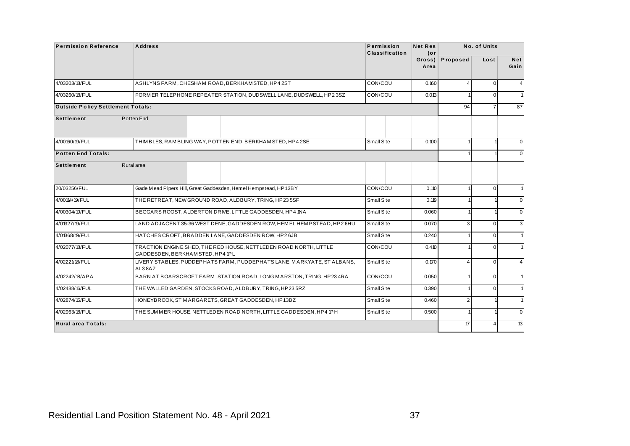| <b>Permission Reference</b>              | <b>Address</b>                   |                                                                          | Permission<br><b>Classification</b> | <b>Net Res</b><br>$($ or |                | No. of Units   |                    |
|------------------------------------------|----------------------------------|--------------------------------------------------------------------------|-------------------------------------|--------------------------|----------------|----------------|--------------------|
|                                          |                                  |                                                                          |                                     | Gross)<br>Area           | Proposed       | Lost           | <b>Net</b><br>Gain |
| 4/03203/18/FUL                           |                                  | ASHLYNS FARM, CHESHAM ROAD, BERKHAMSTED, HP42ST                          | CON/COU                             | 0.160                    | $\overline{4}$ | $\Omega$       | 4                  |
| 4/03260/18/FUL                           |                                  | FORMER TELEPHONE REPEATER STATION, DUDSWELL LANE, DUDSWELL, HP23SZ       | CON/COU                             | 0.013                    |                | $\mathbf{0}$   | $\overline{1}$     |
| <b>Outside Policy Settlement Totals:</b> |                                  |                                                                          |                                     |                          | 94             | $\overline{7}$ | 87                 |
| <b>Settlement</b>                        | Potten End                       |                                                                          |                                     |                          |                |                |                    |
| 4/00160/19/FUL                           |                                  | THIMBLES, RAMBLING WAY, POTTEN END, BERKHAMSTED, HP42SE                  | Small Site                          | 0.100                    | 1              |                | $\mathbf 0$        |
| <b>Potten End Totals:</b>                |                                  |                                                                          |                                     |                          |                |                | $\mathbf 0$        |
| Settlement                               | Rural area                       |                                                                          |                                     |                          |                |                |                    |
| 20/03256/FUL                             |                                  | Gade Mead Pipers Hill, Great Gaddesden, Hemel Hempstead, HP13BY          | CON/COU                             | 0.110                    | 1              | $\overline{0}$ | $\overline{1}$     |
| 4/00114/19/FUL                           |                                  | THE RETREAT, NEW GROUND ROAD, ALDBURY, TRING, HP235SF                    | Small Site                          | 0.119                    |                |                | $\mathbf 0$        |
| 4/00304/19/FUL                           |                                  | BEGGARS ROOST, ALDERTON DRIVE, LITTLE GADDESDEN, HP4 1NA                 | Small Site                          | 0.060                    | 1              |                | $\mathbf 0$        |
| 4/01327/19/FUL                           |                                  | LAND ADJACENT 35-36 WEST DENE, GADDESDEN ROW, HEM EL HEM PSTEAD, HP2 6HU | Small Site                          | 0.070                    | 3              | $\overline{0}$ | 3                  |
| 4/01368/19/FUL                           |                                  | HATCHES CROFT, BRADDEN LANE, GADDESDEN ROW, HP2 6JB                      | Small Site                          | 0.240                    |                | $\overline{0}$ | $\overline{1}$     |
| 4/02077/18/FUL                           | GADDESDEN, BERKHAM STED, HP4 1PL | TRACTION ENGINE SHED, THE RED HOUSE, NETTLEDEN ROAD NORTH, LITTLE        | CON/COU                             | 0.410                    |                | $\Omega$       | $\overline{1}$     |
| 4/02221/18/FUL                           | AL38AZ                           | LIVERY STABLES, PUDDEPHATS FARM, PUDDEPHATS LANE, MARKYATE, ST ALBANS,   | <b>Small Site</b>                   | 0.170                    | $\overline{4}$ | $\Omega$       | $\overline{4}$     |
| 4/02242/18/APA                           |                                  | BARN AT BOARSCROFT FARM, STATION ROAD, LONG MARSTON, TRING, HP23 4RA     | CON/COU                             | 0.050                    |                | $\Omega$       | $\overline{1}$     |
| 4/02488/16/FUL                           |                                  | THE WALLED GARDEN, STOCKS ROAD, ALDBURY, TRING, HP23 5RZ                 | Small Site                          | 0.390                    | 1              | $\Omega$       | $\overline{1}$     |
| 4/02874/15/FUL                           |                                  | HONEYBROOK, ST MARGARETS, GREAT GADDESDEN, HP13BZ                        | <b>Small Site</b>                   | 0.460                    | $\overline{2}$ |                | $\overline{1}$     |
| 4/02963/18/FUL                           |                                  | THE SUMMER HOUSE, NETTLEDEN ROAD NORTH, LITTLE GADDESDEN, HP4 1PH        | Small Site                          | 0.500                    | 1              |                | $\mathbf 0$        |
| Rural area Totals:                       |                                  |                                                                          |                                     |                          | $\sqrt{7}$     | $\overline{4}$ | 13                 |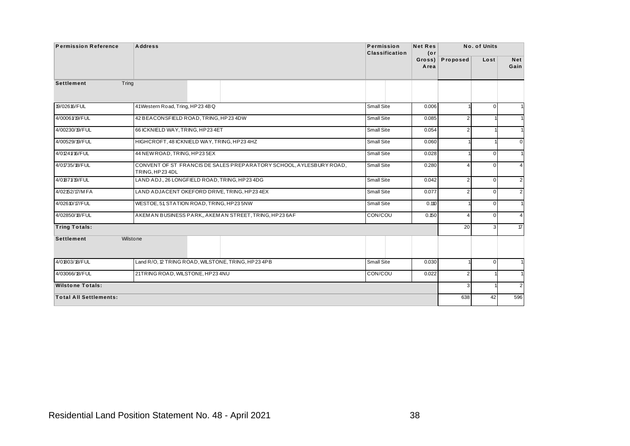|                               | <b>Address</b>                                                                         | Permission<br>Classification | <b>Net Res</b><br>$($ or |                | No. of Units   |                |
|-------------------------------|----------------------------------------------------------------------------------------|------------------------------|--------------------------|----------------|----------------|----------------|
|                               |                                                                                        |                              | $Gross$ )<br>Area        | Proposed       | Lost           | Net<br>Gain    |
| <b>Settlement</b>             | Tring                                                                                  |                              |                          |                |                |                |
| 19/02616/FUL                  | 41Western Road, Tring, HP234BQ                                                         | Small Site                   | 0.006                    |                | $\mathbf 0$    | $\mathbf{1}$   |
| 4/00061/19/FUL                | 42 BEACONSFIELD ROAD, TRING, HP23 4DW                                                  | Small Site                   | 0.085                    | $\overline{2}$ |                | 1              |
| 4/00230/19/FUL                | 66 ICKNIELD WAY, TRING, HP234ET                                                        | Small Site                   | 0.054                    | $\overline{2}$ |                | $\mathbf{1}$   |
| 4/00529/19/FUL                | HIGHCROFT, 48 ICKNIELD WAY, TRING, HP23 4HZ                                            | Small Site                   | 0.060                    |                |                | $\mathbf 0$    |
| 4/01241/16/FUL                | 44 NEW ROAD, TRING, HP23 5EX                                                           | Small Site                   | 0.028                    |                | $\mathbf{0}$   | $\mathbf{1}$   |
| 4/01735/18/FUL                | CONVENT OF ST FRANCIS DE SALES PREPARATORY SCHOOL, AYLESBURY ROAD,<br>TRING, HP 23 4DL | Small Site                   | 0.280                    | 4              | $\mathbf{0}$   | $\overline{4}$ |
| 4/01871/19/FUL                | LAND ADJ., 26 LONGFIELD ROAD, TRING, HP23 4DG                                          | Small Site                   | 0.042                    | 2              | $\mathbf 0$    | $\overline{2}$ |
| 4/02152/17/MFA                | LAND ADJACENT OKEFORD DRIVE, TRING, HP234EX                                            | Small Site                   | 0.077                    | 2              | $\overline{0}$ | $\overline{2}$ |
| 4/02610/17/FUL                | WESTOE, 51, STATION ROAD, TRING, HP23 5NW                                              | Small Site                   | 0.110                    |                | $\mathbf 0$    | $\mathbf{1}$   |
| 4/02850/18/FUL                | AKEM AN BUSINESS PARK, AKEM AN STREET, TRING, HP236AF                                  | CON/COU                      | 0.150                    | 4              | $\overline{0}$ | $\overline{4}$ |
| <b>Tring Totals:</b>          |                                                                                        |                              |                          | 20             | 3              | 17             |
| <b>Settlement</b>             | Wilstone                                                                               |                              |                          |                |                |                |
| 4/01803/18/FUL                | Land R/O, 12 TRING ROAD, WILSTONE, TRING, HP23 4PB                                     | Small Site                   | 0.030                    |                | $\mathbf{0}$   | $\mathbf{1}$   |
| 4/03066/18/FUL                | 21TRING ROAD, WILSTONE, HP234NU                                                        | CON/COU                      | 0.022                    | $\overline{2}$ | $\overline{1}$ | $\mathbf{1}$   |
| <b>Wilstone Totals:</b>       |                                                                                        |                              |                          | 3              |                | $\overline{2}$ |
| <b>Total All Settlements:</b> |                                                                                        |                              |                          | 638            | 42             | 596            |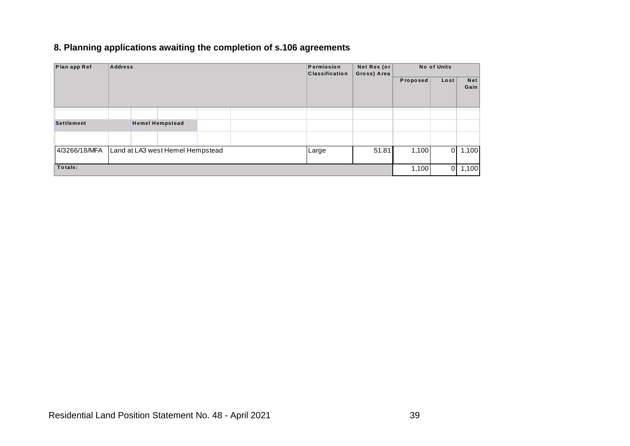#### **8. Planning applications awaiting the completion of s.106 agreements**

| Plan app Ref      | <b>Address</b> |                                  |  | Permission<br><b>Classification</b> | Net Res (or<br>Gross) Area |          | No of Units |                    |
|-------------------|----------------|----------------------------------|--|-------------------------------------|----------------------------|----------|-------------|--------------------|
|                   |                |                                  |  |                                     |                            | Proposed | Lost        | <b>Net</b><br>Gain |
|                   |                |                                  |  |                                     |                            |          |             |                    |
| <b>Settlement</b> |                | <b>Hemel Hempstead</b>           |  |                                     |                            |          |             |                    |
|                   |                |                                  |  |                                     |                            |          |             |                    |
| 4/3266/18/MFA     |                | Land at LA3 west Hemel Hempstead |  | Large                               | 51.81                      | 1,100    | ΟI          | 1,100              |
| Totals:           |                |                                  |  |                                     |                            | 1,100    | $\Omega$    | 1,100              |